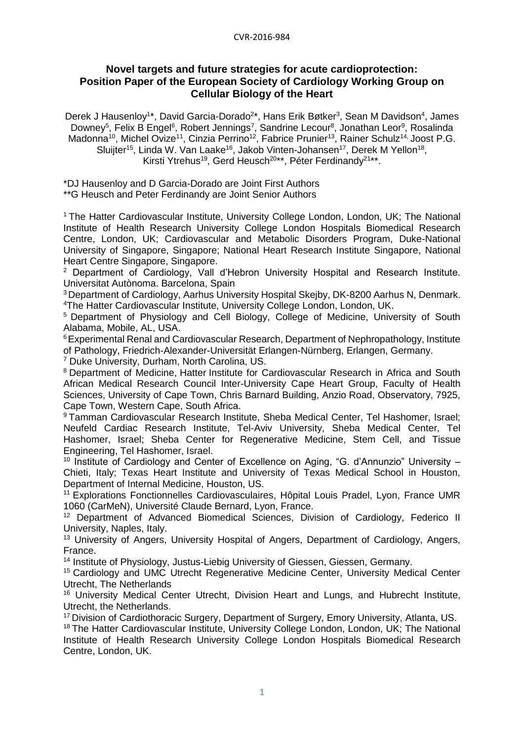## **Novel targets and future strategies for acute cardioprotection: Position Paper of the European Society of Cardiology Working Group on Cellular Biology of the Heart**

Derek J Hausenloy<sup>1\*</sup>, David Garcia-Dorado<sup>2\*</sup>, Hans Erik Bøtker<sup>3</sup>, Sean M Davidson<sup>4</sup>, James Downey<sup>5</sup>, Felix B Engel<sup>6</sup>, Robert Jennings<sup>7</sup>, Sandrine Lecour<sup>8</sup>, Jonathan Leor<sup>9</sup>, Rosalinda Madonna<sup>10</sup>, Michel Ovize<sup>11</sup>, Cinzia Perrino<sup>12</sup>, Fabrice Prunier<sup>13</sup>, Rainer Schulz<sup>14,</sup> Joost P.G. Sluijter<sup>15</sup>, Linda W. Van Laake<sup>16</sup>, Jakob Vinten-Johansen<sup>17</sup>, Derek M Yellon<sup>18</sup>, Kirsti Ytrehus<sup>19</sup>, Gerd Heusch<sup>20\*\*</sup>, Péter Ferdinandy<sup>21\*\*</sup>.

\*DJ Hausenloy and D Garcia-Dorado are Joint First Authors \*\*G Heusch and Peter Ferdinandy are Joint Senior Authors

<sup>1</sup> The Hatter Cardiovascular Institute, University College London, London, UK; The National Institute of Health Research University College London Hospitals Biomedical Research Centre, London, UK; Cardiovascular and Metabolic Disorders Program, Duke-National University of Singapore, Singapore; National Heart Research Institute Singapore, National Heart Centre Singapore, Singapore.

<sup>2</sup> Department of Cardiology, Vall d'Hebron University Hospital and Research Institute. Universitat Autònoma. Barcelona, Spain

<sup>3</sup> Department of Cardiology, Aarhus University Hospital Skejby, DK-8200 Aarhus N, Denmark. <sup>4</sup>The Hatter Cardiovascular Institute, University College London, London, UK.

<sup>5</sup> Department of Physiology and Cell Biology, College of Medicine, University of South Alabama, Mobile, AL, USA.

<sup>6</sup> Experimental Renal and Cardiovascular Research, Department of Nephropathology, Institute of Pathology, Friedrich-Alexander-Universität Erlangen-Nürnberg, Erlangen, Germany.

<sup>7</sup> Duke University, Durham, North Carolina, US.

<sup>8</sup> Department of Medicine, Hatter Institute for Cardiovascular Research in Africa and South African Medical Research Council Inter-University Cape Heart Group, Faculty of Health Sciences, University of Cape Town, Chris Barnard Building, Anzio Road, Observatory, 7925, Cape Town, Western Cape, South Africa.

<sup>9</sup> Tamman Cardiovascular Research Institute, Sheba Medical Center, Tel Hashomer, Israel; Neufeld Cardiac Research Institute, Tel-Aviv University, Sheba Medical Center, Tel Hashomer, Israel; Sheba Center for Regenerative Medicine, Stem Cell, and Tissue Engineering, Tel Hashomer, Israel.

<sup>10</sup> Institute of Cardiology and Center of Excellence on Aging, "G. d'Annunzio" University – Chieti, Italy; Texas Heart Institute and University of Texas Medical School in Houston, Department of Internal Medicine, Houston, US.

<sup>11</sup> Explorations Fonctionnelles Cardiovasculaires, Hôpital Louis Pradel, Lyon, France UMR 1060 (CarMeN), Université Claude Bernard, Lyon, France.

<sup>12</sup> Department of Advanced Biomedical Sciences, Division of Cardiology, Federico II University, Naples, Italy.

<sup>13</sup> University of Angers, University Hospital of Angers, Department of Cardiology, Angers, France.

<sup>14</sup> Institute of Physiology, Justus-Liebig University of Giessen, Giessen, Germany.

<sup>15</sup> Cardiology and UMC Utrecht Regenerative Medicine Center, University Medical Center Utrecht, The Netherlands

<sup>16</sup> University Medical Center Utrecht, Division Heart and Lungs, and Hubrecht Institute, Utrecht, the Netherlands.

<sup>17</sup> Division of Cardiothoracic Surgery, Department of Surgery, Emory University, Atlanta, US. <sup>18</sup> The Hatter Cardiovascular Institute, University College London, London, UK; The National Institute of Health Research University College London Hospitals Biomedical Research Centre, London, UK.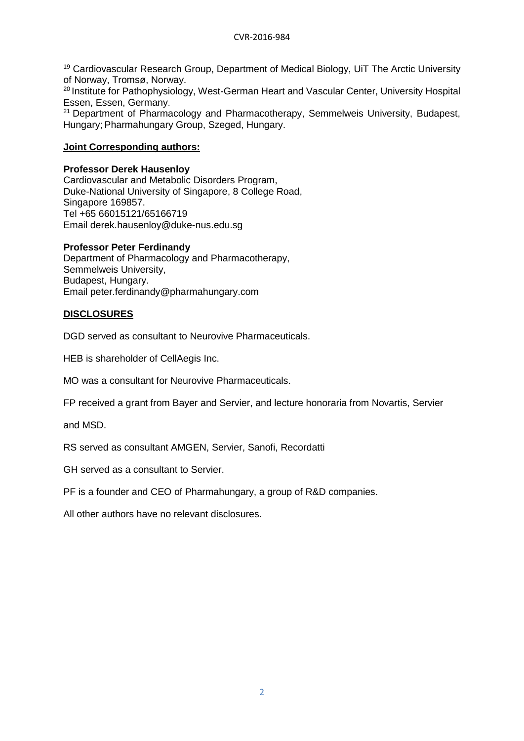<sup>19</sup> Cardiovascular Research Group, Department of Medical Biology, UiT The Arctic University of Norway, Tromsø, Norway.

<sup>20</sup> Institute for Pathophysiology, West-German Heart and Vascular Center, University Hospital Essen, Essen, Germany.

<sup>21</sup> Department of Pharmacology and Pharmacotherapy, Semmelweis University, Budapest, Hungary; Pharmahungary Group, Szeged, Hungary.

## **Joint Corresponding authors:**

## **Professor Derek Hausenloy**

Cardiovascular and Metabolic Disorders Program, Duke-National University of Singapore, 8 College Road, Singapore 169857. Tel +65 66015121/65166719 Email derek.hausenloy@duke-nus.edu.sg

## **Professor Peter Ferdinandy**

Department of Pharmacology and Pharmacotherapy, Semmelweis University, Budapest, Hungary. Email peter.ferdinandy@pharmahungary.com

## **DISCLOSURES**

DGD served as consultant to Neurovive Pharmaceuticals.

HEB is shareholder of CellAegis Inc.

MO was a consultant for Neurovive Pharmaceuticals.

FP received a grant from Bayer and Servier, and lecture honoraria from Novartis, Servier

and MSD.

RS served as consultant AMGEN, Servier, Sanofi, Recordatti

GH served as a consultant to Servier.

PF is a founder and CEO of Pharmahungary, a group of R&D companies.

All other authors have no relevant disclosures.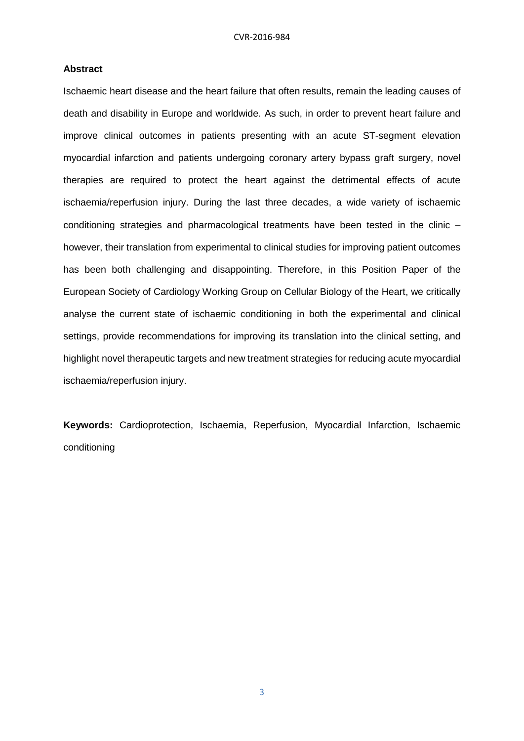### **Abstract**

Ischaemic heart disease and the heart failure that often results, remain the leading causes of death and disability in Europe and worldwide. As such, in order to prevent heart failure and improve clinical outcomes in patients presenting with an acute ST-segment elevation myocardial infarction and patients undergoing coronary artery bypass graft surgery, novel therapies are required to protect the heart against the detrimental effects of acute ischaemia/reperfusion injury. During the last three decades, a wide variety of ischaemic conditioning strategies and pharmacological treatments have been tested in the clinic – however, their translation from experimental to clinical studies for improving patient outcomes has been both challenging and disappointing. Therefore, in this Position Paper of the European Society of Cardiology Working Group on Cellular Biology of the Heart, we critically analyse the current state of ischaemic conditioning in both the experimental and clinical settings, provide recommendations for improving its translation into the clinical setting, and highlight novel therapeutic targets and new treatment strategies for reducing acute myocardial ischaemia/reperfusion injury.

**Keywords:** Cardioprotection, Ischaemia, Reperfusion, Myocardial Infarction, Ischaemic conditioning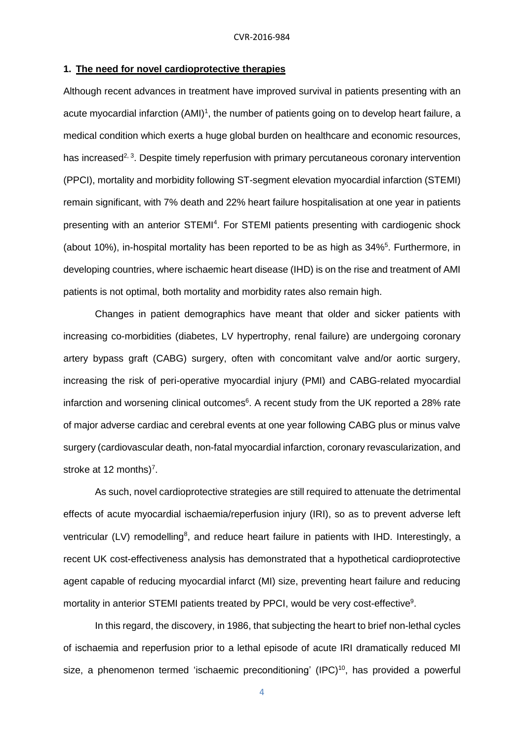## **1. The need for novel cardioprotective therapies**

Although recent advances in treatment have improved survival in patients presenting with an acute myocardial infarction (AMI)<sup>1</sup>, the number of patients going on to develop heart failure, a medical condition which exerts a huge global burden on healthcare and economic resources, has increased<sup>2, 3</sup>. Despite timely reperfusion with primary percutaneous coronary intervention (PPCI), mortality and morbidity following ST-segment elevation myocardial infarction (STEMI) remain significant, with 7% death and 22% heart failure hospitalisation at one year in patients presenting with an anterior STEMI<sup>4</sup>. For STEMI patients presenting with cardiogenic shock (about 10%), in-hospital mortality has been reported to be as high as 34%<sup>5</sup>. Furthermore, in developing countries, where ischaemic heart disease (IHD) is on the rise and treatment of AMI patients is not optimal, both mortality and morbidity rates also remain high.

Changes in patient demographics have meant that older and sicker patients with increasing co-morbidities (diabetes, LV hypertrophy, renal failure) are undergoing coronary artery bypass graft (CABG) surgery, often with concomitant valve and/or aortic surgery, increasing the risk of peri-operative myocardial injury (PMI) and CABG-related myocardial infarction and worsening clinical outcomes<sup>6</sup>. A recent study from the UK reported a 28% rate of major adverse cardiac and cerebral events at one year following CABG plus or minus valve surgery (cardiovascular death, non-fatal myocardial infarction, coronary revascularization, and stroke at 12 months)<sup>7</sup>.

As such, novel cardioprotective strategies are still required to attenuate the detrimental effects of acute myocardial ischaemia/reperfusion injury (IRI), so as to prevent adverse left ventricular (LV) remodelling<sup>8</sup>, and reduce heart failure in patients with IHD. Interestingly, a recent UK cost-effectiveness analysis has demonstrated that a hypothetical cardioprotective agent capable of reducing myocardial infarct (MI) size, preventing heart failure and reducing mortality in anterior STEMI patients treated by PPCI, would be very cost-effective<sup>9</sup>.

In this regard, the discovery, in 1986, that subjecting the heart to brief non-lethal cycles of ischaemia and reperfusion prior to a lethal episode of acute IRI dramatically reduced MI size, a phenomenon termed 'ischaemic preconditioning' (IPC)<sup>10</sup>, has provided a powerful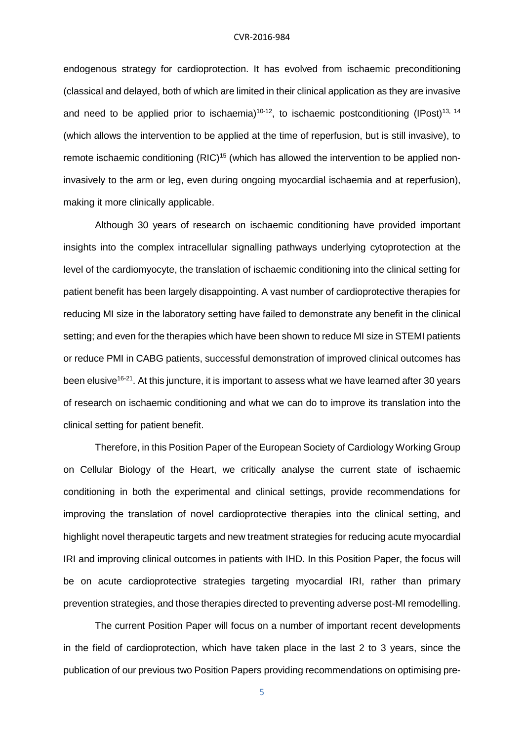#### CVR-2016-984

endogenous strategy for cardioprotection. It has evolved from ischaemic preconditioning (classical and delayed, both of which are limited in their clinical application as they are invasive and need to be applied prior to ischaemia)<sup>10-12</sup>, to ischaemic postconditioning (IPost)<sup>13, 14</sup> (which allows the intervention to be applied at the time of reperfusion, but is still invasive), to remote ischaemic conditioning (RIC)<sup>15</sup> (which has allowed the intervention to be applied noninvasively to the arm or leg, even during ongoing myocardial ischaemia and at reperfusion), making it more clinically applicable.

Although 30 years of research on ischaemic conditioning have provided important insights into the complex intracellular signalling pathways underlying cytoprotection at the level of the cardiomyocyte, the translation of ischaemic conditioning into the clinical setting for patient benefit has been largely disappointing. A vast number of cardioprotective therapies for reducing MI size in the laboratory setting have failed to demonstrate any benefit in the clinical setting; and even for the therapies which have been shown to reduce MI size in STEMI patients or reduce PMI in CABG patients, successful demonstration of improved clinical outcomes has been elusive<sup>16-21</sup>. At this juncture, it is important to assess what we have learned after 30 years of research on ischaemic conditioning and what we can do to improve its translation into the clinical setting for patient benefit.

Therefore, in this Position Paper of the European Society of Cardiology Working Group on Cellular Biology of the Heart, we critically analyse the current state of ischaemic conditioning in both the experimental and clinical settings, provide recommendations for improving the translation of novel cardioprotective therapies into the clinical setting, and highlight novel therapeutic targets and new treatment strategies for reducing acute myocardial IRI and improving clinical outcomes in patients with IHD. In this Position Paper, the focus will be on acute cardioprotective strategies targeting myocardial IRI, rather than primary prevention strategies, and those therapies directed to preventing adverse post-MI remodelling.

The current Position Paper will focus on a number of important recent developments in the field of cardioprotection, which have taken place in the last 2 to 3 years, since the publication of our previous two Position Papers providing recommendations on optimising pre-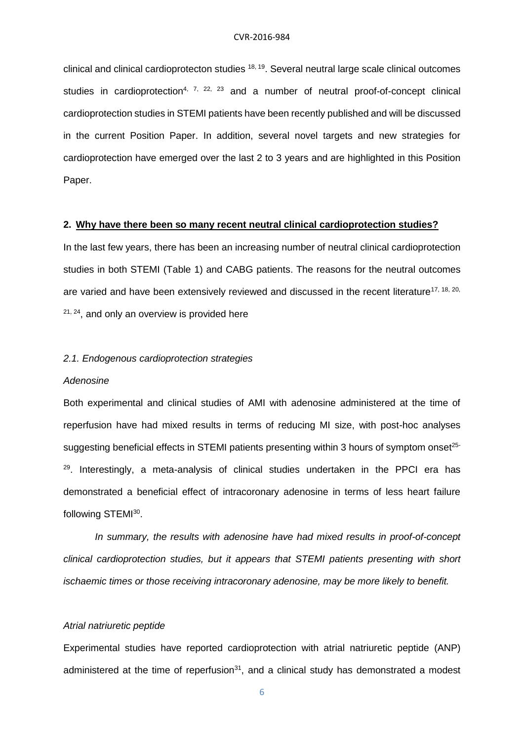clinical and clinical cardioprotecton studies <sup>18, 19</sup>. Several neutral large scale clinical outcomes studies in cardioprotection<sup>4, 7, 22, 23</sup> and a number of neutral proof-of-concept clinical cardioprotection studies in STEMI patients have been recently published and will be discussed in the current Position Paper. In addition, several novel targets and new strategies for cardioprotection have emerged over the last 2 to 3 years and are highlighted in this Position Paper.

## **2. Why have there been so many recent neutral clinical cardioprotection studies?**

In the last few years, there has been an increasing number of neutral clinical cardioprotection studies in both STEMI (Table 1) and CABG patients. The reasons for the neutral outcomes are varied and have been extensively reviewed and discussed in the recent literature<sup>17, 18, 20,</sup>  $21, 24$ , and only an overview is provided here

#### *2.1. Endogenous cardioprotection strategies*

## *Adenosine*

Both experimental and clinical studies of AMI with adenosine administered at the time of reperfusion have had mixed results in terms of reducing MI size, with post-hoc analyses suggesting beneficial effects in STEMI patients presenting within 3 hours of symptom onset<sup>25-</sup>  $29.$  Interestingly, a meta-analysis of clinical studies undertaken in the PPCI era has demonstrated a beneficial effect of intracoronary adenosine in terms of less heart failure following STEMI30.

*In summary, the results with adenosine have had mixed results in proof-of-concept clinical cardioprotection studies, but it appears that STEMI patients presenting with short ischaemic times or those receiving intracoronary adenosine, may be more likely to benefit.*

#### *Atrial natriuretic peptide*

Experimental studies have reported cardioprotection with atrial natriuretic peptide (ANP) administered at the time of reperfusion $31$ , and a clinical study has demonstrated a modest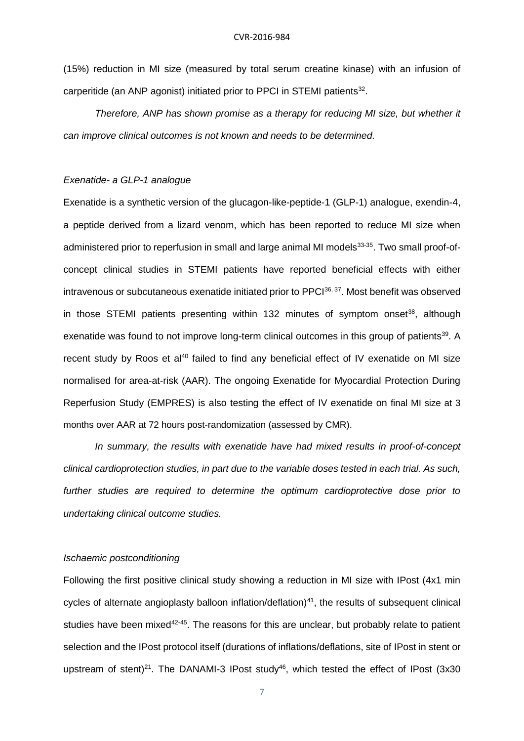(15%) reduction in MI size (measured by total serum creatine kinase) with an infusion of carperitide (an ANP agonist) initiated prior to PPCI in STEMI patients<sup>32</sup>.

*Therefore, ANP has shown promise as a therapy for reducing MI size, but whether it can improve clinical outcomes is not known and needs to be determined.*

## *Exenatide- a GLP-1 analogue*

Exenatide is a synthetic version of the glucagon-like-peptide-1 (GLP-1) analogue, exendin-4, a peptide derived from a lizard venom, which has been reported to reduce MI size when administered prior to reperfusion in small and large animal MI models<sup>33-35</sup>. Two small proof-ofconcept clinical studies in STEMI patients have reported beneficial effects with either intravenous or subcutaneous exenatide initiated prior to PPCI<sup>36, 37</sup>. Most benefit was observed in those STEMI patients presenting within 132 minutes of symptom onset $38$ . although exenatide was found to not improve long-term clinical outcomes in this group of patients<sup>39</sup>. A recent study by Roos et al<sup>40</sup> failed to find any beneficial effect of IV exenatide on MI size normalised for area-at-risk (AAR). The ongoing Exenatide for Myocardial Protection During Reperfusion Study (EMPRES) is also testing the effect of IV exenatide on final MI size at 3 months over AAR at 72 hours post-randomization (assessed by CMR).

*In summary, the results with exenatide have had mixed results in proof-of-concept clinical cardioprotection studies, in part due to the variable doses tested in each trial. As such,* further studies are required to determine the optimum cardioprotective dose prior to *undertaking clinical outcome studies.*

## *Ischaemic postconditioning*

Following the first positive clinical study showing a reduction in MI size with IPost (4x1 min cycles of alternate angioplasty balloon inflation/deflation)<sup>41</sup>, the results of subsequent clinical studies have been mixed<sup>42-45</sup>. The reasons for this are unclear, but probably relate to patient selection and the IPost protocol itself (durations of inflations/deflations, site of IPost in stent or upstream of stent)<sup>21</sup>. The DANAMI-3 IPost study<sup>46</sup>, which tested the effect of IPost (3x30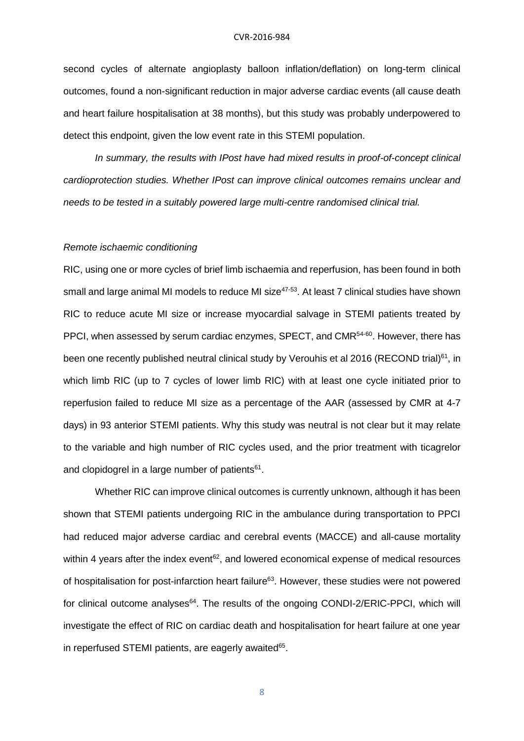second cycles of alternate angioplasty balloon inflation/deflation) on long-term clinical outcomes, found a non-significant reduction in major adverse cardiac events (all cause death and heart failure hospitalisation at 38 months), but this study was probably underpowered to detect this endpoint, given the low event rate in this STEMI population.

*In summary, the results with IPost have had mixed results in proof-of-concept clinical cardioprotection studies. Whether IPost can improve clinical outcomes remains unclear and needs to be tested in a suitably powered large multi-centre randomised clinical trial.* 

## *Remote ischaemic conditioning*

RIC, using one or more cycles of brief limb ischaemia and reperfusion, has been found in both small and large animal MI models to reduce MI size<sup>47-53</sup>. At least 7 clinical studies have shown RIC to reduce acute MI size or increase myocardial salvage in STEMI patients treated by PPCI, when assessed by serum cardiac enzymes, SPECT, and CMR<sup>54-60</sup>. However, there has been one recently published neutral clinical study by Verouhis et al 2016 (RECOND trial)<sup>61</sup>, in which limb RIC (up to 7 cycles of lower limb RIC) with at least one cycle initiated prior to reperfusion failed to reduce MI size as a percentage of the AAR (assessed by CMR at 4-7 days) in 93 anterior STEMI patients. Why this study was neutral is not clear but it may relate to the variable and high number of RIC cycles used, and the prior treatment with ticagrelor and clopidogrel in a large number of patients<sup>61</sup>.

Whether RIC can improve clinical outcomes is currently unknown, although it has been shown that STEMI patients undergoing RIC in the ambulance during transportation to PPCI had reduced major adverse cardiac and cerebral events (MACCE) and all-cause mortality within 4 years after the index event $62$ , and lowered economical expense of medical resources of hospitalisation for post-infarction heart failure<sup>63</sup>. However, these studies were not powered for clinical outcome analyses<sup>64</sup>. The results of the ongoing CONDI-2/ERIC-PPCI, which will investigate the effect of RIC on cardiac death and hospitalisation for heart failure at one year in reperfused STEMI patients, are eagerly awaited<sup>65</sup>.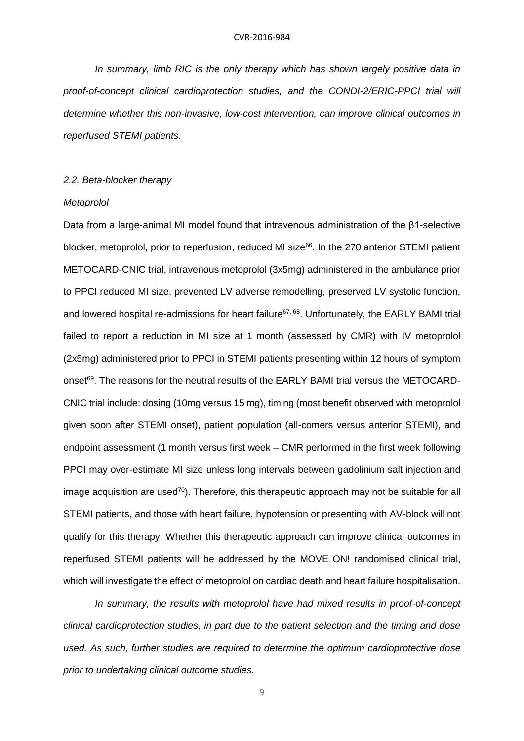*In summary, limb RIC is the only therapy which has shown largely positive data in proof-of-concept clinical cardioprotection studies, and the CONDI-2/ERIC-PPCI trial will determine whether this non-invasive, low-cost intervention, can improve clinical outcomes in reperfused STEMI patients.*

#### *2.2. Beta-blocker therapy*

#### *Metoprolol*

Data from a large-animal MI model found that intravenous administration of the β1-selective blocker, metoprolol, prior to reperfusion, reduced MI size<sup>66</sup>. In the 270 anterior STEMI patient METOCARD-CNIC trial, intravenous metoprolol (3x5mg) administered in the ambulance prior to PPCI reduced MI size, prevented LV adverse remodelling, preserved LV systolic function, and lowered hospital re-admissions for heart failure<sup>67, 68</sup>. Unfortunately, the EARLY BAMI trial failed to report a reduction in MI size at 1 month (assessed by CMR) with IV metoprolol (2x5mg) administered prior to PPCI in STEMI patients presenting within 12 hours of symptom onset<sup>69</sup>. The reasons for the neutral results of the EARLY BAMI trial versus the METOCARD-CNIC trial include: dosing (10mg versus 15 mg), timing (most benefit observed with metoprolol given soon after STEMI onset), patient population (all-comers versus anterior STEMI), and endpoint assessment (1 month versus first week – CMR performed in the first week following PPCI may over-estimate MI size unless long intervals between gadolinium salt injection and image acquisition are used<sup>70</sup>). Therefore, this therapeutic approach may not be suitable for all STEMI patients, and those with heart failure, hypotension or presenting with AV-block will not qualify for this therapy. Whether this therapeutic approach can improve clinical outcomes in reperfused STEMI patients will be addressed by the MOVE ON! randomised clinical trial, which will investigate the effect of metoprolol on cardiac death and heart failure hospitalisation.

*In summary, the results with metoprolol have had mixed results in proof-of-concept clinical cardioprotection studies, in part due to the patient selection and the timing and dose used. As such, further studies are required to determine the optimum cardioprotective dose prior to undertaking clinical outcome studies.*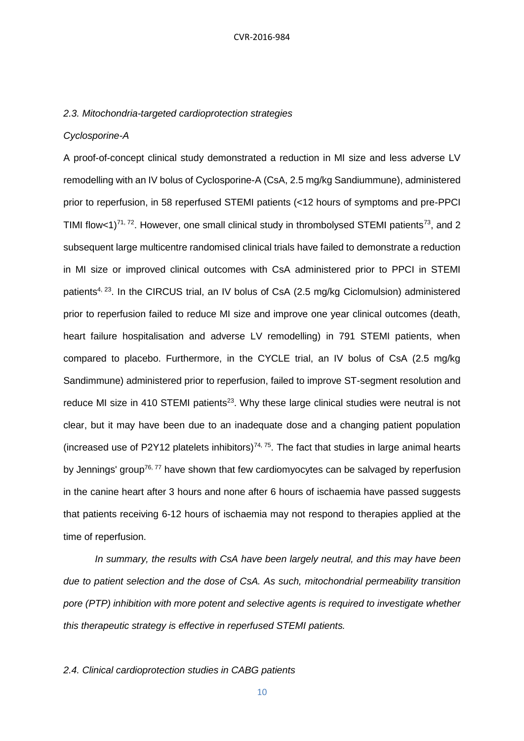## *2.3. Mitochondria-targeted cardioprotection strategies*

## *Cyclosporine-A*

A proof-of-concept clinical study demonstrated a reduction in MI size and less adverse LV remodelling with an IV bolus of Cyclosporine-A (CsA, 2.5 mg/kg Sandiummune), administered prior to reperfusion, in 58 reperfused STEMI patients (<12 hours of symptoms and pre-PPCI TIMI flow<1)<sup>71, 72</sup>. However, one small clinical study in thrombolysed STEMI patients<sup>73</sup>, and 2 subsequent large multicentre randomised clinical trials have failed to demonstrate a reduction in MI size or improved clinical outcomes with CsA administered prior to PPCI in STEMI patients<sup>4, 23</sup>. In the CIRCUS trial, an IV bolus of CsA (2.5 mg/kg Ciclomulsion) administered prior to reperfusion failed to reduce MI size and improve one year clinical outcomes (death, heart failure hospitalisation and adverse LV remodelling) in 791 STEMI patients, when compared to placebo. Furthermore, in the CYCLE trial, an IV bolus of CsA (2.5 mg/kg Sandimmune) administered prior to reperfusion, failed to improve ST-segment resolution and reduce MI size in 410 STEMI patients<sup>23</sup>. Why these large clinical studies were neutral is not clear, but it may have been due to an inadequate dose and a changing patient population (increased use of P2Y12 platelets inhibitors)<sup>74, 75</sup>. The fact that studies in large animal hearts by Jennings' group<sup>76, 77</sup> have shown that few cardiomyocytes can be salvaged by reperfusion in the canine heart after 3 hours and none after 6 hours of ischaemia have passed suggests that patients receiving 6-12 hours of ischaemia may not respond to therapies applied at the time of reperfusion.

*In summary, the results with CsA have been largely neutral, and this may have been due to patient selection and the dose of CsA. As such, mitochondrial permeability transition pore (PTP) inhibition with more potent and selective agents is required to investigate whether this therapeutic strategy is effective in reperfused STEMI patients.*

## *2.4. Clinical cardioprotection studies in CABG patients*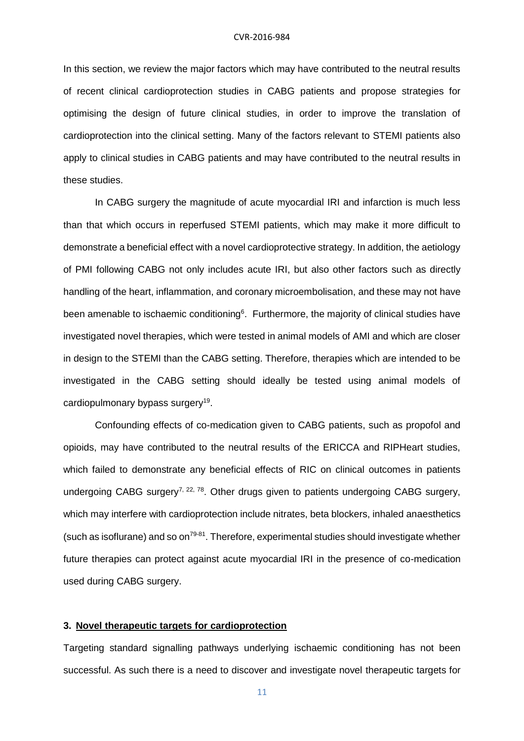In this section, we review the major factors which may have contributed to the neutral results of recent clinical cardioprotection studies in CABG patients and propose strategies for optimising the design of future clinical studies, in order to improve the translation of cardioprotection into the clinical setting. Many of the factors relevant to STEMI patients also apply to clinical studies in CABG patients and may have contributed to the neutral results in these studies.

In CABG surgery the magnitude of acute myocardial IRI and infarction is much less than that which occurs in reperfused STEMI patients, which may make it more difficult to demonstrate a beneficial effect with a novel cardioprotective strategy. In addition, the aetiology of PMI following CABG not only includes acute IRI, but also other factors such as directly handling of the heart, inflammation, and coronary microembolisation, and these may not have been amenable to ischaemic conditioning<sup>6</sup>. Furthermore, the majority of clinical studies have investigated novel therapies, which were tested in animal models of AMI and which are closer in design to the STEMI than the CABG setting. Therefore, therapies which are intended to be investigated in the CABG setting should ideally be tested using animal models of cardiopulmonary bypass surgery<sup>19</sup>.

Confounding effects of co-medication given to CABG patients, such as propofol and opioids, may have contributed to the neutral results of the ERICCA and RIPHeart studies, which failed to demonstrate any beneficial effects of RIC on clinical outcomes in patients undergoing CABG surgery<sup>7, 22, 78</sup>. Other drugs given to patients undergoing CABG surgery, which may interfere with cardioprotection include nitrates, beta blockers, inhaled anaesthetics (such as isoflurane) and so on79-81. Therefore, experimental studies should investigate whether future therapies can protect against acute myocardial IRI in the presence of co-medication used during CABG surgery.

## **3. Novel therapeutic targets for cardioprotection**

Targeting standard signalling pathways underlying ischaemic conditioning has not been successful. As such there is a need to discover and investigate novel therapeutic targets for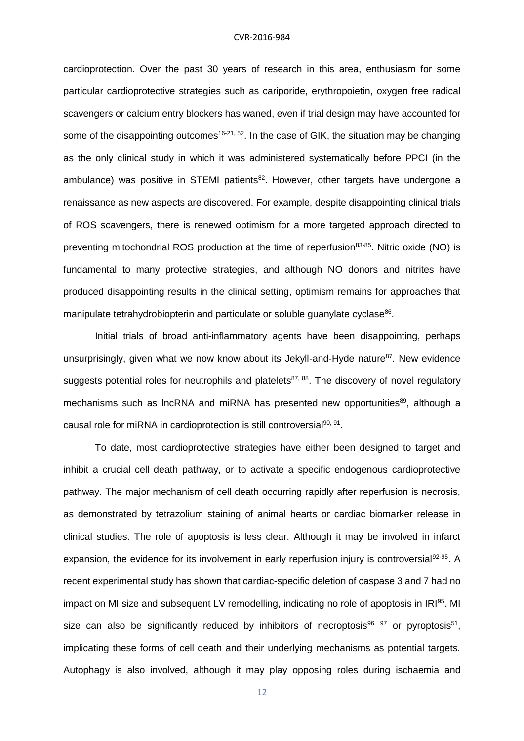#### CVR-2016-984

cardioprotection. Over the past 30 years of research in this area, enthusiasm for some particular cardioprotective strategies such as cariporide, erythropoietin, oxygen free radical scavengers or calcium entry blockers has waned, even if trial design may have accounted for some of the disappointing outcomes<sup>16-21, 52</sup>. In the case of GIK, the situation may be changing as the only clinical study in which it was administered systematically before PPCI (in the ambulance) was positive in STEMI patients<sup>82</sup>. However, other targets have undergone a renaissance as new aspects are discovered. For example, despite disappointing clinical trials of ROS scavengers, there is renewed optimism for a more targeted approach directed to preventing mitochondrial ROS production at the time of reperfusion<sup>83-85</sup>. Nitric oxide (NO) is fundamental to many protective strategies, and although NO donors and nitrites have produced disappointing results in the clinical setting, optimism remains for approaches that manipulate tetrahydrobiopterin and particulate or soluble guanylate cyclase<sup>86</sup>.

Initial trials of broad anti-inflammatory agents have been disappointing, perhaps unsurprisingly, given what we now know about its Jekyll-and-Hyde nature<sup>87</sup>. New evidence suggests potential roles for neutrophils and platelets<sup>87, 88</sup>. The discovery of novel regulatory mechanisms such as lncRNA and miRNA has presented new opportunities<sup>89</sup>, although a causal role for miRNA in cardioprotection is still controversial<sup>90, 91</sup>.

To date, most cardioprotective strategies have either been designed to target and inhibit a crucial cell death pathway, or to activate a specific endogenous cardioprotective pathway. The major mechanism of cell death occurring rapidly after reperfusion is necrosis, as demonstrated by tetrazolium staining of animal hearts or cardiac biomarker release in clinical studies. The role of apoptosis is less clear. Although it may be involved in infarct expansion, the evidence for its involvement in early reperfusion injury is controversial<sup>92-95</sup>. A recent experimental study has shown that cardiac-specific deletion of caspase 3 and 7 had no impact on MI size and subsequent LV remodelling, indicating no role of apoptosis in IRI<sup>95</sup>. MI size can also be significantly reduced by inhibitors of necroptosis<sup>96, 97</sup> or pyroptosis<sup>51</sup>, implicating these forms of cell death and their underlying mechanisms as potential targets. Autophagy is also involved, although it may play opposing roles during ischaemia and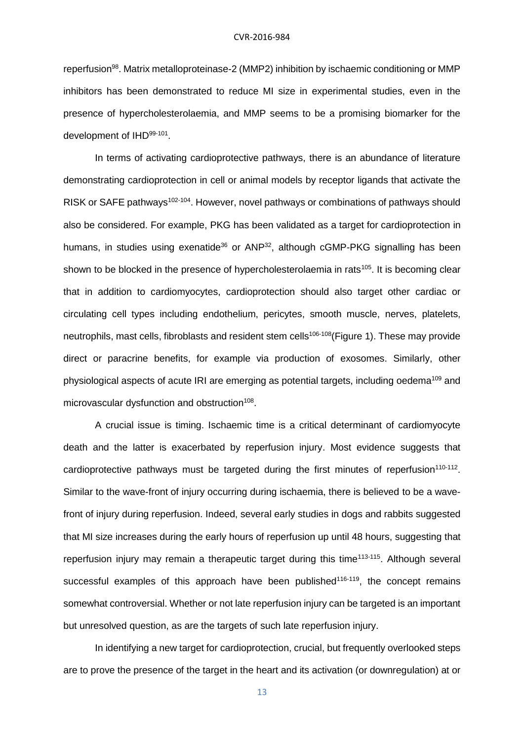reperfusion<sup>98</sup>. Matrix metalloproteinase-2 (MMP2) inhibition by ischaemic conditioning or MMP inhibitors has been demonstrated to reduce MI size in experimental studies, even in the presence of hypercholesterolaemia, and MMP seems to be a promising biomarker for the development of IHD<sup>99-101</sup>.

In terms of activating cardioprotective pathways, there is an abundance of literature demonstrating cardioprotection in cell or animal models by receptor ligands that activate the RISK or SAFE pathways<sup>102-104</sup>. However, novel pathways or combinations of pathways should also be considered. For example, PKG has been validated as a target for cardioprotection in humans, in studies using exenatide<sup>36</sup> or ANP<sup>32</sup>, although cGMP-PKG signalling has been shown to be blocked in the presence of hypercholesterolaemia in rats<sup>105</sup>. It is becoming clear that in addition to cardiomyocytes, cardioprotection should also target other cardiac or circulating cell types including endothelium, pericytes, smooth muscle, nerves, platelets, neutrophils, mast cells, fibroblasts and resident stem cells<sup>106-108</sup>(Figure 1). These may provide direct or paracrine benefits, for example via production of exosomes. Similarly, other physiological aspects of acute IRI are emerging as potential targets, including oedema<sup>109</sup> and microvascular dysfunction and obstruction<sup>108</sup>.

A crucial issue is timing. Ischaemic time is a critical determinant of cardiomyocyte death and the latter is exacerbated by reperfusion injury. Most evidence suggests that cardioprotective pathways must be targeted during the first minutes of reperfusion<sup>110-112</sup>. Similar to the wave-front of injury occurring during ischaemia, there is believed to be a wavefront of injury during reperfusion. Indeed, several early studies in dogs and rabbits suggested that MI size increases during the early hours of reperfusion up until 48 hours, suggesting that reperfusion injury may remain a therapeutic target during this time<sup>113-115</sup>. Although several successful examples of this approach have been published<sup>116-119</sup>, the concept remains somewhat controversial. Whether or not late reperfusion injury can be targeted is an important but unresolved question, as are the targets of such late reperfusion injury.

In identifying a new target for cardioprotection, crucial, but frequently overlooked steps are to prove the presence of the target in the heart and its activation (or downregulation) at or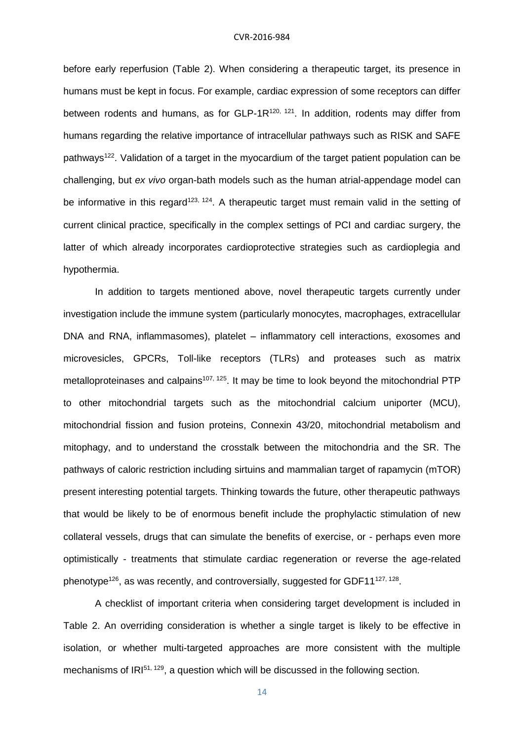#### CVR-2016-984

before early reperfusion (Table 2). When considering a therapeutic target, its presence in humans must be kept in focus. For example, cardiac expression of some receptors can differ between rodents and humans, as for  $GLP-1R^{120, 121}$ . In addition, rodents may differ from humans regarding the relative importance of intracellular pathways such as RISK and SAFE pathways<sup>122</sup>. Validation of a target in the myocardium of the target patient population can be challenging, but *ex vivo* organ-bath models such as the human atrial-appendage model can be informative in this regard<sup>123, 124</sup>. A therapeutic target must remain valid in the setting of current clinical practice, specifically in the complex settings of PCI and cardiac surgery, the latter of which already incorporates cardioprotective strategies such as cardioplegia and hypothermia.

In addition to targets mentioned above, novel therapeutic targets currently under investigation include the immune system (particularly monocytes, macrophages, extracellular DNA and RNA, inflammasomes), platelet – inflammatory cell interactions, exosomes and microvesicles, GPCRs, Toll-like receptors (TLRs) and proteases such as matrix metalloproteinases and calpains<sup>107, 125</sup>. It may be time to look beyond the mitochondrial PTP to other mitochondrial targets such as the mitochondrial calcium uniporter (MCU), mitochondrial fission and fusion proteins, Connexin 43/20, mitochondrial metabolism and mitophagy, and to understand the crosstalk between the mitochondria and the SR. The pathways of caloric restriction including sirtuins and mammalian target of rapamycin (mTOR) present interesting potential targets. Thinking towards the future, other therapeutic pathways that would be likely to be of enormous benefit include the prophylactic stimulation of new collateral vessels, drugs that can simulate the benefits of exercise, or - perhaps even more optimistically - treatments that stimulate cardiac regeneration or reverse the age-related phenotype<sup>126</sup>, as was recently, and controversially, suggested for GDF11<sup>127, 128</sup>.

A checklist of important criteria when considering target development is included in Table 2. An overriding consideration is whether a single target is likely to be effective in isolation, or whether multi-targeted approaches are more consistent with the multiple mechanisms of  $IRI<sup>51, 129</sup>$ , a question which will be discussed in the following section.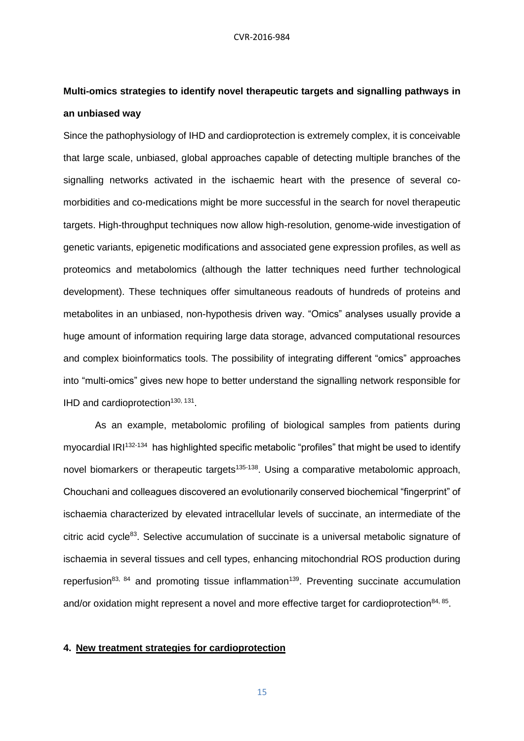# **Multi-omics strategies to identify novel therapeutic targets and signalling pathways in an unbiased way**

Since the pathophysiology of IHD and cardioprotection is extremely complex, it is conceivable that large scale, unbiased, global approaches capable of detecting multiple branches of the signalling networks activated in the ischaemic heart with the presence of several comorbidities and co-medications might be more successful in the search for novel therapeutic targets. High-throughput techniques now allow high-resolution, genome-wide investigation of genetic variants, epigenetic modifications and associated gene expression profiles, as well as proteomics and metabolomics (although the latter techniques need further technological development). These techniques offer simultaneous readouts of hundreds of proteins and metabolites in an unbiased, non-hypothesis driven way. "Omics" analyses usually provide a huge amount of information requiring large data storage, advanced computational resources and complex bioinformatics tools. The possibility of integrating different "omics" approaches into "multi-omics" gives new hope to better understand the signalling network responsible for  $IHD$  and cardioprotection<sup>130, 131</sup>.

As an example, metabolomic profiling of biological samples from patients during myocardial IRI<sup>132-134</sup> has highlighted specific metabolic "profiles" that might be used to identify novel biomarkers or therapeutic targets<sup>135-138</sup>. Using a comparative metabolomic approach, Chouchani and colleagues discovered an evolutionarily conserved biochemical "fingerprint" of ischaemia characterized by elevated intracellular levels of succinate, an intermediate of the citric acid cycle<sup>83</sup>. Selective accumulation of succinate is a universal metabolic signature of ischaemia in several tissues and cell types, enhancing mitochondrial ROS production during reperfusion<sup>83, 84</sup> and promoting tissue inflammation<sup>139</sup>. Preventing succinate accumulation and/or oxidation might represent a novel and more effective target for cardioprotection<sup>84, 85</sup>.

## **4. New treatment strategies for cardioprotection**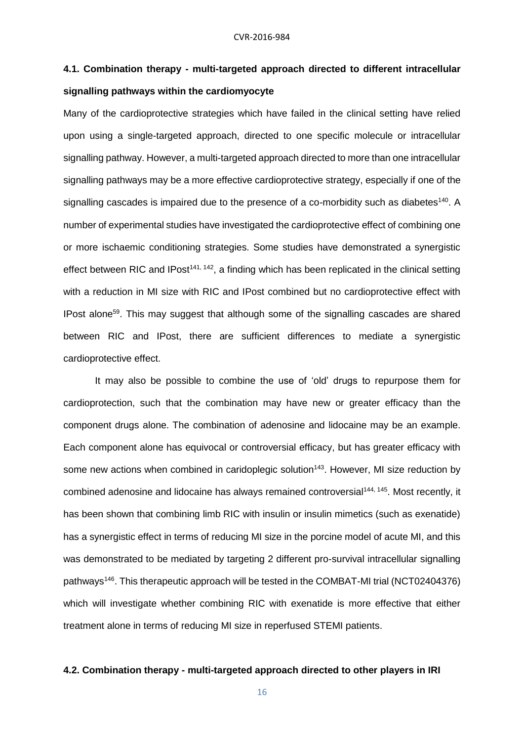# **4.1. Combination therapy - multi-targeted approach directed to different intracellular signalling pathways within the cardiomyocyte**

Many of the cardioprotective strategies which have failed in the clinical setting have relied upon using a single-targeted approach, directed to one specific molecule or intracellular signalling pathway. However, a multi-targeted approach directed to more than one intracellular signalling pathways may be a more effective cardioprotective strategy, especially if one of the signalling cascades is impaired due to the presence of a co-morbidity such as diabetes<sup>140</sup>. A number of experimental studies have investigated the cardioprotective effect of combining one or more ischaemic conditioning strategies. Some studies have demonstrated a synergistic effect between RIC and IPost<sup>141, 142</sup>, a finding which has been replicated in the clinical setting with a reduction in MI size with RIC and IPost combined but no cardioprotective effect with IPost alone<sup>59</sup>. This may suggest that although some of the signalling cascades are shared between RIC and IPost, there are sufficient differences to mediate a synergistic cardioprotective effect.

It may also be possible to combine the use of 'old' drugs to repurpose them for cardioprotection, such that the combination may have new or greater efficacy than the component drugs alone. The combination of adenosine and lidocaine may be an example. Each component alone has equivocal or controversial efficacy, but has greater efficacy with some new actions when combined in caridoplegic solution<sup>143</sup>. However, MI size reduction by combined adenosine and lidocaine has always remained controversial<sup>144, 145</sup>. Most recently, it has been shown that combining limb RIC with insulin or insulin mimetics (such as exenatide) has a synergistic effect in terms of reducing MI size in the porcine model of acute MI, and this was demonstrated to be mediated by targeting 2 different pro-survival intracellular signalling pathways<sup>146</sup>. This therapeutic approach will be tested in the COMBAT-MI trial (NCT02404376) which will investigate whether combining RIC with exenatide is more effective that either treatment alone in terms of reducing MI size in reperfused STEMI patients.

## **4.2. Combination therapy - multi-targeted approach directed to other players in IRI**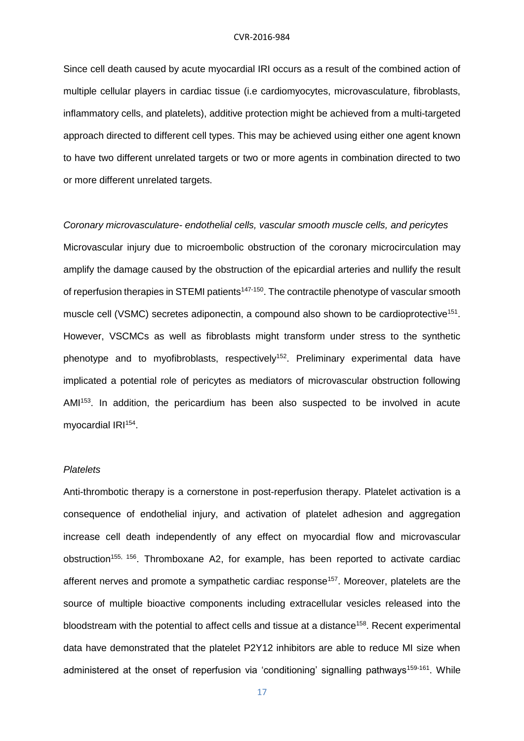Since cell death caused by acute myocardial IRI occurs as a result of the combined action of multiple cellular players in cardiac tissue (i.e cardiomyocytes, microvasculature, fibroblasts, inflammatory cells, and platelets), additive protection might be achieved from a multi-targeted approach directed to different cell types. This may be achieved using either one agent known to have two different unrelated targets or two or more agents in combination directed to two or more different unrelated targets.

*Coronary microvasculature- endothelial cells, vascular smooth muscle cells, and pericytes* Microvascular injury due to microembolic obstruction of the coronary microcirculation may amplify the damage caused by the obstruction of the epicardial arteries and nullify the result of reperfusion therapies in STEMI patients<sup>147-150</sup>. The contractile phenotype of vascular smooth muscle cell (VSMC) secretes adiponectin, a compound also shown to be cardioprotective<sup>151</sup>. However, VSCMCs as well as fibroblasts might transform under stress to the synthetic phenotype and to myofibroblasts, respectively<sup>152</sup>. Preliminary experimental data have implicated a potential role of pericytes as mediators of microvascular obstruction following AMI<sup>153</sup>. In addition, the pericardium has been also suspected to be involved in acute myocardial IRI<sup>154</sup>.

## *Platelets*

Anti-thrombotic therapy is a cornerstone in post-reperfusion therapy. Platelet activation is a consequence of endothelial injury, and activation of platelet adhesion and aggregation increase cell death independently of any effect on myocardial flow and microvascular obstruction<sup>155, 156</sup>. Thromboxane A2, for example, has been reported to activate cardiac afferent nerves and promote a sympathetic cardiac response<sup>157</sup>. Moreover, platelets are the source of multiple bioactive components including extracellular vesicles released into the bloodstream with the potential to affect cells and tissue at a distance<sup>158</sup>. Recent experimental data have demonstrated that the platelet P2Y12 inhibitors are able to reduce MI size when administered at the onset of reperfusion via 'conditioning' signalling pathways<sup>159-161</sup>. While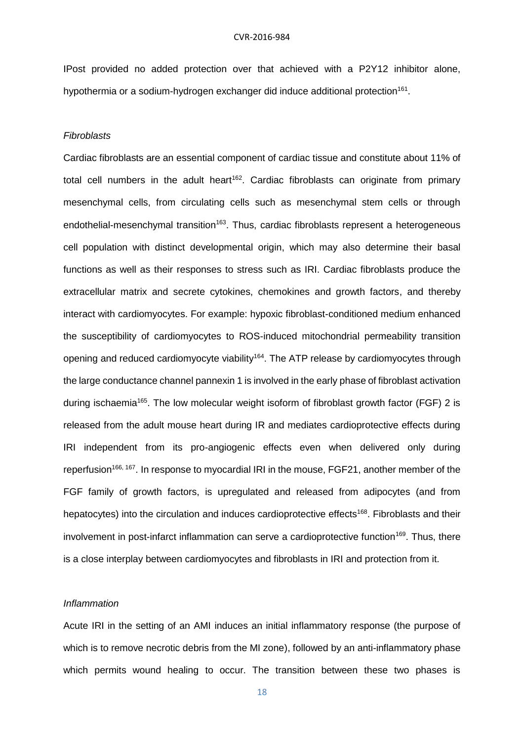IPost provided no added protection over that achieved with a P2Y12 inhibitor alone, hypothermia or a sodium-hydrogen exchanger did induce additional protection<sup>161</sup>.

#### *Fibroblasts*

Cardiac fibroblasts are an essential component of cardiac tissue and constitute about 11% of total cell numbers in the adult heart<sup>162</sup>. Cardiac fibroblasts can originate from primary mesenchymal cells, from circulating cells such as mesenchymal stem cells or through endothelial-mesenchymal transition<sup>163</sup>. Thus, cardiac fibroblasts represent a heterogeneous cell population with distinct developmental origin, which may also determine their basal functions as well as their responses to stress such as IRI. Cardiac fibroblasts produce the extracellular matrix and secrete cytokines, chemokines and growth factors, and thereby interact with cardiomyocytes. For example: hypoxic fibroblast-conditioned medium enhanced the susceptibility of cardiomyocytes to ROS-induced mitochondrial permeability transition opening and reduced cardiomyocyte viability<sup>164</sup>. The ATP release by cardiomyocytes through the large conductance channel pannexin 1 is involved in the early phase of fibroblast activation during ischaemia<sup>165</sup>. The low molecular weight isoform of fibroblast growth factor (FGF) 2 is released from the adult mouse heart during IR and mediates cardioprotective effects during IRI independent from its pro-angiogenic effects even when delivered only during reperfusion<sup>166, 167</sup>. In response to myocardial IRI in the mouse, FGF21, another member of the FGF family of growth factors, is upregulated and released from adipocytes (and from hepatocytes) into the circulation and induces cardioprotective effects<sup>168</sup>. Fibroblasts and their involvement in post-infarct inflammation can serve a cardioprotective function<sup>169</sup>. Thus, there is a close interplay between cardiomyocytes and fibroblasts in IRI and protection from it.

## *Inflammation*

Acute IRI in the setting of an AMI induces an initial inflammatory response (the purpose of which is to remove necrotic debris from the MI zone), followed by an anti-inflammatory phase which permits wound healing to occur. The transition between these two phases is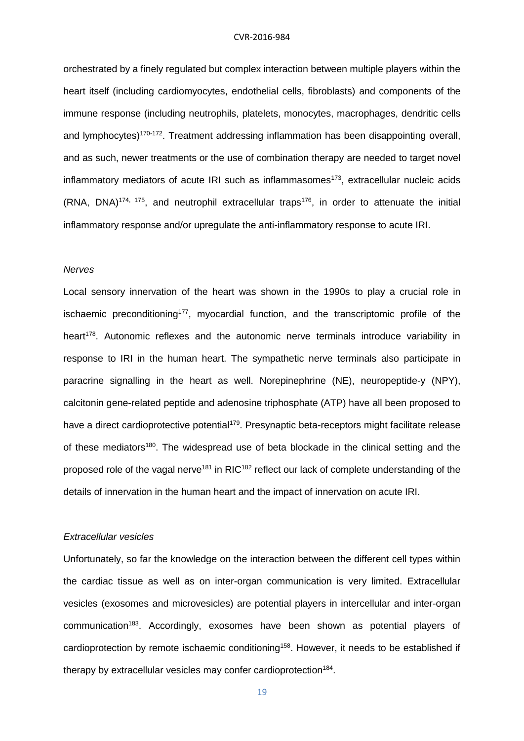#### CVR-2016-984

orchestrated by a finely regulated but complex interaction between multiple players within the heart itself (including cardiomyocytes, endothelial cells, fibroblasts) and components of the immune response (including neutrophils, platelets, monocytes, macrophages, dendritic cells and lymphocytes)<sup>170-172</sup>. Treatment addressing inflammation has been disappointing overall, and as such, newer treatments or the use of combination therapy are needed to target novel inflammatory mediators of acute IRI such as inflammasomes<sup>173</sup>, extracellular nucleic acids  $(RNA, DNA)^{174, 175}$ , and neutrophil extracellular traps<sup>176</sup>, in order to attenuate the initial inflammatory response and/or upregulate the anti-inflammatory response to acute IRI.

#### *Nerves*

Local sensory innervation of the heart was shown in the 1990s to play a crucial role in ischaemic preconditioning<sup>177</sup>, myocardial function, and the transcriptomic profile of the heart<sup>178</sup>. Autonomic reflexes and the autonomic nerve terminals introduce variability in response to IRI in the human heart. The sympathetic nerve terminals also participate in paracrine signalling in the heart as well. Norepinephrine (NE), neuropeptide-y (NPY), calcitonin gene-related peptide and adenosine triphosphate (ATP) have all been proposed to have a direct cardioprotective potential<sup>179</sup>. Presynaptic beta-receptors might facilitate release of these mediators<sup>180</sup>. The widespread use of beta blockade in the clinical setting and the proposed role of the vagal nerve<sup>181</sup> in RIC<sup>182</sup> reflect our lack of complete understanding of the details of innervation in the human heart and the impact of innervation on acute IRI.

## *Extracellular vesicles*

Unfortunately, so far the knowledge on the interaction between the different cell types within the cardiac tissue as well as on inter-organ communication is very limited. Extracellular vesicles (exosomes and microvesicles) are potential players in intercellular and inter-organ communication<sup>183</sup>. Accordingly, exosomes have been shown as potential players of cardioprotection by remote ischaemic conditioning<sup>158</sup>. However, it needs to be established if therapy by extracellular vesicles may confer cardioprotection<sup>184</sup>.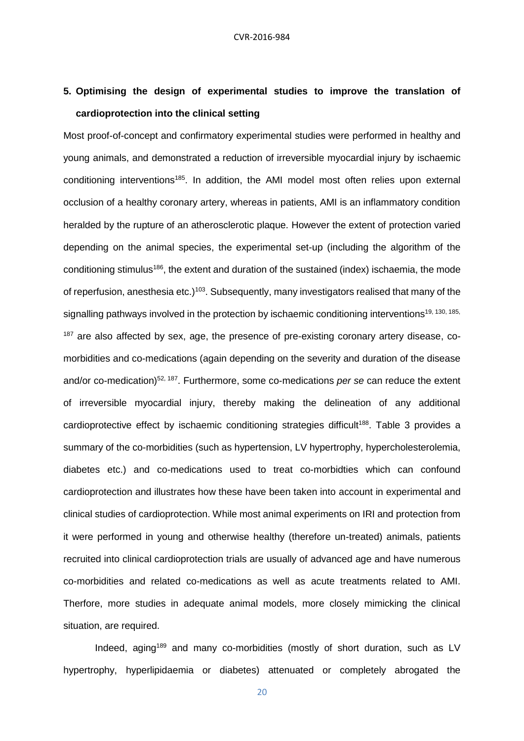# **5. Optimising the design of experimental studies to improve the translation of cardioprotection into the clinical setting**

Most proof-of-concept and confirmatory experimental studies were performed in healthy and young animals, and demonstrated a reduction of irreversible myocardial injury by ischaemic conditioning interventions<sup>185</sup>. In addition, the AMI model most often relies upon external occlusion of a healthy coronary artery, whereas in patients, AMI is an inflammatory condition heralded by the rupture of an atherosclerotic plaque. However the extent of protection varied depending on the animal species, the experimental set-up (including the algorithm of the conditioning stimulus<sup>186</sup>, the extent and duration of the sustained (index) ischaemia, the mode of reperfusion, anesthesia etc.)<sup>103</sup>. Subsequently, many investigators realised that many of the signalling pathways involved in the protection by ischaemic conditioning interventions<sup>19, 130, 185,</sup>  $187$  are also affected by sex, age, the presence of pre-existing coronary artery disease, comorbidities and co-medications (again depending on the severity and duration of the disease and/or co-medication)52, 187. Furthermore, some co-medications *per se* can reduce the extent of irreversible myocardial injury, thereby making the delineation of any additional cardioprotective effect by ischaemic conditioning strategies difficult<sup>188</sup>. Table 3 provides a summary of the co-morbidities (such as hypertension, LV hypertrophy, hypercholesterolemia, diabetes etc.) and co-medications used to treat co-morbidties which can confound cardioprotection and illustrates how these have been taken into account in experimental and clinical studies of cardioprotection. While most animal experiments on IRI and protection from it were performed in young and otherwise healthy (therefore un-treated) animals, patients recruited into clinical cardioprotection trials are usually of advanced age and have numerous co-morbidities and related co-medications as well as acute treatments related to AMI. Therfore, more studies in adequate animal models, more closely mimicking the clinical situation, are required.

Indeed, aging<sup>189</sup> and many co-morbidities (mostly of short duration, such as LV hypertrophy, hyperlipidaemia or diabetes) attenuated or completely abrogated the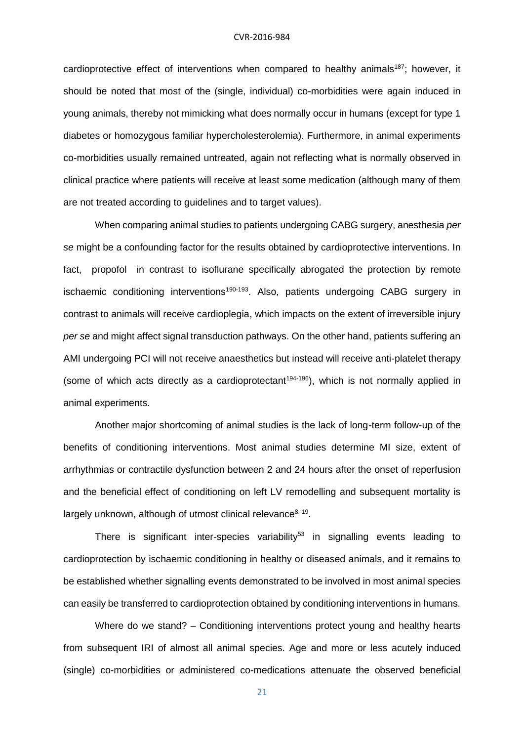cardioprotective effect of interventions when compared to healthy animals<sup>187</sup>; however, it should be noted that most of the (single, individual) co-morbidities were again induced in young animals, thereby not mimicking what does normally occur in humans (except for type 1 diabetes or homozygous familiar hypercholesterolemia). Furthermore, in animal experiments co-morbidities usually remained untreated, again not reflecting what is normally observed in clinical practice where patients will receive at least some medication (although many of them are not treated according to guidelines and to target values).

When comparing animal studies to patients undergoing CABG surgery, anesthesia *per se* might be a confounding factor for the results obtained by cardioprotective interventions. In fact, propofol in contrast to isoflurane specifically abrogated the protection by remote ischaemic conditioning interventions<sup>190-193</sup>. Also, patients undergoing CABG surgery in contrast to animals will receive cardioplegia, which impacts on the extent of irreversible injury *per se* and might affect signal transduction pathways. On the other hand, patients suffering an AMI undergoing PCI will not receive anaesthetics but instead will receive anti-platelet therapy (some of which acts directly as a cardioprotectant<sup>194-196</sup>), which is not normally applied in animal experiments.

Another major shortcoming of animal studies is the lack of long-term follow-up of the benefits of conditioning interventions. Most animal studies determine MI size, extent of arrhythmias or contractile dysfunction between 2 and 24 hours after the onset of reperfusion and the beneficial effect of conditioning on left LV remodelling and subsequent mortality is largely unknown, although of utmost clinical relevance<sup>8, 19</sup>.

There is significant inter-species variability<sup>53</sup> in signalling events leading to cardioprotection by ischaemic conditioning in healthy or diseased animals, and it remains to be established whether signalling events demonstrated to be involved in most animal species can easily be transferred to cardioprotection obtained by conditioning interventions in humans.

Where do we stand? – Conditioning interventions protect young and healthy hearts from subsequent IRI of almost all animal species. Age and more or less acutely induced (single) co-morbidities or administered co-medications attenuate the observed beneficial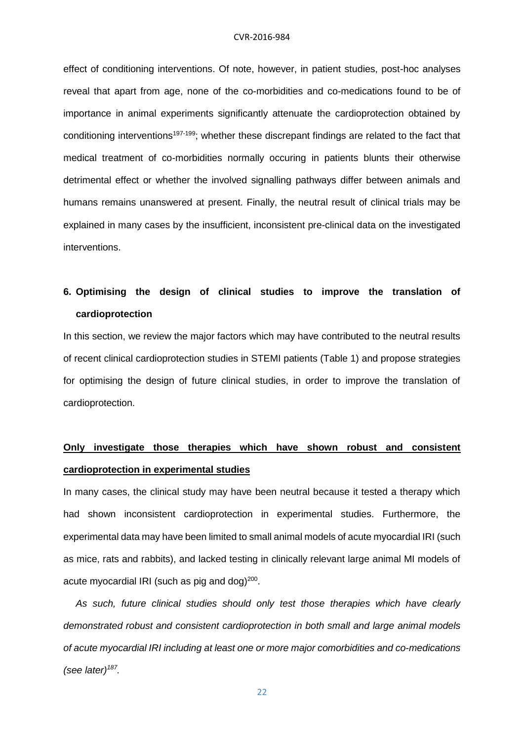#### CVR-2016-984

effect of conditioning interventions. Of note, however, in patient studies, post-hoc analyses reveal that apart from age, none of the co-morbidities and co-medications found to be of importance in animal experiments significantly attenuate the cardioprotection obtained by conditioning interventions<sup>197-199</sup>; whether these discrepant findings are related to the fact that medical treatment of co-morbidities normally occuring in patients blunts their otherwise detrimental effect or whether the involved signalling pathways differ between animals and humans remains unanswered at present. Finally, the neutral result of clinical trials may be explained in many cases by the insufficient, inconsistent pre-clinical data on the investigated interventions.

# **6. Optimising the design of clinical studies to improve the translation of cardioprotection**

In this section, we review the major factors which may have contributed to the neutral results of recent clinical cardioprotection studies in STEMI patients (Table 1) and propose strategies for optimising the design of future clinical studies, in order to improve the translation of cardioprotection.

# **Only investigate those therapies which have shown robust and consistent cardioprotection in experimental studies**

In many cases, the clinical study may have been neutral because it tested a therapy which had shown inconsistent cardioprotection in experimental studies. Furthermore, the experimental data may have been limited to small animal models of acute myocardial IRI (such as mice, rats and rabbits), and lacked testing in clinically relevant large animal MI models of acute myocardial IRI (such as pig and dog) $200$ .

*As such, future clinical studies should only test those therapies which have clearly demonstrated robust and consistent cardioprotection in both small and large animal models of acute myocardial IRI including at least one or more major comorbidities and co-medications (see later)<sup>187</sup> .*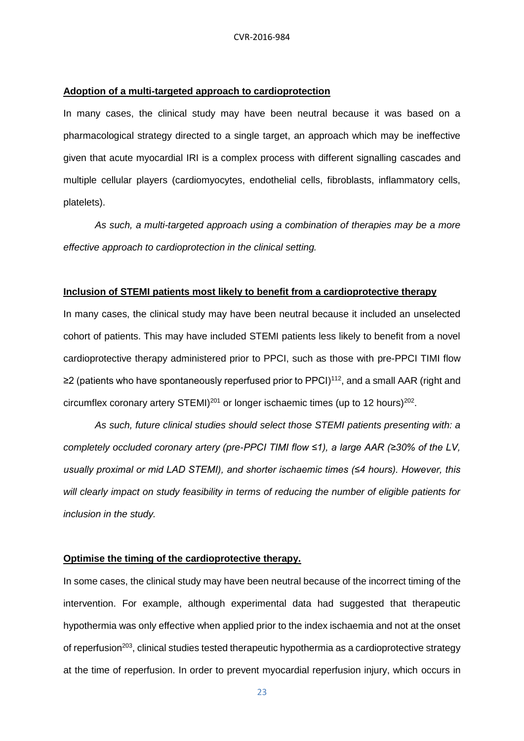## **Adoption of a multi-targeted approach to cardioprotection**

In many cases, the clinical study may have been neutral because it was based on a pharmacological strategy directed to a single target, an approach which may be ineffective given that acute myocardial IRI is a complex process with different signalling cascades and multiple cellular players (cardiomyocytes, endothelial cells, fibroblasts, inflammatory cells, platelets).

*As such, a multi-targeted approach using a combination of therapies may be a more effective approach to cardioprotection in the clinical setting.*

#### **Inclusion of STEMI patients most likely to benefit from a cardioprotective therapy**

In many cases, the clinical study may have been neutral because it included an unselected cohort of patients. This may have included STEMI patients less likely to benefit from a novel cardioprotective therapy administered prior to PPCI, such as those with pre-PPCI TIMI flow ≥2 (patients who have spontaneously reperfused prior to PPCI)<sup>112</sup>, and a small AAR (right and circumflex coronary artery STEMI)<sup>201</sup> or longer ischaemic times (up to 12 hours)<sup>202</sup>.

*As such, future clinical studies should select those STEMI patients presenting with: a completely occluded coronary artery (pre-PPCI TIMI flow ≤1), a large AAR (≥30% of the LV, usually proximal or mid LAD STEMI), and shorter ischaemic times (≤4 hours). However, this will clearly impact on study feasibility in terms of reducing the number of eligible patients for inclusion in the study.*

## **Optimise the timing of the cardioprotective therapy.**

In some cases, the clinical study may have been neutral because of the incorrect timing of the intervention. For example, although experimental data had suggested that therapeutic hypothermia was only effective when applied prior to the index ischaemia and not at the onset of reperfusion<sup>203</sup>, clinical studies tested therapeutic hypothermia as a cardioprotective strategy at the time of reperfusion. In order to prevent myocardial reperfusion injury, which occurs in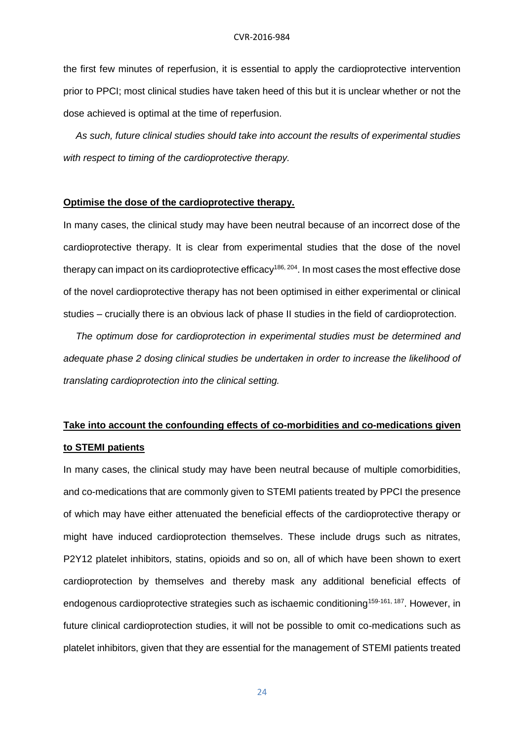the first few minutes of reperfusion, it is essential to apply the cardioprotective intervention prior to PPCI; most clinical studies have taken heed of this but it is unclear whether or not the dose achieved is optimal at the time of reperfusion.

*As such, future clinical studies should take into account the results of experimental studies with respect to timing of the cardioprotective therapy.* 

#### **Optimise the dose of the cardioprotective therapy.**

In many cases, the clinical study may have been neutral because of an incorrect dose of the cardioprotective therapy. It is clear from experimental studies that the dose of the novel therapy can impact on its cardioprotective efficacy<sup>186, 204</sup>. In most cases the most effective dose of the novel cardioprotective therapy has not been optimised in either experimental or clinical studies – crucially there is an obvious lack of phase II studies in the field of cardioprotection.

*The optimum dose for cardioprotection in experimental studies must be determined and adequate phase 2 dosing clinical studies be undertaken in order to increase the likelihood of translating cardioprotection into the clinical setting.*

# **Take into account the confounding effects of co-morbidities and co-medications given to STEMI patients**

In many cases, the clinical study may have been neutral because of multiple comorbidities, and co-medications that are commonly given to STEMI patients treated by PPCI the presence of which may have either attenuated the beneficial effects of the cardioprotective therapy or might have induced cardioprotection themselves. These include drugs such as nitrates, P2Y12 platelet inhibitors, statins, opioids and so on, all of which have been shown to exert cardioprotection by themselves and thereby mask any additional beneficial effects of endogenous cardioprotective strategies such as ischaemic conditioning<sup>159-161, 187</sup>. However, in future clinical cardioprotection studies, it will not be possible to omit co-medications such as platelet inhibitors, given that they are essential for the management of STEMI patients treated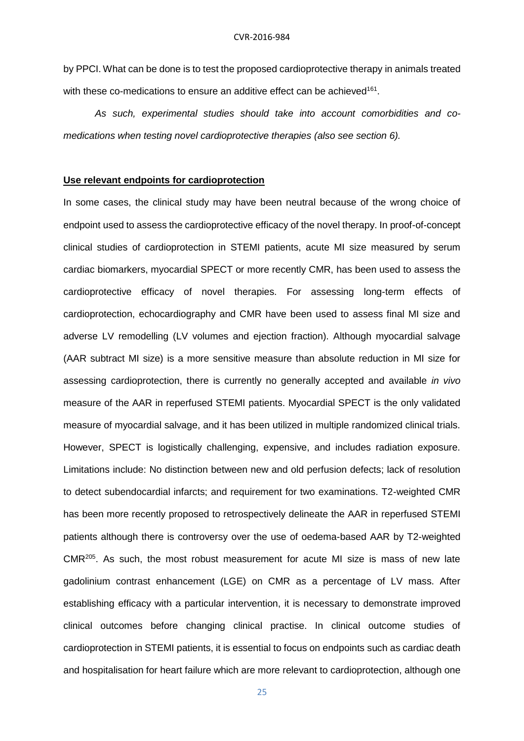by PPCI. What can be done is to test the proposed cardioprotective therapy in animals treated with these co-medications to ensure an additive effect can be achieved<sup>161</sup>.

*As such, experimental studies should take into account comorbidities and comedications when testing novel cardioprotective therapies (also see section 6).*

## **Use relevant endpoints for cardioprotection**

In some cases, the clinical study may have been neutral because of the wrong choice of endpoint used to assess the cardioprotective efficacy of the novel therapy. In proof-of-concept clinical studies of cardioprotection in STEMI patients, acute MI size measured by serum cardiac biomarkers, myocardial SPECT or more recently CMR, has been used to assess the cardioprotective efficacy of novel therapies. For assessing long-term effects of cardioprotection, echocardiography and CMR have been used to assess final MI size and adverse LV remodelling (LV volumes and ejection fraction). Although myocardial salvage (AAR subtract MI size) is a more sensitive measure than absolute reduction in MI size for assessing cardioprotection, there is currently no generally accepted and available *in vivo* measure of the AAR in reperfused STEMI patients. Myocardial SPECT is the only validated measure of myocardial salvage, and it has been utilized in multiple randomized clinical trials. However, SPECT is logistically challenging, expensive, and includes radiation exposure. Limitations include: No distinction between new and old perfusion defects; lack of resolution to detect subendocardial infarcts; and requirement for two examinations. T2-weighted CMR has been more recently proposed to retrospectively delineate the AAR in reperfused STEMI patients although there is controversy over the use of oedema-based AAR by T2-weighted CMR<sup>205</sup>. As such, the most robust measurement for acute MI size is mass of new late gadolinium contrast enhancement (LGE) on CMR as a percentage of LV mass. After establishing efficacy with a particular intervention, it is necessary to demonstrate improved clinical outcomes before changing clinical practise. In clinical outcome studies of cardioprotection in STEMI patients, it is essential to focus on endpoints such as cardiac death and hospitalisation for heart failure which are more relevant to cardioprotection, although one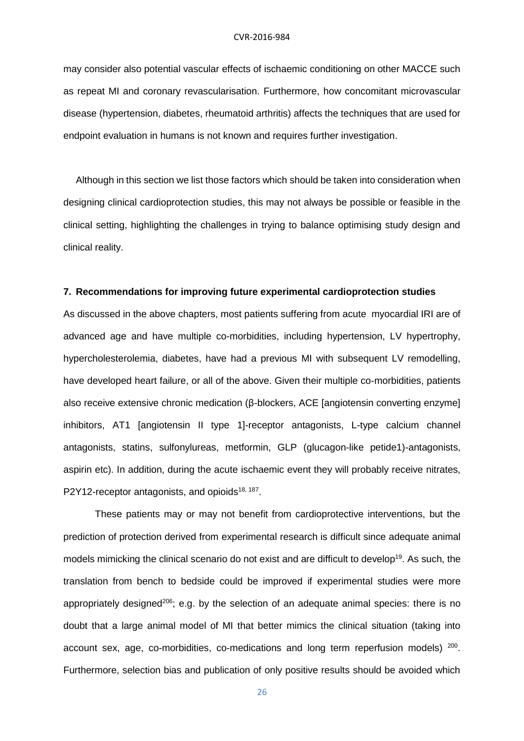may consider also potential vascular effects of ischaemic conditioning on other MACCE such as repeat MI and coronary revascularisation. Furthermore, how concomitant microvascular disease (hypertension, diabetes, rheumatoid arthritis) affects the techniques that are used for endpoint evaluation in humans is not known and requires further investigation.

Although in this section we list those factors which should be taken into consideration when designing clinical cardioprotection studies, this may not always be possible or feasible in the clinical setting, highlighting the challenges in trying to balance optimising study design and clinical reality.

#### **7. Recommendations for improving future experimental cardioprotection studies**

As discussed in the above chapters, most patients suffering from acute myocardial IRI are of advanced age and have multiple co-morbidities, including hypertension, LV hypertrophy, hypercholesterolemia, diabetes, have had a previous MI with subsequent LV remodelling, have developed heart failure, or all of the above. Given their multiple co-morbidities, patients also receive extensive chronic medication (β-blockers, ACE [angiotensin converting enzyme] inhibitors, AT1 [angiotensin II type 1]-receptor antagonists, L-type calcium channel antagonists, statins, sulfonylureas, metformin, GLP (glucagon-like petide1)-antagonists, aspirin etc). In addition, during the acute ischaemic event they will probably receive nitrates, P2Y12-receptor antagonists, and opioids $18, 187$ .

These patients may or may not benefit from cardioprotective interventions, but the prediction of protection derived from experimental research is difficult since adequate animal models mimicking the clinical scenario do not exist and are difficult to develop<sup>19</sup>. As such, the translation from bench to bedside could be improved if experimental studies were more appropriately designed<sup>206</sup>; e.g. by the selection of an adequate animal species: there is no doubt that a large animal model of MI that better mimics the clinical situation (taking into account sex, age, co-morbidities, co-medications and long term reperfusion models) <sup>200</sup>. Furthermore, selection bias and publication of only positive results should be avoided which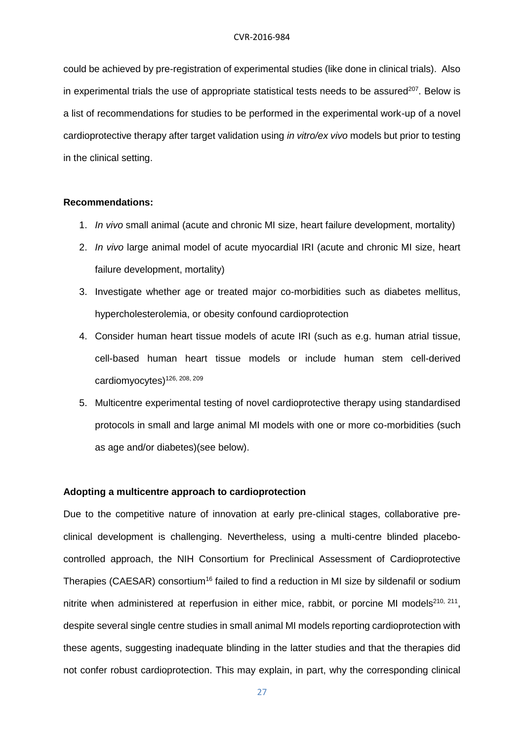could be achieved by pre-registration of experimental studies (like done in clinical trials). Also in experimental trials the use of appropriate statistical tests needs to be assured<sup>207</sup>. Below is a list of recommendations for studies to be performed in the experimental work-up of a novel cardioprotective therapy after target validation using *in vitro/ex vivo* models but prior to testing in the clinical setting.

## **Recommendations:**

- 1. *In vivo* small animal (acute and chronic MI size, heart failure development, mortality)
- 2. *In vivo* large animal model of acute myocardial IRI (acute and chronic MI size, heart failure development, mortality)
- 3. Investigate whether age or treated major co-morbidities such as diabetes mellitus, hypercholesterolemia, or obesity confound cardioprotection
- 4. Consider human heart tissue models of acute IRI (such as e.g. human atrial tissue, cell-based human heart tissue models or include human stem cell-derived cardiomyocytes) 126, 208, 209
- 5. Multicentre experimental testing of novel cardioprotective therapy using standardised protocols in small and large animal MI models with one or more co-morbidities (such as age and/or diabetes)(see below).

## **Adopting a multicentre approach to cardioprotection**

Due to the competitive nature of innovation at early pre-clinical stages, collaborative preclinical development is challenging. Nevertheless, using a multi-centre blinded placebocontrolled approach, the NIH Consortium for Preclinical Assessment of Cardioprotective Therapies (CAESAR) consortium<sup>16</sup> failed to find a reduction in MI size by sildenafil or sodium nitrite when administered at reperfusion in either mice, rabbit, or porcine MI models<sup>210, 211</sup>, despite several single centre studies in small animal MI models reporting cardioprotection with these agents, suggesting inadequate blinding in the latter studies and that the therapies did not confer robust cardioprotection. This may explain, in part, why the corresponding clinical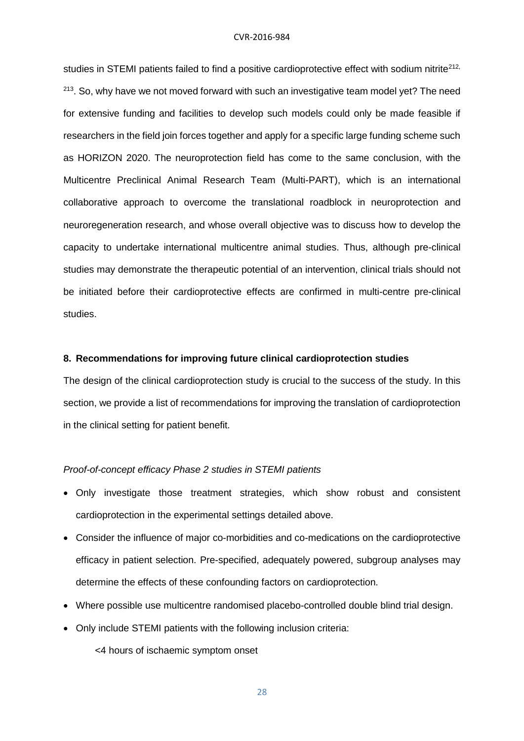#### CVR-2016-984

studies in STEMI patients failed to find a positive cardioprotective effect with sodium nitrite<sup>212,</sup> <sup>213</sup>. So, why have we not moved forward with such an investigative team model yet? The need for extensive funding and facilities to develop such models could only be made feasible if researchers in the field join forces together and apply for a specific large funding scheme such as HORIZON 2020. The neuroprotection field has come to the same conclusion, with the Multicentre Preclinical Animal Research Team (Multi-PART), which is an international collaborative approach to overcome the translational roadblock in neuroprotection and neuroregeneration research, and whose overall objective was to discuss how to develop the capacity to undertake international multicentre animal studies. Thus, although pre-clinical studies may demonstrate the therapeutic potential of an intervention, clinical trials should not be initiated before their cardioprotective effects are confirmed in multi-centre pre-clinical studies.

## **8. Recommendations for improving future clinical cardioprotection studies**

The design of the clinical cardioprotection study is crucial to the success of the study. In this section, we provide a list of recommendations for improving the translation of cardioprotection in the clinical setting for patient benefit.

## *Proof-of-concept efficacy Phase 2 studies in STEMI patients*

- Only investigate those treatment strategies, which show robust and consistent cardioprotection in the experimental settings detailed above.
- Consider the influence of major co-morbidities and co-medications on the cardioprotective efficacy in patient selection. Pre-specified, adequately powered, subgroup analyses may determine the effects of these confounding factors on cardioprotection.
- Where possible use multicentre randomised placebo-controlled double blind trial design.
- Only include STEMI patients with the following inclusion criteria:

<4 hours of ischaemic symptom onset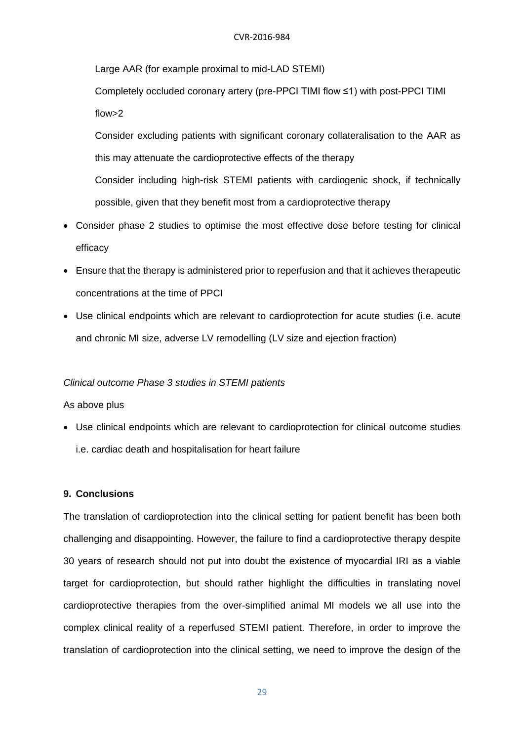Large AAR (for example proximal to mid-LAD STEMI) Completely occluded coronary artery (pre-PPCI TIMI flow ≤1) with post-PPCI TIMI flow>2 Consider excluding patients with significant coronary collateralisation to the AAR as

this may attenuate the cardioprotective effects of the therapy Consider including high-risk STEMI patients with cardiogenic shock, if technically possible, given that they benefit most from a cardioprotective therapy

- Consider phase 2 studies to optimise the most effective dose before testing for clinical efficacy
- Ensure that the therapy is administered prior to reperfusion and that it achieves therapeutic concentrations at the time of PPCI
- Use clinical endpoints which are relevant to cardioprotection for acute studies (i.e. acute and chronic MI size, adverse LV remodelling (LV size and ejection fraction)

## *Clinical outcome Phase 3 studies in STEMI patients*

As above plus

 Use clinical endpoints which are relevant to cardioprotection for clinical outcome studies i.e. cardiac death and hospitalisation for heart failure

## **9. Conclusions**

The translation of cardioprotection into the clinical setting for patient benefit has been both challenging and disappointing. However, the failure to find a cardioprotective therapy despite 30 years of research should not put into doubt the existence of myocardial IRI as a viable target for cardioprotection, but should rather highlight the difficulties in translating novel cardioprotective therapies from the over-simplified animal MI models we all use into the complex clinical reality of a reperfused STEMI patient. Therefore, in order to improve the translation of cardioprotection into the clinical setting, we need to improve the design of the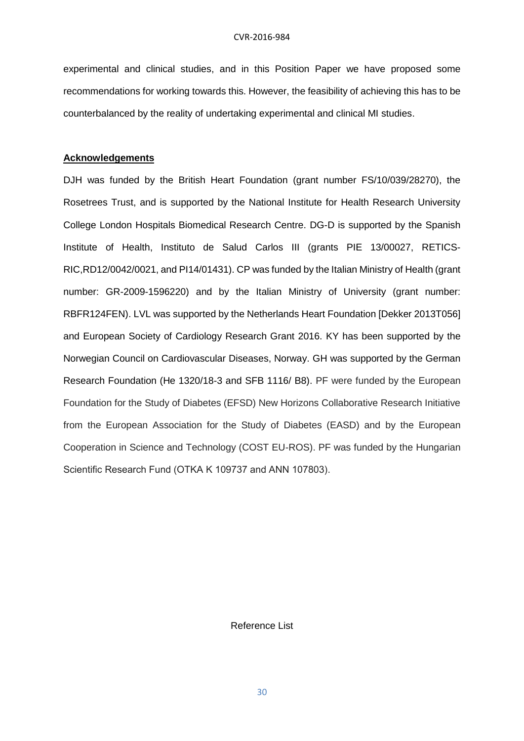experimental and clinical studies, and in this Position Paper we have proposed some recommendations for working towards this. However, the feasibility of achieving this has to be counterbalanced by the reality of undertaking experimental and clinical MI studies.

## **Acknowledgements**

DJH was funded by the British Heart Foundation (grant number FS/10/039/28270), the Rosetrees Trust, and is supported by the National Institute for Health Research University College London Hospitals Biomedical Research Centre. DG-D is supported by the Spanish Institute of Health, Instituto de Salud Carlos III (grants PIE 13/00027, RETICS-RIC,RD12/0042/0021, and PI14/01431). CP was funded by the Italian Ministry of Health (grant number: GR-2009-1596220) and by the Italian Ministry of University (grant number: RBFR124FEN). LVL was supported by the Netherlands Heart Foundation [Dekker 2013T056] and European Society of Cardiology Research Grant 2016. KY has been supported by the Norwegian Council on Cardiovascular Diseases, Norway. GH was supported by the German Research Foundation (He 1320/18-3 and SFB 1116/ B8). PF were funded by the European Foundation for the Study of Diabetes (EFSD) New Horizons Collaborative Research Initiative from the European Association for the Study of Diabetes (EASD) and by the European Cooperation in Science and Technology (COST EU-ROS). PF was funded by the Hungarian Scientific Research Fund (OTKA K 109737 and ANN 107803).

Reference List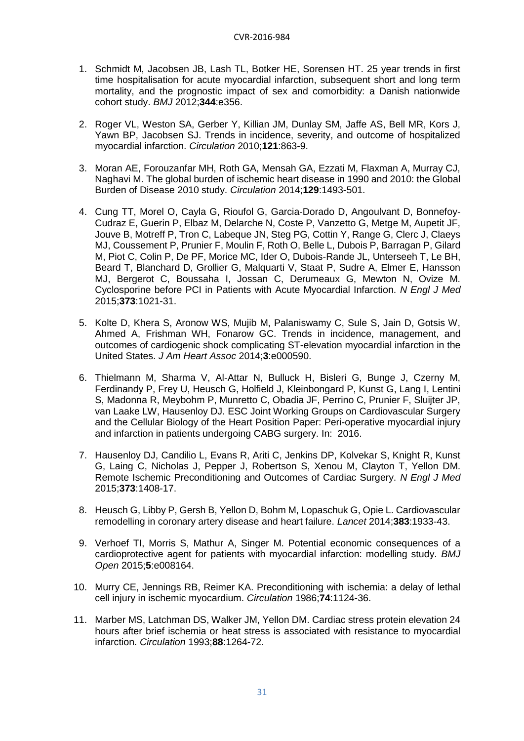- 1. Schmidt M, Jacobsen JB, Lash TL, Botker HE, Sorensen HT. 25 year trends in first time hospitalisation for acute myocardial infarction, subsequent short and long term mortality, and the prognostic impact of sex and comorbidity: a Danish nationwide cohort study. *BMJ* 2012;**344**:e356.
- 2. Roger VL, Weston SA, Gerber Y, Killian JM, Dunlay SM, Jaffe AS, Bell MR, Kors J, Yawn BP, Jacobsen SJ. Trends in incidence, severity, and outcome of hospitalized myocardial infarction. *Circulation* 2010;**121**:863-9.
- 3. Moran AE, Forouzanfar MH, Roth GA, Mensah GA, Ezzati M, Flaxman A, Murray CJ, Naghavi M. The global burden of ischemic heart disease in 1990 and 2010: the Global Burden of Disease 2010 study. *Circulation* 2014;**129**:1493-501.
- 4. Cung TT, Morel O, Cayla G, Rioufol G, Garcia-Dorado D, Angoulvant D, Bonnefoy-Cudraz E, Guerin P, Elbaz M, Delarche N, Coste P, Vanzetto G, Metge M, Aupetit JF, Jouve B, Motreff P, Tron C, Labeque JN, Steg PG, Cottin Y, Range G, Clerc J, Claeys MJ, Coussement P, Prunier F, Moulin F, Roth O, Belle L, Dubois P, Barragan P, Gilard M, Piot C, Colin P, De PF, Morice MC, Ider O, Dubois-Rande JL, Unterseeh T, Le BH, Beard T, Blanchard D, Grollier G, Malquarti V, Staat P, Sudre A, Elmer E, Hansson MJ, Bergerot C, Boussaha I, Jossan C, Derumeaux G, Mewton N, Ovize M. Cyclosporine before PCI in Patients with Acute Myocardial Infarction. *N Engl J Med* 2015;**373**:1021-31.
- 5. Kolte D, Khera S, Aronow WS, Mujib M, Palaniswamy C, Sule S, Jain D, Gotsis W, Ahmed A, Frishman WH, Fonarow GC. Trends in incidence, management, and outcomes of cardiogenic shock complicating ST-elevation myocardial infarction in the United States. *J Am Heart Assoc* 2014;**3**:e000590.
- 6. Thielmann M, Sharma V, Al-Attar N, Bulluck H, Bisleri G, Bunge J, Czerny M, Ferdinandy P, Frey U, Heusch G, Holfield J, Kleinbongard P, Kunst G, Lang I, Lentini S, Madonna R, Meybohm P, Munretto C, Obadia JF, Perrino C, Prunier F, Sluijter JP, van Laake LW, Hausenloy DJ. ESC Joint Working Groups on Cardiovascular Surgery and the Cellular Biology of the Heart Position Paper: Peri-operative myocardial injury and infarction in patients undergoing CABG surgery. In: 2016.
- 7. Hausenloy DJ, Candilio L, Evans R, Ariti C, Jenkins DP, Kolvekar S, Knight R, Kunst G, Laing C, Nicholas J, Pepper J, Robertson S, Xenou M, Clayton T, Yellon DM. Remote Ischemic Preconditioning and Outcomes of Cardiac Surgery. *N Engl J Med* 2015;**373**:1408-17.
- 8. Heusch G, Libby P, Gersh B, Yellon D, Bohm M, Lopaschuk G, Opie L. Cardiovascular remodelling in coronary artery disease and heart failure. *Lancet* 2014;**383**:1933-43.
- 9. Verhoef TI, Morris S, Mathur A, Singer M. Potential economic consequences of a cardioprotective agent for patients with myocardial infarction: modelling study. *BMJ Open* 2015;**5**:e008164.
- 10. Murry CE, Jennings RB, Reimer KA. Preconditioning with ischemia: a delay of lethal cell injury in ischemic myocardium. *Circulation* 1986;**74**:1124-36.
- 11. Marber MS, Latchman DS, Walker JM, Yellon DM. Cardiac stress protein elevation 24 hours after brief ischemia or heat stress is associated with resistance to myocardial infarction. *Circulation* 1993;**88**:1264-72.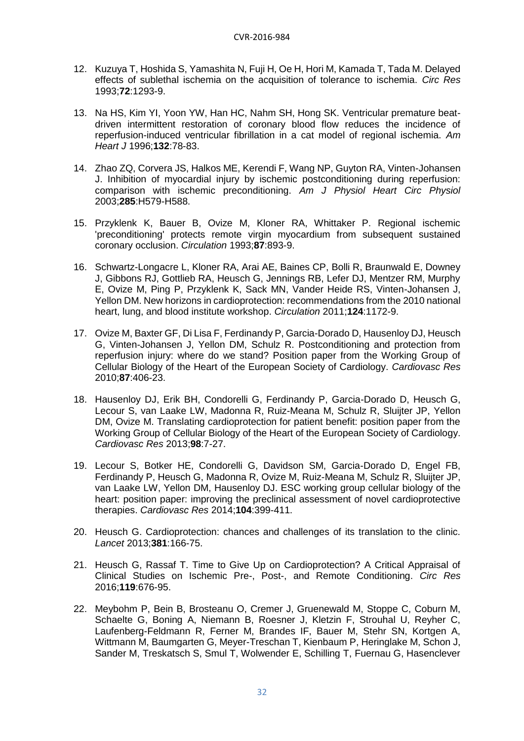- 12. Kuzuya T, Hoshida S, Yamashita N, Fuji H, Oe H, Hori M, Kamada T, Tada M. Delayed effects of sublethal ischemia on the acquisition of tolerance to ischemia. *Circ Res* 1993;**72**:1293-9.
- 13. Na HS, Kim YI, Yoon YW, Han HC, Nahm SH, Hong SK. Ventricular premature beatdriven intermittent restoration of coronary blood flow reduces the incidence of reperfusion-induced ventricular fibrillation in a cat model of regional ischemia. *Am Heart J* 1996;**132**:78-83.
- 14. Zhao ZQ, Corvera JS, Halkos ME, Kerendi F, Wang NP, Guyton RA, Vinten-Johansen J. Inhibition of myocardial injury by ischemic postconditioning during reperfusion: comparison with ischemic preconditioning. *Am J Physiol Heart Circ Physiol* 2003;**285**:H579-H588.
- 15. Przyklenk K, Bauer B, Ovize M, Kloner RA, Whittaker P. Regional ischemic 'preconditioning' protects remote virgin myocardium from subsequent sustained coronary occlusion. *Circulation* 1993;**87**:893-9.
- 16. Schwartz-Longacre L, Kloner RA, Arai AE, Baines CP, Bolli R, Braunwald E, Downey J, Gibbons RJ, Gottlieb RA, Heusch G, Jennings RB, Lefer DJ, Mentzer RM, Murphy E, Ovize M, Ping P, Przyklenk K, Sack MN, Vander Heide RS, Vinten-Johansen J, Yellon DM. New horizons in cardioprotection: recommendations from the 2010 national heart, lung, and blood institute workshop. *Circulation* 2011;**124**:1172-9.
- 17. Ovize M, Baxter GF, Di Lisa F, Ferdinandy P, Garcia-Dorado D, Hausenloy DJ, Heusch G, Vinten-Johansen J, Yellon DM, Schulz R. Postconditioning and protection from reperfusion injury: where do we stand? Position paper from the Working Group of Cellular Biology of the Heart of the European Society of Cardiology. *Cardiovasc Res* 2010;**87**:406-23.
- 18. Hausenloy DJ, Erik BH, Condorelli G, Ferdinandy P, Garcia-Dorado D, Heusch G, Lecour S, van Laake LW, Madonna R, Ruiz-Meana M, Schulz R, Sluijter JP, Yellon DM, Ovize M. Translating cardioprotection for patient benefit: position paper from the Working Group of Cellular Biology of the Heart of the European Society of Cardiology. *Cardiovasc Res* 2013;**98**:7-27.
- 19. Lecour S, Botker HE, Condorelli G, Davidson SM, Garcia-Dorado D, Engel FB, Ferdinandy P, Heusch G, Madonna R, Ovize M, Ruiz-Meana M, Schulz R, Sluijter JP, van Laake LW, Yellon DM, Hausenloy DJ. ESC working group cellular biology of the heart: position paper: improving the preclinical assessment of novel cardioprotective therapies. *Cardiovasc Res* 2014;**104**:399-411.
- 20. Heusch G. Cardioprotection: chances and challenges of its translation to the clinic. *Lancet* 2013;**381**:166-75.
- 21. Heusch G, Rassaf T. Time to Give Up on Cardioprotection? A Critical Appraisal of Clinical Studies on Ischemic Pre-, Post-, and Remote Conditioning. *Circ Res* 2016;**119**:676-95.
- 22. Meybohm P, Bein B, Brosteanu O, Cremer J, Gruenewald M, Stoppe C, Coburn M, Schaelte G, Boning A, Niemann B, Roesner J, Kletzin F, Strouhal U, Reyher C, Laufenberg-Feldmann R, Ferner M, Brandes IF, Bauer M, Stehr SN, Kortgen A, Wittmann M, Baumgarten G, Meyer-Treschan T, Kienbaum P, Heringlake M, Schon J, Sander M, Treskatsch S, Smul T, Wolwender E, Schilling T, Fuernau G, Hasenclever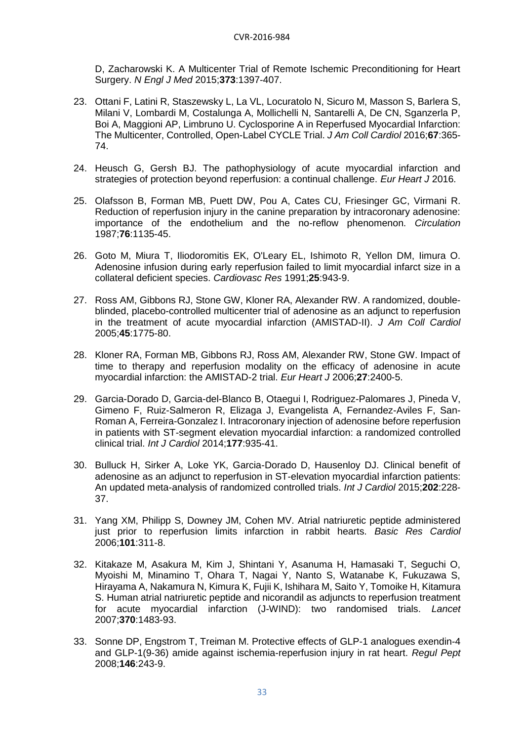D, Zacharowski K. A Multicenter Trial of Remote Ischemic Preconditioning for Heart Surgery. *N Engl J Med* 2015;**373**:1397-407.

- 23. Ottani F, Latini R, Staszewsky L, La VL, Locuratolo N, Sicuro M, Masson S, Barlera S, Milani V, Lombardi M, Costalunga A, Mollichelli N, Santarelli A, De CN, Sganzerla P, Boi A, Maggioni AP, Limbruno U. Cyclosporine A in Reperfused Myocardial Infarction: The Multicenter, Controlled, Open-Label CYCLE Trial. *J Am Coll Cardiol* 2016;**67**:365- 74.
- 24. Heusch G, Gersh BJ. The pathophysiology of acute myocardial infarction and strategies of protection beyond reperfusion: a continual challenge. *Eur Heart J* 2016.
- 25. Olafsson B, Forman MB, Puett DW, Pou A, Cates CU, Friesinger GC, Virmani R. Reduction of reperfusion injury in the canine preparation by intracoronary adenosine: importance of the endothelium and the no-reflow phenomenon. *Circulation* 1987;**76**:1135-45.
- 26. Goto M, Miura T, Iliodoromitis EK, O'Leary EL, Ishimoto R, Yellon DM, Iimura O. Adenosine infusion during early reperfusion failed to limit myocardial infarct size in a collateral deficient species. *Cardiovasc Res* 1991;**25**:943-9.
- 27. Ross AM, Gibbons RJ, Stone GW, Kloner RA, Alexander RW. A randomized, doubleblinded, placebo-controlled multicenter trial of adenosine as an adjunct to reperfusion in the treatment of acute myocardial infarction (AMISTAD-II). *J Am Coll Cardiol* 2005;**45**:1775-80.
- 28. Kloner RA, Forman MB, Gibbons RJ, Ross AM, Alexander RW, Stone GW. Impact of time to therapy and reperfusion modality on the efficacy of adenosine in acute myocardial infarction: the AMISTAD-2 trial. *Eur Heart J* 2006;**27**:2400-5.
- 29. Garcia-Dorado D, Garcia-del-Blanco B, Otaegui I, Rodriguez-Palomares J, Pineda V, Gimeno F, Ruiz-Salmeron R, Elizaga J, Evangelista A, Fernandez-Aviles F, San-Roman A, Ferreira-Gonzalez I. Intracoronary injection of adenosine before reperfusion in patients with ST-segment elevation myocardial infarction: a randomized controlled clinical trial. *Int J Cardiol* 2014;**177**:935-41.
- 30. Bulluck H, Sirker A, Loke YK, Garcia-Dorado D, Hausenloy DJ. Clinical benefit of adenosine as an adjunct to reperfusion in ST-elevation myocardial infarction patients: An updated meta-analysis of randomized controlled trials. *Int J Cardiol* 2015;**202**:228- 37.
- 31. Yang XM, Philipp S, Downey JM, Cohen MV. Atrial natriuretic peptide administered just prior to reperfusion limits infarction in rabbit hearts. *Basic Res Cardiol* 2006;**101**:311-8.
- 32. Kitakaze M, Asakura M, Kim J, Shintani Y, Asanuma H, Hamasaki T, Seguchi O, Myoishi M, Minamino T, Ohara T, Nagai Y, Nanto S, Watanabe K, Fukuzawa S, Hirayama A, Nakamura N, Kimura K, Fujii K, Ishihara M, Saito Y, Tomoike H, Kitamura S. Human atrial natriuretic peptide and nicorandil as adjuncts to reperfusion treatment for acute myocardial infarction (J-WIND): two randomised trials. *Lancet* 2007;**370**:1483-93.
- 33. Sonne DP, Engstrom T, Treiman M. Protective effects of GLP-1 analogues exendin-4 and GLP-1(9-36) amide against ischemia-reperfusion injury in rat heart. *Regul Pept* 2008;**146**:243-9.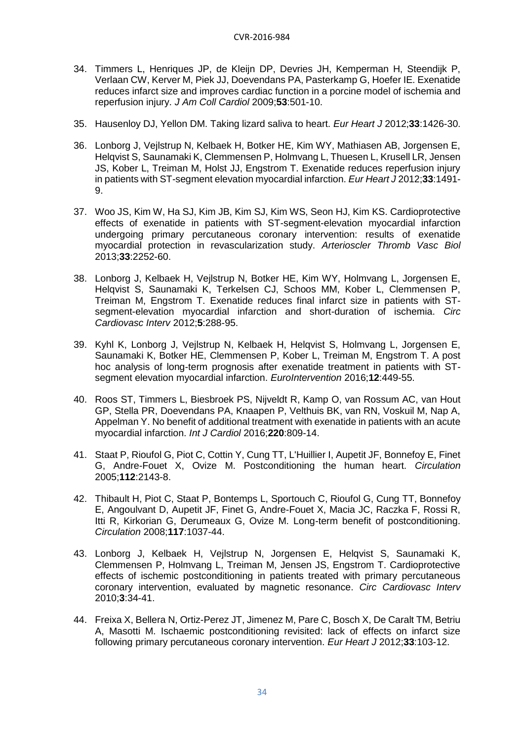- 34. Timmers L, Henriques JP, de Kleijn DP, Devries JH, Kemperman H, Steendijk P, Verlaan CW, Kerver M, Piek JJ, Doevendans PA, Pasterkamp G, Hoefer IE. Exenatide reduces infarct size and improves cardiac function in a porcine model of ischemia and reperfusion injury. *J Am Coll Cardiol* 2009;**53**:501-10.
- 35. Hausenloy DJ, Yellon DM. Taking lizard saliva to heart. *Eur Heart J* 2012;**33**:1426-30.
- 36. Lonborg J, Vejlstrup N, Kelbaek H, Botker HE, Kim WY, Mathiasen AB, Jorgensen E, Helqvist S, Saunamaki K, Clemmensen P, Holmvang L, Thuesen L, Krusell LR, Jensen JS, Kober L, Treiman M, Holst JJ, Engstrom T. Exenatide reduces reperfusion injury in patients with ST-segment elevation myocardial infarction. *Eur Heart J* 2012;**33**:1491- 9.
- 37. Woo JS, Kim W, Ha SJ, Kim JB, Kim SJ, Kim WS, Seon HJ, Kim KS. Cardioprotective effects of exenatide in patients with ST-segment-elevation myocardial infarction undergoing primary percutaneous coronary intervention: results of exenatide myocardial protection in revascularization study. *Arterioscler Thromb Vasc Biol* 2013;**33**:2252-60.
- 38. Lonborg J, Kelbaek H, Vejlstrup N, Botker HE, Kim WY, Holmvang L, Jorgensen E, Helqvist S, Saunamaki K, Terkelsen CJ, Schoos MM, Kober L, Clemmensen P, Treiman M, Engstrom T. Exenatide reduces final infarct size in patients with STsegment-elevation myocardial infarction and short-duration of ischemia. *Circ Cardiovasc Interv* 2012;**5**:288-95.
- 39. Kyhl K, Lonborg J, Vejlstrup N, Kelbaek H, Helqvist S, Holmvang L, Jorgensen E, Saunamaki K, Botker HE, Clemmensen P, Kober L, Treiman M, Engstrom T. A post hoc analysis of long-term prognosis after exenatide treatment in patients with STsegment elevation myocardial infarction. *EuroIntervention* 2016;**12**:449-55.
- 40. Roos ST, Timmers L, Biesbroek PS, Nijveldt R, Kamp O, van Rossum AC, van Hout GP, Stella PR, Doevendans PA, Knaapen P, Velthuis BK, van RN, Voskuil M, Nap A, Appelman Y. No benefit of additional treatment with exenatide in patients with an acute myocardial infarction. *Int J Cardiol* 2016;**220**:809-14.
- 41. Staat P, Rioufol G, Piot C, Cottin Y, Cung TT, L'Huillier I, Aupetit JF, Bonnefoy E, Finet G, Andre-Fouet X, Ovize M. Postconditioning the human heart. *Circulation* 2005;**112**:2143-8.
- 42. Thibault H, Piot C, Staat P, Bontemps L, Sportouch C, Rioufol G, Cung TT, Bonnefoy E, Angoulvant D, Aupetit JF, Finet G, Andre-Fouet X, Macia JC, Raczka F, Rossi R, Itti R, Kirkorian G, Derumeaux G, Ovize M. Long-term benefit of postconditioning. *Circulation* 2008;**117**:1037-44.
- 43. Lonborg J, Kelbaek H, Vejlstrup N, Jorgensen E, Helqvist S, Saunamaki K, Clemmensen P, Holmvang L, Treiman M, Jensen JS, Engstrom T. Cardioprotective effects of ischemic postconditioning in patients treated with primary percutaneous coronary intervention, evaluated by magnetic resonance. *Circ Cardiovasc Interv* 2010;**3**:34-41.
- 44. Freixa X, Bellera N, Ortiz-Perez JT, Jimenez M, Pare C, Bosch X, De Caralt TM, Betriu A, Masotti M. Ischaemic postconditioning revisited: lack of effects on infarct size following primary percutaneous coronary intervention. *Eur Heart J* 2012;**33**:103-12.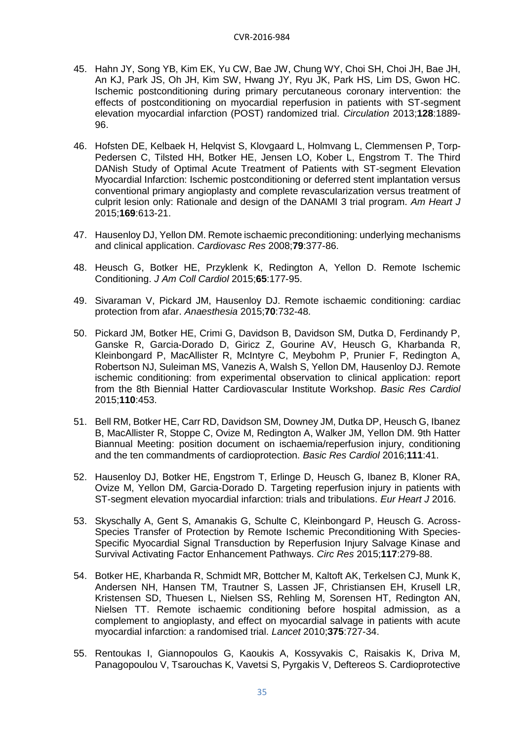- 45. Hahn JY, Song YB, Kim EK, Yu CW, Bae JW, Chung WY, Choi SH, Choi JH, Bae JH, An KJ, Park JS, Oh JH, Kim SW, Hwang JY, Ryu JK, Park HS, Lim DS, Gwon HC. Ischemic postconditioning during primary percutaneous coronary intervention: the effects of postconditioning on myocardial reperfusion in patients with ST-segment elevation myocardial infarction (POST) randomized trial. *Circulation* 2013;**128**:1889- 96.
- 46. Hofsten DE, Kelbaek H, Helqvist S, Klovgaard L, Holmvang L, Clemmensen P, Torp-Pedersen C, Tilsted HH, Botker HE, Jensen LO, Kober L, Engstrom T. The Third DANish Study of Optimal Acute Treatment of Patients with ST-segment Elevation Myocardial Infarction: Ischemic postconditioning or deferred stent implantation versus conventional primary angioplasty and complete revascularization versus treatment of culprit lesion only: Rationale and design of the DANAMI 3 trial program. *Am Heart J* 2015;**169**:613-21.
- 47. Hausenloy DJ, Yellon DM. Remote ischaemic preconditioning: underlying mechanisms and clinical application. *Cardiovasc Res* 2008;**79**:377-86.
- 48. Heusch G, Botker HE, Przyklenk K, Redington A, Yellon D. Remote Ischemic Conditioning. *J Am Coll Cardiol* 2015;**65**:177-95.
- 49. Sivaraman V, Pickard JM, Hausenloy DJ. Remote ischaemic conditioning: cardiac protection from afar. *Anaesthesia* 2015;**70**:732-48.
- 50. Pickard JM, Botker HE, Crimi G, Davidson B, Davidson SM, Dutka D, Ferdinandy P, Ganske R, Garcia-Dorado D, Giricz Z, Gourine AV, Heusch G, Kharbanda R, Kleinbongard P, MacAllister R, McIntyre C, Meybohm P, Prunier F, Redington A, Robertson NJ, Suleiman MS, Vanezis A, Walsh S, Yellon DM, Hausenloy DJ. Remote ischemic conditioning: from experimental observation to clinical application: report from the 8th Biennial Hatter Cardiovascular Institute Workshop. *Basic Res Cardiol* 2015;**110**:453.
- 51. Bell RM, Botker HE, Carr RD, Davidson SM, Downey JM, Dutka DP, Heusch G, Ibanez B, MacAllister R, Stoppe C, Ovize M, Redington A, Walker JM, Yellon DM. 9th Hatter Biannual Meeting: position document on ischaemia/reperfusion injury, conditioning and the ten commandments of cardioprotection. *Basic Res Cardiol* 2016;**111**:41.
- 52. Hausenloy DJ, Botker HE, Engstrom T, Erlinge D, Heusch G, Ibanez B, Kloner RA, Ovize M, Yellon DM, Garcia-Dorado D. Targeting reperfusion injury in patients with ST-segment elevation myocardial infarction: trials and tribulations. *Eur Heart J* 2016.
- 53. Skyschally A, Gent S, Amanakis G, Schulte C, Kleinbongard P, Heusch G. Across-Species Transfer of Protection by Remote Ischemic Preconditioning With Species-Specific Myocardial Signal Transduction by Reperfusion Injury Salvage Kinase and Survival Activating Factor Enhancement Pathways. *Circ Res* 2015;**117**:279-88.
- 54. Botker HE, Kharbanda R, Schmidt MR, Bottcher M, Kaltoft AK, Terkelsen CJ, Munk K, Andersen NH, Hansen TM, Trautner S, Lassen JF, Christiansen EH, Krusell LR, Kristensen SD, Thuesen L, Nielsen SS, Rehling M, Sorensen HT, Redington AN, Nielsen TT. Remote ischaemic conditioning before hospital admission, as a complement to angioplasty, and effect on myocardial salvage in patients with acute myocardial infarction: a randomised trial. *Lancet* 2010;**375**:727-34.
- 55. Rentoukas I, Giannopoulos G, Kaoukis A, Kossyvakis C, Raisakis K, Driva M, Panagopoulou V, Tsarouchas K, Vavetsi S, Pyrgakis V, Deftereos S. Cardioprotective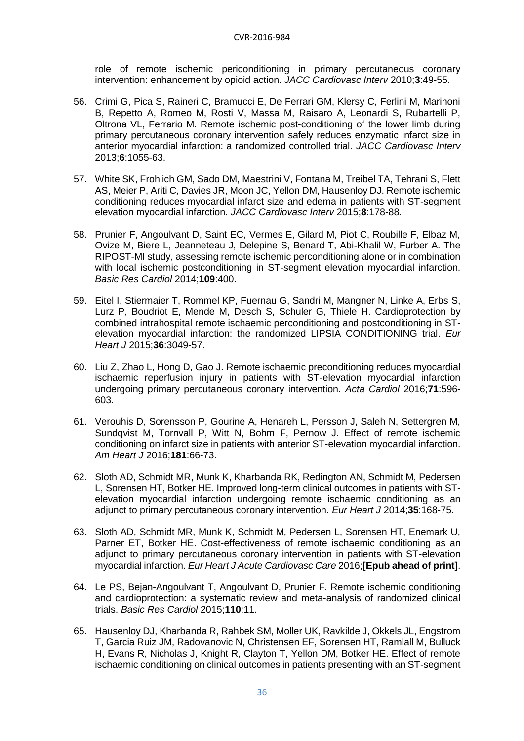role of remote ischemic periconditioning in primary percutaneous coronary intervention: enhancement by opioid action. *JACC Cardiovasc Interv* 2010;**3**:49-55.

- 56. Crimi G, Pica S, Raineri C, Bramucci E, De Ferrari GM, Klersy C, Ferlini M, Marinoni B, Repetto A, Romeo M, Rosti V, Massa M, Raisaro A, Leonardi S, Rubartelli P, Oltrona VL, Ferrario M. Remote ischemic post-conditioning of the lower limb during primary percutaneous coronary intervention safely reduces enzymatic infarct size in anterior myocardial infarction: a randomized controlled trial. *JACC Cardiovasc Interv* 2013;**6**:1055-63.
- 57. White SK, Frohlich GM, Sado DM, Maestrini V, Fontana M, Treibel TA, Tehrani S, Flett AS, Meier P, Ariti C, Davies JR, Moon JC, Yellon DM, Hausenloy DJ. Remote ischemic conditioning reduces myocardial infarct size and edema in patients with ST-segment elevation myocardial infarction. *JACC Cardiovasc Interv* 2015;**8**:178-88.
- 58. Prunier F, Angoulvant D, Saint EC, Vermes E, Gilard M, Piot C, Roubille F, Elbaz M, Ovize M, Biere L, Jeanneteau J, Delepine S, Benard T, Abi-Khalil W, Furber A. The RIPOST-MI study, assessing remote ischemic perconditioning alone or in combination with local ischemic postconditioning in ST-segment elevation myocardial infarction. *Basic Res Cardiol* 2014;**109**:400.
- 59. Eitel I, Stiermaier T, Rommel KP, Fuernau G, Sandri M, Mangner N, Linke A, Erbs S, Lurz P, Boudriot E, Mende M, Desch S, Schuler G, Thiele H. Cardioprotection by combined intrahospital remote ischaemic perconditioning and postconditioning in STelevation myocardial infarction: the randomized LIPSIA CONDITIONING trial. *Eur Heart J* 2015;**36**:3049-57.
- 60. Liu Z, Zhao L, Hong D, Gao J. Remote ischaemic preconditioning reduces myocardial ischaemic reperfusion injury in patients with ST-elevation myocardial infarction undergoing primary percutaneous coronary intervention. *Acta Cardiol* 2016;**71**:596- 603.
- 61. Verouhis D, Sorensson P, Gourine A, Henareh L, Persson J, Saleh N, Settergren M, Sundqvist M, Tornvall P, Witt N, Bohm F, Pernow J. Effect of remote ischemic conditioning on infarct size in patients with anterior ST-elevation myocardial infarction. *Am Heart J* 2016;**181**:66-73.
- 62. Sloth AD, Schmidt MR, Munk K, Kharbanda RK, Redington AN, Schmidt M, Pedersen L, Sorensen HT, Botker HE. Improved long-term clinical outcomes in patients with STelevation myocardial infarction undergoing remote ischaemic conditioning as an adjunct to primary percutaneous coronary intervention. *Eur Heart J* 2014;**35**:168-75.
- 63. Sloth AD, Schmidt MR, Munk K, Schmidt M, Pedersen L, Sorensen HT, Enemark U, Parner ET, Botker HE. Cost-effectiveness of remote ischaemic conditioning as an adjunct to primary percutaneous coronary intervention in patients with ST-elevation myocardial infarction. *Eur Heart J Acute Cardiovasc Care* 2016;**[Epub ahead of print]**.
- 64. Le PS, Bejan-Angoulvant T, Angoulvant D, Prunier F. Remote ischemic conditioning and cardioprotection: a systematic review and meta-analysis of randomized clinical trials. *Basic Res Cardiol* 2015;**110**:11.
- 65. Hausenloy DJ, Kharbanda R, Rahbek SM, Moller UK, Ravkilde J, Okkels JL, Engstrom T, Garcia Ruiz JM, Radovanovic N, Christensen EF, Sorensen HT, Ramlall M, Bulluck H, Evans R, Nicholas J, Knight R, Clayton T, Yellon DM, Botker HE. Effect of remote ischaemic conditioning on clinical outcomes in patients presenting with an ST-segment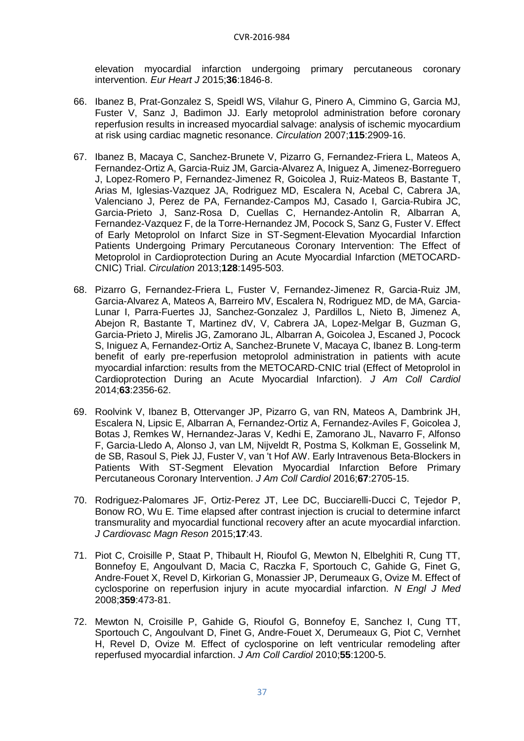elevation myocardial infarction undergoing primary percutaneous coronary intervention. *Eur Heart J* 2015;**36**:1846-8.

- 66. Ibanez B, Prat-Gonzalez S, Speidl WS, Vilahur G, Pinero A, Cimmino G, Garcia MJ, Fuster V, Sanz J, Badimon JJ. Early metoprolol administration before coronary reperfusion results in increased myocardial salvage: analysis of ischemic myocardium at risk using cardiac magnetic resonance. *Circulation* 2007;**115**:2909-16.
- 67. Ibanez B, Macaya C, Sanchez-Brunete V, Pizarro G, Fernandez-Friera L, Mateos A, Fernandez-Ortiz A, Garcia-Ruiz JM, Garcia-Alvarez A, Iniguez A, Jimenez-Borreguero J, Lopez-Romero P, Fernandez-Jimenez R, Goicolea J, Ruiz-Mateos B, Bastante T, Arias M, Iglesias-Vazquez JA, Rodriguez MD, Escalera N, Acebal C, Cabrera JA, Valenciano J, Perez de PA, Fernandez-Campos MJ, Casado I, Garcia-Rubira JC, Garcia-Prieto J, Sanz-Rosa D, Cuellas C, Hernandez-Antolin R, Albarran A, Fernandez-Vazquez F, de la Torre-Hernandez JM, Pocock S, Sanz G, Fuster V. Effect of Early Metoprolol on Infarct Size in ST-Segment-Elevation Myocardial Infarction Patients Undergoing Primary Percutaneous Coronary Intervention: The Effect of Metoprolol in Cardioprotection During an Acute Myocardial Infarction (METOCARD-CNIC) Trial. *Circulation* 2013;**128**:1495-503.
- 68. Pizarro G, Fernandez-Friera L, Fuster V, Fernandez-Jimenez R, Garcia-Ruiz JM, Garcia-Alvarez A, Mateos A, Barreiro MV, Escalera N, Rodriguez MD, de MA, Garcia-Lunar I, Parra-Fuertes JJ, Sanchez-Gonzalez J, Pardillos L, Nieto B, Jimenez A, Abejon R, Bastante T, Martinez dV, V, Cabrera JA, Lopez-Melgar B, Guzman G, Garcia-Prieto J, Mirelis JG, Zamorano JL, Albarran A, Goicolea J, Escaned J, Pocock S, Iniguez A, Fernandez-Ortiz A, Sanchez-Brunete V, Macaya C, Ibanez B. Long-term benefit of early pre-reperfusion metoprolol administration in patients with acute myocardial infarction: results from the METOCARD-CNIC trial (Effect of Metoprolol in Cardioprotection During an Acute Myocardial Infarction). *J Am Coll Cardiol* 2014;**63**:2356-62.
- 69. Roolvink V, Ibanez B, Ottervanger JP, Pizarro G, van RN, Mateos A, Dambrink JH, Escalera N, Lipsic E, Albarran A, Fernandez-Ortiz A, Fernandez-Aviles F, Goicolea J, Botas J, Remkes W, Hernandez-Jaras V, Kedhi E, Zamorano JL, Navarro F, Alfonso F, Garcia-Lledo A, Alonso J, van LM, Nijveldt R, Postma S, Kolkman E, Gosselink M, de SB, Rasoul S, Piek JJ, Fuster V, van 't Hof AW. Early Intravenous Beta-Blockers in Patients With ST-Segment Elevation Myocardial Infarction Before Primary Percutaneous Coronary Intervention. *J Am Coll Cardiol* 2016;**67**:2705-15.
- 70. Rodriguez-Palomares JF, Ortiz-Perez JT, Lee DC, Bucciarelli-Ducci C, Tejedor P, Bonow RO, Wu E. Time elapsed after contrast injection is crucial to determine infarct transmurality and myocardial functional recovery after an acute myocardial infarction. *J Cardiovasc Magn Reson* 2015;**17**:43.
- 71. Piot C, Croisille P, Staat P, Thibault H, Rioufol G, Mewton N, Elbelghiti R, Cung TT, Bonnefoy E, Angoulvant D, Macia C, Raczka F, Sportouch C, Gahide G, Finet G, Andre-Fouet X, Revel D, Kirkorian G, Monassier JP, Derumeaux G, Ovize M. Effect of cyclosporine on reperfusion injury in acute myocardial infarction. *N Engl J Med* 2008;**359**:473-81.
- 72. Mewton N, Croisille P, Gahide G, Rioufol G, Bonnefoy E, Sanchez I, Cung TT, Sportouch C, Angoulvant D, Finet G, Andre-Fouet X, Derumeaux G, Piot C, Vernhet H, Revel D, Ovize M. Effect of cyclosporine on left ventricular remodeling after reperfused myocardial infarction. *J Am Coll Cardiol* 2010;**55**:1200-5.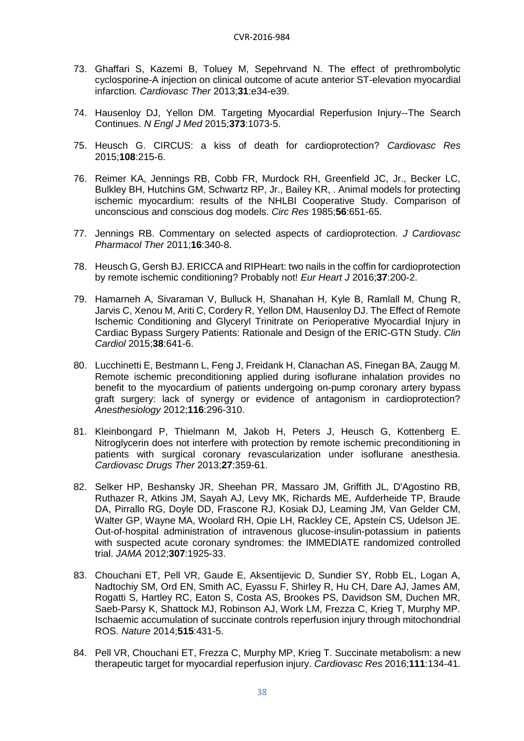- 73. Ghaffari S, Kazemi B, Toluey M, Sepehrvand N. The effect of prethrombolytic cyclosporine-A injection on clinical outcome of acute anterior ST-elevation myocardial infarction. *Cardiovasc Ther* 2013;**31**:e34-e39.
- 74. Hausenloy DJ, Yellon DM. Targeting Myocardial Reperfusion Injury--The Search Continues. *N Engl J Med* 2015;**373**:1073-5.
- 75. Heusch G. CIRCUS: a kiss of death for cardioprotection? *Cardiovasc Res* 2015;**108**:215-6.
- 76. Reimer KA, Jennings RB, Cobb FR, Murdock RH, Greenfield JC, Jr., Becker LC, Bulkley BH, Hutchins GM, Schwartz RP, Jr., Bailey KR, . Animal models for protecting ischemic myocardium: results of the NHLBI Cooperative Study. Comparison of unconscious and conscious dog models. *Circ Res* 1985;**56**:651-65.
- 77. Jennings RB. Commentary on selected aspects of cardioprotection. *J Cardiovasc Pharmacol Ther* 2011;**16**:340-8.
- 78. Heusch G, Gersh BJ. ERICCA and RIPHeart: two nails in the coffin for cardioprotection by remote ischemic conditioning? Probably not! *Eur Heart J* 2016;**37**:200-2.
- 79. Hamarneh A, Sivaraman V, Bulluck H, Shanahan H, Kyle B, Ramlall M, Chung R, Jarvis C, Xenou M, Ariti C, Cordery R, Yellon DM, Hausenloy DJ. The Effect of Remote Ischemic Conditioning and Glyceryl Trinitrate on Perioperative Myocardial Injury in Cardiac Bypass Surgery Patients: Rationale and Design of the ERIC-GTN Study. *Clin Cardiol* 2015;**38**:641-6.
- 80. Lucchinetti E, Bestmann L, Feng J, Freidank H, Clanachan AS, Finegan BA, Zaugg M. Remote ischemic preconditioning applied during isoflurane inhalation provides no benefit to the myocardium of patients undergoing on-pump coronary artery bypass graft surgery: lack of synergy or evidence of antagonism in cardioprotection? *Anesthesiology* 2012;**116**:296-310.
- 81. Kleinbongard P, Thielmann M, Jakob H, Peters J, Heusch G, Kottenberg E. Nitroglycerin does not interfere with protection by remote ischemic preconditioning in patients with surgical coronary revascularization under isoflurane anesthesia. *Cardiovasc Drugs Ther* 2013;**27**:359-61.
- 82. Selker HP, Beshansky JR, Sheehan PR, Massaro JM, Griffith JL, D'Agostino RB, Ruthazer R, Atkins JM, Sayah AJ, Levy MK, Richards ME, Aufderheide TP, Braude DA, Pirrallo RG, Doyle DD, Frascone RJ, Kosiak DJ, Leaming JM, Van Gelder CM, Walter GP, Wayne MA, Woolard RH, Opie LH, Rackley CE, Apstein CS, Udelson JE. Out-of-hospital administration of intravenous glucose-insulin-potassium in patients with suspected acute coronary syndromes: the IMMEDIATE randomized controlled trial. *JAMA* 2012;**307**:1925-33.
- 83. Chouchani ET, Pell VR, Gaude E, Aksentijevic D, Sundier SY, Robb EL, Logan A, Nadtochiy SM, Ord EN, Smith AC, Eyassu F, Shirley R, Hu CH, Dare AJ, James AM, Rogatti S, Hartley RC, Eaton S, Costa AS, Brookes PS, Davidson SM, Duchen MR, Saeb-Parsy K, Shattock MJ, Robinson AJ, Work LM, Frezza C, Krieg T, Murphy MP. Ischaemic accumulation of succinate controls reperfusion injury through mitochondrial ROS. *Nature* 2014;**515**:431-5.
- 84. Pell VR, Chouchani ET, Frezza C, Murphy MP, Krieg T. Succinate metabolism: a new therapeutic target for myocardial reperfusion injury. *Cardiovasc Res* 2016;**111**:134-41.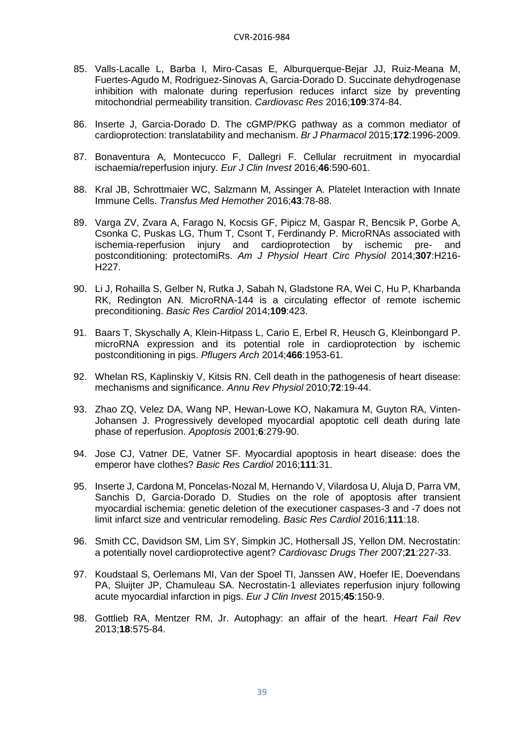- 85. Valls-Lacalle L, Barba I, Miro-Casas E, Alburquerque-Bejar JJ, Ruiz-Meana M, Fuertes-Agudo M, Rodriguez-Sinovas A, Garcia-Dorado D. Succinate dehydrogenase inhibition with malonate during reperfusion reduces infarct size by preventing mitochondrial permeability transition. *Cardiovasc Res* 2016;**109**:374-84.
- 86. Inserte J, Garcia-Dorado D. The cGMP/PKG pathway as a common mediator of cardioprotection: translatability and mechanism. *Br J Pharmacol* 2015;**172**:1996-2009.
- 87. Bonaventura A, Montecucco F, Dallegri F. Cellular recruitment in myocardial ischaemia/reperfusion injury. *Eur J Clin Invest* 2016;**46**:590-601.
- 88. Kral JB, Schrottmaier WC, Salzmann M, Assinger A. Platelet Interaction with Innate Immune Cells. *Transfus Med Hemother* 2016;**43**:78-88.
- 89. Varga ZV, Zvara A, Farago N, Kocsis GF, Pipicz M, Gaspar R, Bencsik P, Gorbe A, Csonka C, Puskas LG, Thum T, Csont T, Ferdinandy P. MicroRNAs associated with ischemia-reperfusion injury and cardioprotection by ischemic pre- and postconditioning: protectomiRs. *Am J Physiol Heart Circ Physiol* 2014;**307**:H216- H227.
- 90. Li J, Rohailla S, Gelber N, Rutka J, Sabah N, Gladstone RA, Wei C, Hu P, Kharbanda RK, Redington AN. MicroRNA-144 is a circulating effector of remote ischemic preconditioning. *Basic Res Cardiol* 2014;**109**:423.
- 91. Baars T, Skyschally A, Klein-Hitpass L, Cario E, Erbel R, Heusch G, Kleinbongard P. microRNA expression and its potential role in cardioprotection by ischemic postconditioning in pigs. *Pflugers Arch* 2014;**466**:1953-61.
- 92. Whelan RS, Kaplinskiy V, Kitsis RN. Cell death in the pathogenesis of heart disease: mechanisms and significance. *Annu Rev Physiol* 2010;**72**:19-44.
- 93. Zhao ZQ, Velez DA, Wang NP, Hewan-Lowe KO, Nakamura M, Guyton RA, Vinten-Johansen J. Progressively developed myocardial apoptotic cell death during late phase of reperfusion. *Apoptosis* 2001;**6**:279-90.
- 94. Jose CJ, Vatner DE, Vatner SF. Myocardial apoptosis in heart disease: does the emperor have clothes? *Basic Res Cardiol* 2016;**111**:31.
- 95. Inserte J, Cardona M, Poncelas-Nozal M, Hernando V, Vilardosa U, Aluja D, Parra VM, Sanchis D, Garcia-Dorado D. Studies on the role of apoptosis after transient myocardial ischemia: genetic deletion of the executioner caspases-3 and -7 does not limit infarct size and ventricular remodeling. *Basic Res Cardiol* 2016;**111**:18.
- 96. Smith CC, Davidson SM, Lim SY, Simpkin JC, Hothersall JS, Yellon DM. Necrostatin: a potentially novel cardioprotective agent? *Cardiovasc Drugs Ther* 2007;**21**:227-33.
- 97. Koudstaal S, Oerlemans MI, Van der Spoel TI, Janssen AW, Hoefer IE, Doevendans PA, Sluijter JP, Chamuleau SA. Necrostatin-1 alleviates reperfusion injury following acute myocardial infarction in pigs. *Eur J Clin Invest* 2015;**45**:150-9.
- 98. Gottlieb RA, Mentzer RM, Jr. Autophagy: an affair of the heart. *Heart Fail Rev* 2013;**18**:575-84.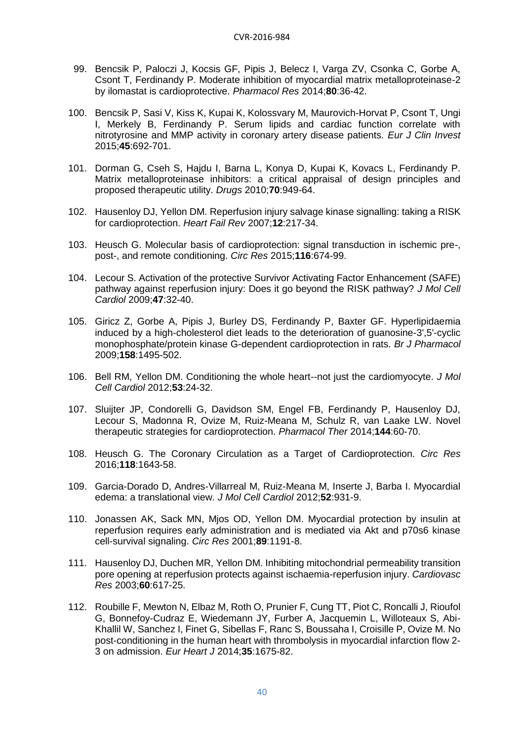- 99. Bencsik P, Paloczi J, Kocsis GF, Pipis J, Belecz I, Varga ZV, Csonka C, Gorbe A, Csont T, Ferdinandy P. Moderate inhibition of myocardial matrix metalloproteinase-2 by ilomastat is cardioprotective. *Pharmacol Res* 2014;**80**:36-42.
- 100. Bencsik P, Sasi V, Kiss K, Kupai K, Kolossvary M, Maurovich-Horvat P, Csont T, Ungi I, Merkely B, Ferdinandy P. Serum lipids and cardiac function correlate with nitrotyrosine and MMP activity in coronary artery disease patients. *Eur J Clin Invest* 2015;**45**:692-701.
- 101. Dorman G, Cseh S, Hajdu I, Barna L, Konya D, Kupai K, Kovacs L, Ferdinandy P. Matrix metalloproteinase inhibitors: a critical appraisal of design principles and proposed therapeutic utility. *Drugs* 2010;**70**:949-64.
- 102. Hausenloy DJ, Yellon DM. Reperfusion injury salvage kinase signalling: taking a RISK for cardioprotection. *Heart Fail Rev* 2007;**12**:217-34.
- 103. Heusch G. Molecular basis of cardioprotection: signal transduction in ischemic pre-, post-, and remote conditioning. *Circ Res* 2015;**116**:674-99.
- 104. Lecour S. Activation of the protective Survivor Activating Factor Enhancement (SAFE) pathway against reperfusion injury: Does it go beyond the RISK pathway? *J Mol Cell Cardiol* 2009;**47**:32-40.
- 105. Giricz Z, Gorbe A, Pipis J, Burley DS, Ferdinandy P, Baxter GF. Hyperlipidaemia induced by a high-cholesterol diet leads to the deterioration of guanosine-3',5'-cyclic monophosphate/protein kinase G-dependent cardioprotection in rats. *Br J Pharmacol* 2009;**158**:1495-502.
- 106. Bell RM, Yellon DM. Conditioning the whole heart--not just the cardiomyocyte. *J Mol Cell Cardiol* 2012;**53**:24-32.
- 107. Sluijter JP, Condorelli G, Davidson SM, Engel FB, Ferdinandy P, Hausenloy DJ, Lecour S, Madonna R, Ovize M, Ruiz-Meana M, Schulz R, van Laake LW. Novel therapeutic strategies for cardioprotection. *Pharmacol Ther* 2014;**144**:60-70.
- 108. Heusch G. The Coronary Circulation as a Target of Cardioprotection. *Circ Res* 2016;**118**:1643-58.
- 109. Garcia-Dorado D, Andres-Villarreal M, Ruiz-Meana M, Inserte J, Barba I. Myocardial edema: a translational view. *J Mol Cell Cardiol* 2012;**52**:931-9.
- 110. Jonassen AK, Sack MN, Mjos OD, Yellon DM. Myocardial protection by insulin at reperfusion requires early administration and is mediated via Akt and p70s6 kinase cell-survival signaling. *Circ Res* 2001;**89**:1191-8.
- 111. Hausenloy DJ, Duchen MR, Yellon DM. Inhibiting mitochondrial permeability transition pore opening at reperfusion protects against ischaemia-reperfusion injury. *Cardiovasc Res* 2003;**60**:617-25.
- 112. Roubille F, Mewton N, Elbaz M, Roth O, Prunier F, Cung TT, Piot C, Roncalli J, Rioufol G, Bonnefoy-Cudraz E, Wiedemann JY, Furber A, Jacquemin L, Willoteaux S, Abi-Khallil W, Sanchez I, Finet G, Sibellas F, Ranc S, Boussaha I, Croisille P, Ovize M. No post-conditioning in the human heart with thrombolysis in myocardial infarction flow 2- 3 on admission. *Eur Heart J* 2014;**35**:1675-82.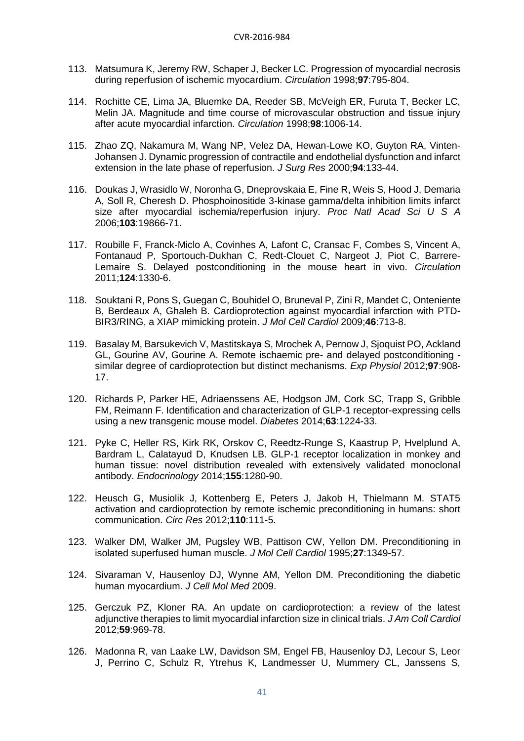- 113. Matsumura K, Jeremy RW, Schaper J, Becker LC. Progression of myocardial necrosis during reperfusion of ischemic myocardium. *Circulation* 1998;**97**:795-804.
- 114. Rochitte CE, Lima JA, Bluemke DA, Reeder SB, McVeigh ER, Furuta T, Becker LC, Melin JA. Magnitude and time course of microvascular obstruction and tissue injury after acute myocardial infarction. *Circulation* 1998;**98**:1006-14.
- 115. Zhao ZQ, Nakamura M, Wang NP, Velez DA, Hewan-Lowe KO, Guyton RA, Vinten-Johansen J. Dynamic progression of contractile and endothelial dysfunction and infarct extension in the late phase of reperfusion. *J Surg Res* 2000;**94**:133-44.
- 116. Doukas J, Wrasidlo W, Noronha G, Dneprovskaia E, Fine R, Weis S, Hood J, Demaria A, Soll R, Cheresh D. Phosphoinositide 3-kinase gamma/delta inhibition limits infarct size after myocardial ischemia/reperfusion injury. *Proc Natl Acad Sci U S A* 2006;**103**:19866-71.
- 117. Roubille F, Franck-Miclo A, Covinhes A, Lafont C, Cransac F, Combes S, Vincent A, Fontanaud P, Sportouch-Dukhan C, Redt-Clouet C, Nargeot J, Piot C, Barrere-Lemaire S. Delayed postconditioning in the mouse heart in vivo. *Circulation* 2011;**124**:1330-6.
- 118. Souktani R, Pons S, Guegan C, Bouhidel O, Bruneval P, Zini R, Mandet C, Onteniente B, Berdeaux A, Ghaleh B. Cardioprotection against myocardial infarction with PTD-BIR3/RING, a XIAP mimicking protein. *J Mol Cell Cardiol* 2009;**46**:713-8.
- 119. Basalay M, Barsukevich V, Mastitskaya S, Mrochek A, Pernow J, Sjoquist PO, Ackland GL, Gourine AV, Gourine A. Remote ischaemic pre- and delayed postconditioning similar degree of cardioprotection but distinct mechanisms. *Exp Physiol* 2012;**97**:908- 17.
- 120. Richards P, Parker HE, Adriaenssens AE, Hodgson JM, Cork SC, Trapp S, Gribble FM, Reimann F. Identification and characterization of GLP-1 receptor-expressing cells using a new transgenic mouse model. *Diabetes* 2014;**63**:1224-33.
- 121. Pyke C, Heller RS, Kirk RK, Orskov C, Reedtz-Runge S, Kaastrup P, Hvelplund A, Bardram L, Calatayud D, Knudsen LB. GLP-1 receptor localization in monkey and human tissue: novel distribution revealed with extensively validated monoclonal antibody. *Endocrinology* 2014;**155**:1280-90.
- 122. Heusch G, Musiolik J, Kottenberg E, Peters J, Jakob H, Thielmann M. STAT5 activation and cardioprotection by remote ischemic preconditioning in humans: short communication. *Circ Res* 2012;**110**:111-5.
- 123. Walker DM, Walker JM, Pugsley WB, Pattison CW, Yellon DM. Preconditioning in isolated superfused human muscle. *J Mol Cell Cardiol* 1995;**27**:1349-57.
- 124. Sivaraman V, Hausenloy DJ, Wynne AM, Yellon DM. Preconditioning the diabetic human myocardium. *J Cell Mol Med* 2009.
- 125. Gerczuk PZ, Kloner RA. An update on cardioprotection: a review of the latest adjunctive therapies to limit myocardial infarction size in clinical trials. *J Am Coll Cardiol* 2012;**59**:969-78.
- 126. Madonna R, van Laake LW, Davidson SM, Engel FB, Hausenloy DJ, Lecour S, Leor J, Perrino C, Schulz R, Ytrehus K, Landmesser U, Mummery CL, Janssens S,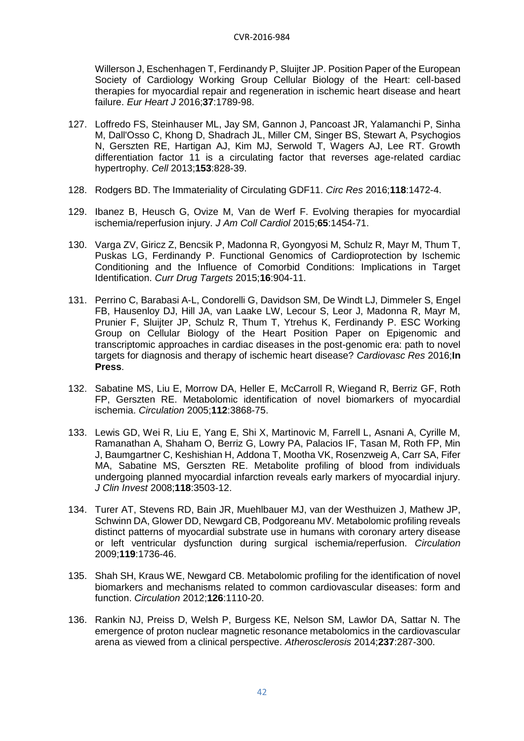Willerson J, Eschenhagen T, Ferdinandy P, Sluijter JP. Position Paper of the European Society of Cardiology Working Group Cellular Biology of the Heart: cell-based therapies for myocardial repair and regeneration in ischemic heart disease and heart failure. *Eur Heart J* 2016;**37**:1789-98.

- 127. Loffredo FS, Steinhauser ML, Jay SM, Gannon J, Pancoast JR, Yalamanchi P, Sinha M, Dall'Osso C, Khong D, Shadrach JL, Miller CM, Singer BS, Stewart A, Psychogios N, Gerszten RE, Hartigan AJ, Kim MJ, Serwold T, Wagers AJ, Lee RT. Growth differentiation factor 11 is a circulating factor that reverses age-related cardiac hypertrophy. *Cell* 2013;**153**:828-39.
- 128. Rodgers BD. The Immateriality of Circulating GDF11. *Circ Res* 2016;**118**:1472-4.
- 129. Ibanez B, Heusch G, Ovize M, Van de Werf F. Evolving therapies for myocardial ischemia/reperfusion injury. *J Am Coll Cardiol* 2015;**65**:1454-71.
- 130. Varga ZV, Giricz Z, Bencsik P, Madonna R, Gyongyosi M, Schulz R, Mayr M, Thum T, Puskas LG, Ferdinandy P. Functional Genomics of Cardioprotection by Ischemic Conditioning and the Influence of Comorbid Conditions: Implications in Target Identification. *Curr Drug Targets* 2015;**16**:904-11.
- 131. Perrino C, Barabasi A-L, Condorelli G, Davidson SM, De Windt LJ, Dimmeler S, Engel FB, Hausenloy DJ, Hill JA, van Laake LW, Lecour S, Leor J, Madonna R, Mayr M, Prunier F, Sluijter JP, Schulz R, Thum T, Ytrehus K, Ferdinandy P. ESC Working Group on Cellular Biology of the Heart Position Paper on Epigenomic and transcriptomic approaches in cardiac diseases in the post-genomic era: path to novel targets for diagnosis and therapy of ischemic heart disease? *Cardiovasc Res* 2016;**In Press**.
- 132. Sabatine MS, Liu E, Morrow DA, Heller E, McCarroll R, Wiegand R, Berriz GF, Roth FP, Gerszten RE. Metabolomic identification of novel biomarkers of myocardial ischemia. *Circulation* 2005;**112**:3868-75.
- 133. Lewis GD, Wei R, Liu E, Yang E, Shi X, Martinovic M, Farrell L, Asnani A, Cyrille M, Ramanathan A, Shaham O, Berriz G, Lowry PA, Palacios IF, Tasan M, Roth FP, Min J, Baumgartner C, Keshishian H, Addona T, Mootha VK, Rosenzweig A, Carr SA, Fifer MA, Sabatine MS, Gerszten RE. Metabolite profiling of blood from individuals undergoing planned myocardial infarction reveals early markers of myocardial injury. *J Clin Invest* 2008;**118**:3503-12.
- 134. Turer AT, Stevens RD, Bain JR, Muehlbauer MJ, van der Westhuizen J, Mathew JP, Schwinn DA, Glower DD, Newgard CB, Podgoreanu MV. Metabolomic profiling reveals distinct patterns of myocardial substrate use in humans with coronary artery disease or left ventricular dysfunction during surgical ischemia/reperfusion. *Circulation* 2009;**119**:1736-46.
- 135. Shah SH, Kraus WE, Newgard CB. Metabolomic profiling for the identification of novel biomarkers and mechanisms related to common cardiovascular diseases: form and function. *Circulation* 2012;**126**:1110-20.
- 136. Rankin NJ, Preiss D, Welsh P, Burgess KE, Nelson SM, Lawlor DA, Sattar N. The emergence of proton nuclear magnetic resonance metabolomics in the cardiovascular arena as viewed from a clinical perspective. *Atherosclerosis* 2014;**237**:287-300.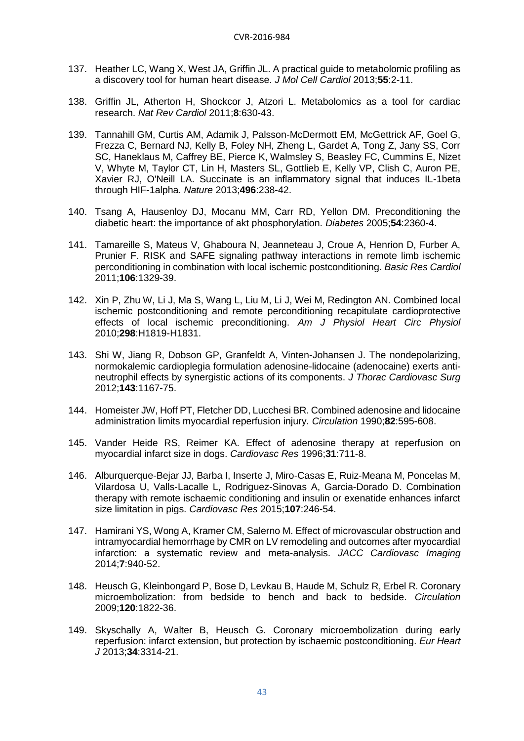- 137. Heather LC, Wang X, West JA, Griffin JL. A practical guide to metabolomic profiling as a discovery tool for human heart disease. *J Mol Cell Cardiol* 2013;**55**:2-11.
- 138. Griffin JL, Atherton H, Shockcor J, Atzori L. Metabolomics as a tool for cardiac research. *Nat Rev Cardiol* 2011;**8**:630-43.
- 139. Tannahill GM, Curtis AM, Adamik J, Palsson-McDermott EM, McGettrick AF, Goel G, Frezza C, Bernard NJ, Kelly B, Foley NH, Zheng L, Gardet A, Tong Z, Jany SS, Corr SC, Haneklaus M, Caffrey BE, Pierce K, Walmsley S, Beasley FC, Cummins E, Nizet V, Whyte M, Taylor CT, Lin H, Masters SL, Gottlieb E, Kelly VP, Clish C, Auron PE, Xavier RJ, O'Neill LA. Succinate is an inflammatory signal that induces IL-1beta through HIF-1alpha. *Nature* 2013;**496**:238-42.
- 140. Tsang A, Hausenloy DJ, Mocanu MM, Carr RD, Yellon DM. Preconditioning the diabetic heart: the importance of akt phosphorylation. *Diabetes* 2005;**54**:2360-4.
- 141. Tamareille S, Mateus V, Ghaboura N, Jeanneteau J, Croue A, Henrion D, Furber A, Prunier F. RISK and SAFE signaling pathway interactions in remote limb ischemic perconditioning in combination with local ischemic postconditioning. *Basic Res Cardiol* 2011;**106**:1329-39.
- 142. Xin P, Zhu W, Li J, Ma S, Wang L, Liu M, Li J, Wei M, Redington AN. Combined local ischemic postconditioning and remote perconditioning recapitulate cardioprotective effects of local ischemic preconditioning. *Am J Physiol Heart Circ Physiol* 2010;**298**:H1819-H1831.
- 143. Shi W, Jiang R, Dobson GP, Granfeldt A, Vinten-Johansen J. The nondepolarizing, normokalemic cardioplegia formulation adenosine-lidocaine (adenocaine) exerts antineutrophil effects by synergistic actions of its components. *J Thorac Cardiovasc Surg* 2012;**143**:1167-75.
- 144. Homeister JW, Hoff PT, Fletcher DD, Lucchesi BR. Combined adenosine and lidocaine administration limits myocardial reperfusion injury. *Circulation* 1990;**82**:595-608.
- 145. Vander Heide RS, Reimer KA. Effect of adenosine therapy at reperfusion on myocardial infarct size in dogs. *Cardiovasc Res* 1996;**31**:711-8.
- 146. Alburquerque-Bejar JJ, Barba I, Inserte J, Miro-Casas E, Ruiz-Meana M, Poncelas M, Vilardosa U, Valls-Lacalle L, Rodriguez-Sinovas A, Garcia-Dorado D. Combination therapy with remote ischaemic conditioning and insulin or exenatide enhances infarct size limitation in pigs. *Cardiovasc Res* 2015;**107**:246-54.
- 147. Hamirani YS, Wong A, Kramer CM, Salerno M. Effect of microvascular obstruction and intramyocardial hemorrhage by CMR on LV remodeling and outcomes after myocardial infarction: a systematic review and meta-analysis. *JACC Cardiovasc Imaging* 2014;**7**:940-52.
- 148. Heusch G, Kleinbongard P, Bose D, Levkau B, Haude M, Schulz R, Erbel R. Coronary microembolization: from bedside to bench and back to bedside. *Circulation* 2009;**120**:1822-36.
- 149. Skyschally A, Walter B, Heusch G. Coronary microembolization during early reperfusion: infarct extension, but protection by ischaemic postconditioning. *Eur Heart J* 2013;**34**:3314-21.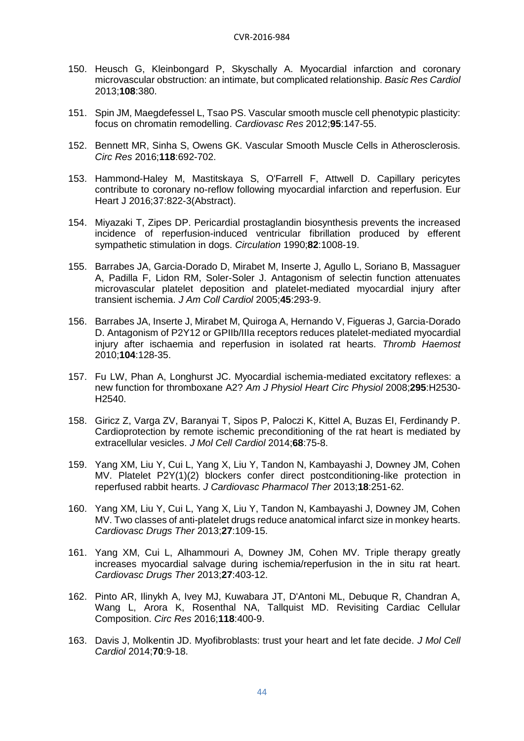- 150. Heusch G, Kleinbongard P, Skyschally A. Myocardial infarction and coronary microvascular obstruction: an intimate, but complicated relationship. *Basic Res Cardiol* 2013;**108**:380.
- 151. Spin JM, Maegdefessel L, Tsao PS. Vascular smooth muscle cell phenotypic plasticity: focus on chromatin remodelling. *Cardiovasc Res* 2012;**95**:147-55.
- 152. Bennett MR, Sinha S, Owens GK. Vascular Smooth Muscle Cells in Atherosclerosis. *Circ Res* 2016;**118**:692-702.
- 153. Hammond-Haley M, Mastitskaya S, O'Farrell F, Attwell D. Capillary pericytes contribute to coronary no-reflow following myocardial infarction and reperfusion. Eur Heart J 2016;37:822-3(Abstract).
- 154. Miyazaki T, Zipes DP. Pericardial prostaglandin biosynthesis prevents the increased incidence of reperfusion-induced ventricular fibrillation produced by efferent sympathetic stimulation in dogs. *Circulation* 1990;**82**:1008-19.
- 155. Barrabes JA, Garcia-Dorado D, Mirabet M, Inserte J, Agullo L, Soriano B, Massaguer A, Padilla F, Lidon RM, Soler-Soler J. Antagonism of selectin function attenuates microvascular platelet deposition and platelet-mediated myocardial injury after transient ischemia. *J Am Coll Cardiol* 2005;**45**:293-9.
- 156. Barrabes JA, Inserte J, Mirabet M, Quiroga A, Hernando V, Figueras J, Garcia-Dorado D. Antagonism of P2Y12 or GPIIb/IIIa receptors reduces platelet-mediated myocardial injury after ischaemia and reperfusion in isolated rat hearts. *Thromb Haemost* 2010;**104**:128-35.
- 157. Fu LW, Phan A, Longhurst JC. Myocardial ischemia-mediated excitatory reflexes: a new function for thromboxane A2? *Am J Physiol Heart Circ Physiol* 2008;**295**:H2530- H2540.
- 158. Giricz Z, Varga ZV, Baranyai T, Sipos P, Paloczi K, Kittel A, Buzas EI, Ferdinandy P. Cardioprotection by remote ischemic preconditioning of the rat heart is mediated by extracellular vesicles. *J Mol Cell Cardiol* 2014;**68**:75-8.
- 159. Yang XM, Liu Y, Cui L, Yang X, Liu Y, Tandon N, Kambayashi J, Downey JM, Cohen MV. Platelet P2Y(1)(2) blockers confer direct postconditioning-like protection in reperfused rabbit hearts. *J Cardiovasc Pharmacol Ther* 2013;**18**:251-62.
- 160. Yang XM, Liu Y, Cui L, Yang X, Liu Y, Tandon N, Kambayashi J, Downey JM, Cohen MV. Two classes of anti-platelet drugs reduce anatomical infarct size in monkey hearts. *Cardiovasc Drugs Ther* 2013;**27**:109-15.
- 161. Yang XM, Cui L, Alhammouri A, Downey JM, Cohen MV. Triple therapy greatly increases myocardial salvage during ischemia/reperfusion in the in situ rat heart. *Cardiovasc Drugs Ther* 2013;**27**:403-12.
- 162. Pinto AR, Ilinykh A, Ivey MJ, Kuwabara JT, D'Antoni ML, Debuque R, Chandran A, Wang L, Arora K, Rosenthal NA, Tallquist MD. Revisiting Cardiac Cellular Composition. *Circ Res* 2016;**118**:400-9.
- 163. Davis J, Molkentin JD. Myofibroblasts: trust your heart and let fate decide. *J Mol Cell Cardiol* 2014;**70**:9-18.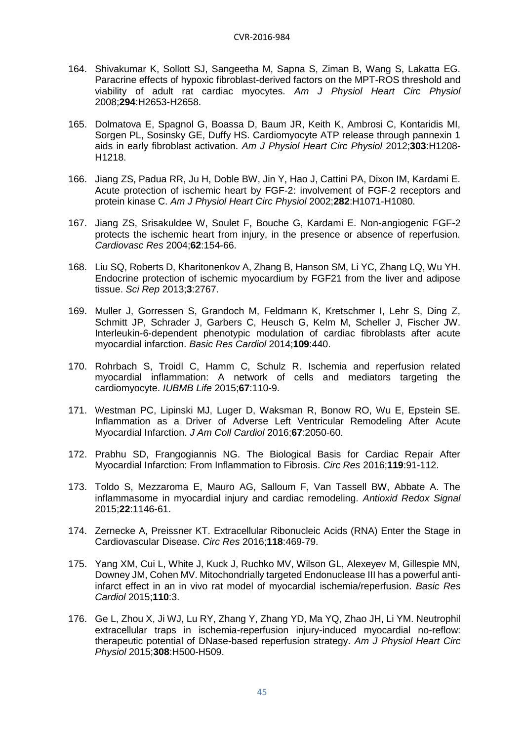- 164. Shivakumar K, Sollott SJ, Sangeetha M, Sapna S, Ziman B, Wang S, Lakatta EG. Paracrine effects of hypoxic fibroblast-derived factors on the MPT-ROS threshold and viability of adult rat cardiac myocytes. *Am J Physiol Heart Circ Physiol* 2008;**294**:H2653-H2658.
- 165. Dolmatova E, Spagnol G, Boassa D, Baum JR, Keith K, Ambrosi C, Kontaridis MI, Sorgen PL, Sosinsky GE, Duffy HS. Cardiomyocyte ATP release through pannexin 1 aids in early fibroblast activation. *Am J Physiol Heart Circ Physiol* 2012;**303**:H1208- H1218.
- 166. Jiang ZS, Padua RR, Ju H, Doble BW, Jin Y, Hao J, Cattini PA, Dixon IM, Kardami E. Acute protection of ischemic heart by FGF-2: involvement of FGF-2 receptors and protein kinase C. *Am J Physiol Heart Circ Physiol* 2002;**282**:H1071-H1080.
- 167. Jiang ZS, Srisakuldee W, Soulet F, Bouche G, Kardami E. Non-angiogenic FGF-2 protects the ischemic heart from injury, in the presence or absence of reperfusion. *Cardiovasc Res* 2004;**62**:154-66.
- 168. Liu SQ, Roberts D, Kharitonenkov A, Zhang B, Hanson SM, Li YC, Zhang LQ, Wu YH. Endocrine protection of ischemic myocardium by FGF21 from the liver and adipose tissue. *Sci Rep* 2013;**3**:2767.
- 169. Muller J, Gorressen S, Grandoch M, Feldmann K, Kretschmer I, Lehr S, Ding Z, Schmitt JP, Schrader J, Garbers C, Heusch G, Kelm M, Scheller J, Fischer JW. Interleukin-6-dependent phenotypic modulation of cardiac fibroblasts after acute myocardial infarction. *Basic Res Cardiol* 2014;**109**:440.
- 170. Rohrbach S, Troidl C, Hamm C, Schulz R. Ischemia and reperfusion related myocardial inflammation: A network of cells and mediators targeting the cardiomyocyte. *IUBMB Life* 2015;**67**:110-9.
- 171. Westman PC, Lipinski MJ, Luger D, Waksman R, Bonow RO, Wu E, Epstein SE. Inflammation as a Driver of Adverse Left Ventricular Remodeling After Acute Myocardial Infarction. *J Am Coll Cardiol* 2016;**67**:2050-60.
- 172. Prabhu SD, Frangogiannis NG. The Biological Basis for Cardiac Repair After Myocardial Infarction: From Inflammation to Fibrosis. *Circ Res* 2016;**119**:91-112.
- 173. Toldo S, Mezzaroma E, Mauro AG, Salloum F, Van Tassell BW, Abbate A. The inflammasome in myocardial injury and cardiac remodeling. *Antioxid Redox Signal* 2015;**22**:1146-61.
- 174. Zernecke A, Preissner KT. Extracellular Ribonucleic Acids (RNA) Enter the Stage in Cardiovascular Disease. *Circ Res* 2016;**118**:469-79.
- 175. Yang XM, Cui L, White J, Kuck J, Ruchko MV, Wilson GL, Alexeyev M, Gillespie MN, Downey JM, Cohen MV. Mitochondrially targeted Endonuclease III has a powerful antiinfarct effect in an in vivo rat model of myocardial ischemia/reperfusion. *Basic Res Cardiol* 2015;**110**:3.
- 176. Ge L, Zhou X, Ji WJ, Lu RY, Zhang Y, Zhang YD, Ma YQ, Zhao JH, Li YM. Neutrophil extracellular traps in ischemia-reperfusion injury-induced myocardial no-reflow: therapeutic potential of DNase-based reperfusion strategy. *Am J Physiol Heart Circ Physiol* 2015;**308**:H500-H509.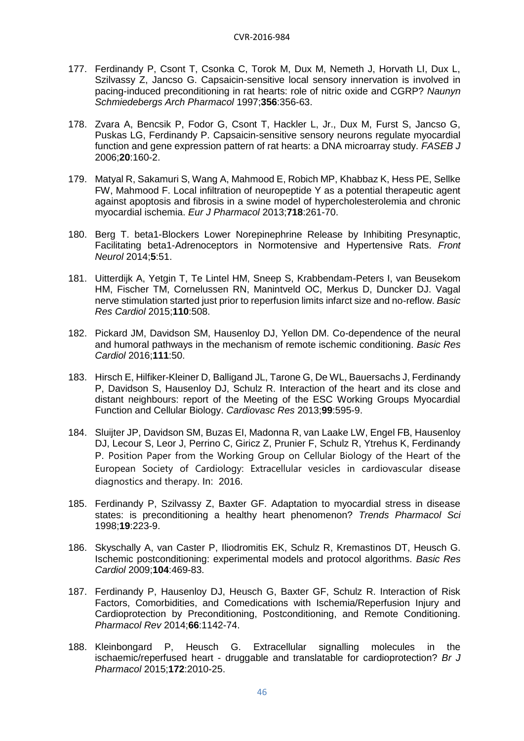- 177. Ferdinandy P, Csont T, Csonka C, Torok M, Dux M, Nemeth J, Horvath LI, Dux L, Szilvassy Z, Jancso G. Capsaicin-sensitive local sensory innervation is involved in pacing-induced preconditioning in rat hearts: role of nitric oxide and CGRP? *Naunyn Schmiedebergs Arch Pharmacol* 1997;**356**:356-63.
- 178. Zvara A, Bencsik P, Fodor G, Csont T, Hackler L, Jr., Dux M, Furst S, Jancso G, Puskas LG, Ferdinandy P. Capsaicin-sensitive sensory neurons regulate myocardial function and gene expression pattern of rat hearts: a DNA microarray study. *FASEB J* 2006;**20**:160-2.
- 179. Matyal R, Sakamuri S, Wang A, Mahmood E, Robich MP, Khabbaz K, Hess PE, Sellke FW, Mahmood F. Local infiltration of neuropeptide Y as a potential therapeutic agent against apoptosis and fibrosis in a swine model of hypercholesterolemia and chronic myocardial ischemia. *Eur J Pharmacol* 2013;**718**:261-70.
- 180. Berg T. beta1-Blockers Lower Norepinephrine Release by Inhibiting Presynaptic, Facilitating beta1-Adrenoceptors in Normotensive and Hypertensive Rats. *Front Neurol* 2014;**5**:51.
- 181. Uitterdijk A, Yetgin T, Te Lintel HM, Sneep S, Krabbendam-Peters I, van Beusekom HM, Fischer TM, Cornelussen RN, Manintveld OC, Merkus D, Duncker DJ. Vagal nerve stimulation started just prior to reperfusion limits infarct size and no-reflow. *Basic Res Cardiol* 2015;**110**:508.
- 182. Pickard JM, Davidson SM, Hausenloy DJ, Yellon DM. Co-dependence of the neural and humoral pathways in the mechanism of remote ischemic conditioning. *Basic Res Cardiol* 2016;**111**:50.
- 183. Hirsch E, Hilfiker-Kleiner D, Balligand JL, Tarone G, De WL, Bauersachs J, Ferdinandy P, Davidson S, Hausenloy DJ, Schulz R. Interaction of the heart and its close and distant neighbours: report of the Meeting of the ESC Working Groups Myocardial Function and Cellular Biology. *Cardiovasc Res* 2013;**99**:595-9.
- 184. Sluijter JP, Davidson SM, Buzas EI, Madonna R, van Laake LW, Engel FB, Hausenloy DJ, Lecour S, Leor J, Perrino C, Giricz Z, Prunier F, Schulz R, Ytrehus K, Ferdinandy P. Position Paper from the Working Group on Cellular Biology of the Heart of the European Society of Cardiology: Extracellular vesicles in cardiovascular disease diagnostics and therapy. In: 2016.
- 185. Ferdinandy P, Szilvassy Z, Baxter GF. Adaptation to myocardial stress in disease states: is preconditioning a healthy heart phenomenon? *Trends Pharmacol Sci* 1998;**19**:223-9.
- 186. Skyschally A, van Caster P, Iliodromitis EK, Schulz R, Kremastinos DT, Heusch G. Ischemic postconditioning: experimental models and protocol algorithms. *Basic Res Cardiol* 2009;**104**:469-83.
- 187. Ferdinandy P, Hausenloy DJ, Heusch G, Baxter GF, Schulz R. Interaction of Risk Factors, Comorbidities, and Comedications with Ischemia/Reperfusion Injury and Cardioprotection by Preconditioning, Postconditioning, and Remote Conditioning. *Pharmacol Rev* 2014;**66**:1142-74.
- 188. Kleinbongard P, Heusch G. Extracellular signalling molecules in the ischaemic/reperfused heart - druggable and translatable for cardioprotection? *Br J Pharmacol* 2015;**172**:2010-25.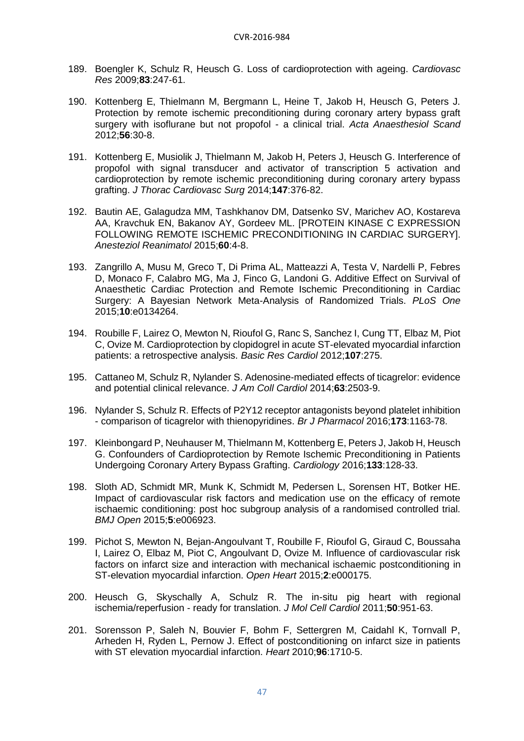- 189. Boengler K, Schulz R, Heusch G. Loss of cardioprotection with ageing. *Cardiovasc Res* 2009;**83**:247-61.
- 190. Kottenberg E, Thielmann M, Bergmann L, Heine T, Jakob H, Heusch G, Peters J. Protection by remote ischemic preconditioning during coronary artery bypass graft surgery with isoflurane but not propofol - a clinical trial. *Acta Anaesthesiol Scand* 2012;**56**:30-8.
- 191. Kottenberg E, Musiolik J, Thielmann M, Jakob H, Peters J, Heusch G. Interference of propofol with signal transducer and activator of transcription 5 activation and cardioprotection by remote ischemic preconditioning during coronary artery bypass grafting. *J Thorac Cardiovasc Surg* 2014;**147**:376-82.
- 192. Bautin AE, Galagudza MM, Tashkhanov DM, Datsenko SV, Marichev AO, Kostareva AA, Kravchuk EN, Bakanov AY, Gordeev ML. [PROTEIN KINASE C EXPRESSION FOLLOWING REMOTE ISCHEMIC PRECONDITIONING IN CARDIAC SURGERY]. *Anesteziol Reanimatol* 2015;**60**:4-8.
- 193. Zangrillo A, Musu M, Greco T, Di Prima AL, Matteazzi A, Testa V, Nardelli P, Febres D, Monaco F, Calabro MG, Ma J, Finco G, Landoni G. Additive Effect on Survival of Anaesthetic Cardiac Protection and Remote Ischemic Preconditioning in Cardiac Surgery: A Bayesian Network Meta-Analysis of Randomized Trials. *PLoS One* 2015;**10**:e0134264.
- 194. Roubille F, Lairez O, Mewton N, Rioufol G, Ranc S, Sanchez I, Cung TT, Elbaz M, Piot C, Ovize M. Cardioprotection by clopidogrel in acute ST-elevated myocardial infarction patients: a retrospective analysis. *Basic Res Cardiol* 2012;**107**:275.
- 195. Cattaneo M, Schulz R, Nylander S. Adenosine-mediated effects of ticagrelor: evidence and potential clinical relevance. *J Am Coll Cardiol* 2014;**63**:2503-9.
- 196. Nylander S, Schulz R. Effects of P2Y12 receptor antagonists beyond platelet inhibition - comparison of ticagrelor with thienopyridines. *Br J Pharmacol* 2016;**173**:1163-78.
- 197. Kleinbongard P, Neuhauser M, Thielmann M, Kottenberg E, Peters J, Jakob H, Heusch G. Confounders of Cardioprotection by Remote Ischemic Preconditioning in Patients Undergoing Coronary Artery Bypass Grafting. *Cardiology* 2016;**133**:128-33.
- 198. Sloth AD, Schmidt MR, Munk K, Schmidt M, Pedersen L, Sorensen HT, Botker HE. Impact of cardiovascular risk factors and medication use on the efficacy of remote ischaemic conditioning: post hoc subgroup analysis of a randomised controlled trial. *BMJ Open* 2015;**5**:e006923.
- 199. Pichot S, Mewton N, Bejan-Angoulvant T, Roubille F, Rioufol G, Giraud C, Boussaha I, Lairez O, Elbaz M, Piot C, Angoulvant D, Ovize M. Influence of cardiovascular risk factors on infarct size and interaction with mechanical ischaemic postconditioning in ST-elevation myocardial infarction. *Open Heart* 2015;**2**:e000175.
- 200. Heusch G, Skyschally A, Schulz R. The in-situ pig heart with regional ischemia/reperfusion - ready for translation. *J Mol Cell Cardiol* 2011;**50**:951-63.
- 201. Sorensson P, Saleh N, Bouvier F, Bohm F, Settergren M, Caidahl K, Tornvall P, Arheden H, Ryden L, Pernow J. Effect of postconditioning on infarct size in patients with ST elevation myocardial infarction. *Heart* 2010;**96**:1710-5.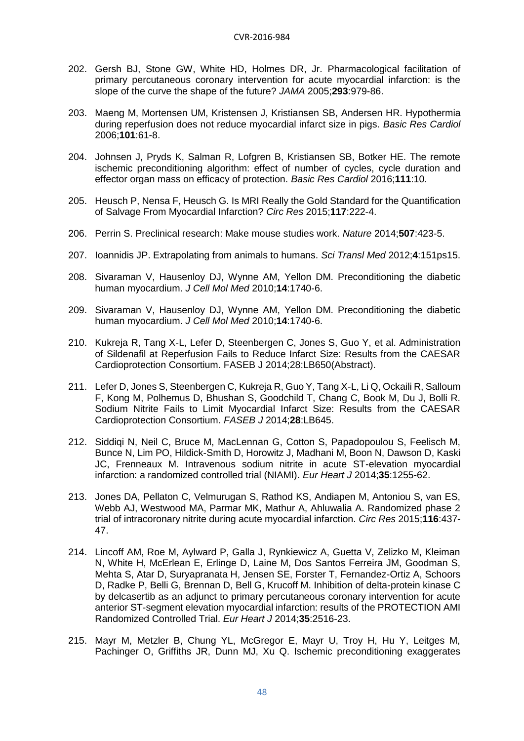- 202. Gersh BJ, Stone GW, White HD, Holmes DR, Jr. Pharmacological facilitation of primary percutaneous coronary intervention for acute myocardial infarction: is the slope of the curve the shape of the future? *JAMA* 2005;**293**:979-86.
- 203. Maeng M, Mortensen UM, Kristensen J, Kristiansen SB, Andersen HR. Hypothermia during reperfusion does not reduce myocardial infarct size in pigs. *Basic Res Cardiol* 2006;**101**:61-8.
- 204. Johnsen J, Pryds K, Salman R, Lofgren B, Kristiansen SB, Botker HE. The remote ischemic preconditioning algorithm: effect of number of cycles, cycle duration and effector organ mass on efficacy of protection. *Basic Res Cardiol* 2016;**111**:10.
- 205. Heusch P, Nensa F, Heusch G. Is MRI Really the Gold Standard for the Quantification of Salvage From Myocardial Infarction? *Circ Res* 2015;**117**:222-4.
- 206. Perrin S. Preclinical research: Make mouse studies work. *Nature* 2014;**507**:423-5.
- 207. Ioannidis JP. Extrapolating from animals to humans. *Sci Transl Med* 2012;**4**:151ps15.
- 208. Sivaraman V, Hausenloy DJ, Wynne AM, Yellon DM. Preconditioning the diabetic human myocardium. *J Cell Mol Med* 2010;**14**:1740-6.
- 209. Sivaraman V, Hausenloy DJ, Wynne AM, Yellon DM. Preconditioning the diabetic human myocardium. *J Cell Mol Med* 2010;**14**:1740-6.
- 210. Kukreja R, Tang X-L, Lefer D, Steenbergen C, Jones S, Guo Y, et al. Administration of Sildenafil at Reperfusion Fails to Reduce Infarct Size: Results from the CAESAR Cardioprotection Consortium. FASEB J 2014;28:LB650(Abstract).
- 211. Lefer D, Jones S, Steenbergen C, Kukreja R, Guo Y, Tang X-L, Li Q, Ockaili R, Salloum F, Kong M, Polhemus D, Bhushan S, Goodchild T, Chang C, Book M, Du J, Bolli R. Sodium Nitrite Fails to Limit Myocardial Infarct Size: Results from the CAESAR Cardioprotection Consortium. *FASEB J* 2014;**28**:LB645.
- 212. Siddiqi N, Neil C, Bruce M, MacLennan G, Cotton S, Papadopoulou S, Feelisch M, Bunce N, Lim PO, Hildick-Smith D, Horowitz J, Madhani M, Boon N, Dawson D, Kaski JC, Frenneaux M. Intravenous sodium nitrite in acute ST-elevation myocardial infarction: a randomized controlled trial (NIAMI). *Eur Heart J* 2014;**35**:1255-62.
- 213. Jones DA, Pellaton C, Velmurugan S, Rathod KS, Andiapen M, Antoniou S, van ES, Webb AJ, Westwood MA, Parmar MK, Mathur A, Ahluwalia A. Randomized phase 2 trial of intracoronary nitrite during acute myocardial infarction. *Circ Res* 2015;**116**:437- 47.
- 214. Lincoff AM, Roe M, Aylward P, Galla J, Rynkiewicz A, Guetta V, Zelizko M, Kleiman N, White H, McErlean E, Erlinge D, Laine M, Dos Santos Ferreira JM, Goodman S, Mehta S, Atar D, Suryapranata H, Jensen SE, Forster T, Fernandez-Ortiz A, Schoors D, Radke P, Belli G, Brennan D, Bell G, Krucoff M. Inhibition of delta-protein kinase C by delcasertib as an adjunct to primary percutaneous coronary intervention for acute anterior ST-segment elevation myocardial infarction: results of the PROTECTION AMI Randomized Controlled Trial. *Eur Heart J* 2014;**35**:2516-23.
- 215. Mayr M, Metzler B, Chung YL, McGregor E, Mayr U, Troy H, Hu Y, Leitges M, Pachinger O, Griffiths JR, Dunn MJ, Xu Q. Ischemic preconditioning exaggerates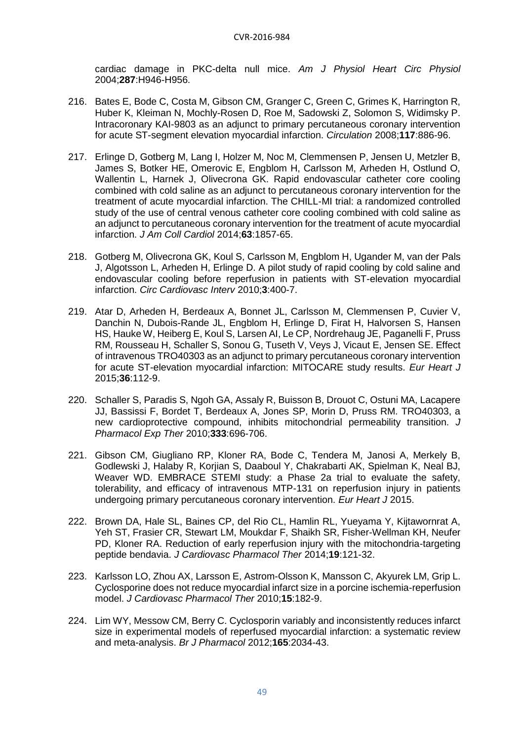cardiac damage in PKC-delta null mice. *Am J Physiol Heart Circ Physiol* 2004;**287**:H946-H956.

- 216. Bates E, Bode C, Costa M, Gibson CM, Granger C, Green C, Grimes K, Harrington R, Huber K, Kleiman N, Mochly-Rosen D, Roe M, Sadowski Z, Solomon S, Widimsky P. Intracoronary KAI-9803 as an adjunct to primary percutaneous coronary intervention for acute ST-segment elevation myocardial infarction. *Circulation* 2008;**117**:886-96.
- 217. Erlinge D, Gotberg M, Lang I, Holzer M, Noc M, Clemmensen P, Jensen U, Metzler B, James S, Botker HE, Omerovic E, Engblom H, Carlsson M, Arheden H, Ostlund O, Wallentin L, Harnek J, Olivecrona GK. Rapid endovascular catheter core cooling combined with cold saline as an adjunct to percutaneous coronary intervention for the treatment of acute myocardial infarction. The CHILL-MI trial: a randomized controlled study of the use of central venous catheter core cooling combined with cold saline as an adjunct to percutaneous coronary intervention for the treatment of acute myocardial infarction. *J Am Coll Cardiol* 2014;**63**:1857-65.
- 218. Gotberg M, Olivecrona GK, Koul S, Carlsson M, Engblom H, Ugander M, van der Pals J, Algotsson L, Arheden H, Erlinge D. A pilot study of rapid cooling by cold saline and endovascular cooling before reperfusion in patients with ST-elevation myocardial infarction. *Circ Cardiovasc Interv* 2010;**3**:400-7.
- 219. Atar D, Arheden H, Berdeaux A, Bonnet JL, Carlsson M, Clemmensen P, Cuvier V, Danchin N, Dubois-Rande JL, Engblom H, Erlinge D, Firat H, Halvorsen S, Hansen HS, Hauke W, Heiberg E, Koul S, Larsen AI, Le CP, Nordrehaug JE, Paganelli F, Pruss RM, Rousseau H, Schaller S, Sonou G, Tuseth V, Veys J, Vicaut E, Jensen SE. Effect of intravenous TRO40303 as an adjunct to primary percutaneous coronary intervention for acute ST-elevation myocardial infarction: MITOCARE study results. *Eur Heart J* 2015;**36**:112-9.
- 220. Schaller S, Paradis S, Ngoh GA, Assaly R, Buisson B, Drouot C, Ostuni MA, Lacapere JJ, Bassissi F, Bordet T, Berdeaux A, Jones SP, Morin D, Pruss RM. TRO40303, a new cardioprotective compound, inhibits mitochondrial permeability transition. *J Pharmacol Exp Ther* 2010;**333**:696-706.
- 221. Gibson CM, Giugliano RP, Kloner RA, Bode C, Tendera M, Janosi A, Merkely B, Godlewski J, Halaby R, Korjian S, Daaboul Y, Chakrabarti AK, Spielman K, Neal BJ, Weaver WD. EMBRACE STEMI study: a Phase 2a trial to evaluate the safety, tolerability, and efficacy of intravenous MTP-131 on reperfusion injury in patients undergoing primary percutaneous coronary intervention. *Eur Heart J* 2015.
- 222. Brown DA, Hale SL, Baines CP, del Rio CL, Hamlin RL, Yueyama Y, Kijtawornrat A, Yeh ST, Frasier CR, Stewart LM, Moukdar F, Shaikh SR, Fisher-Wellman KH, Neufer PD, Kloner RA. Reduction of early reperfusion injury with the mitochondria-targeting peptide bendavia. *J Cardiovasc Pharmacol Ther* 2014;**19**:121-32.
- 223. Karlsson LO, Zhou AX, Larsson E, Astrom-Olsson K, Mansson C, Akyurek LM, Grip L. Cyclosporine does not reduce myocardial infarct size in a porcine ischemia-reperfusion model. *J Cardiovasc Pharmacol Ther* 2010;**15**:182-9.
- 224. Lim WY, Messow CM, Berry C. Cyclosporin variably and inconsistently reduces infarct size in experimental models of reperfused myocardial infarction: a systematic review and meta-analysis. *Br J Pharmacol* 2012;**165**:2034-43.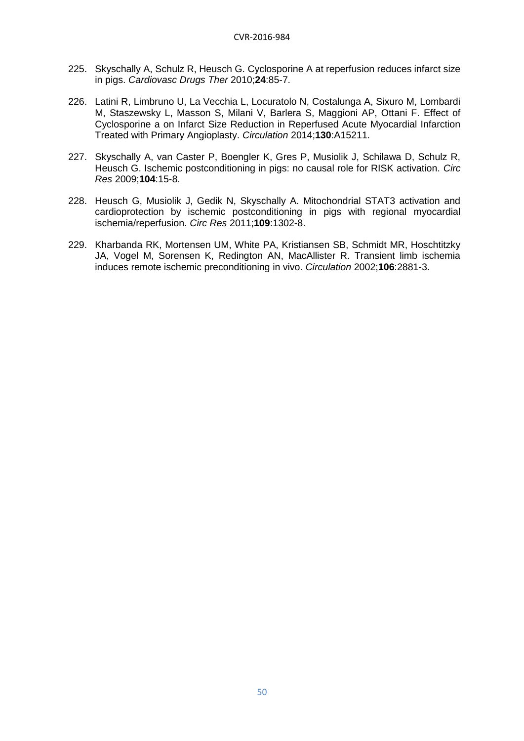- 225. Skyschally A, Schulz R, Heusch G. Cyclosporine A at reperfusion reduces infarct size in pigs. *Cardiovasc Drugs Ther* 2010;**24**:85-7.
- 226. Latini R, Limbruno U, La Vecchia L, Locuratolo N, Costalunga A, Sixuro M, Lombardi M, Staszewsky L, Masson S, Milani V, Barlera S, Maggioni AP, Ottani F. Effect of Cyclosporine a on Infarct Size Reduction in Reperfused Acute Myocardial Infarction Treated with Primary Angioplasty. *Circulation* 2014;**130**:A15211.
- 227. Skyschally A, van Caster P, Boengler K, Gres P, Musiolik J, Schilawa D, Schulz R, Heusch G. Ischemic postconditioning in pigs: no causal role for RISK activation. *Circ Res* 2009;**104**:15-8.
- 228. Heusch G, Musiolik J, Gedik N, Skyschally A. Mitochondrial STAT3 activation and cardioprotection by ischemic postconditioning in pigs with regional myocardial ischemia/reperfusion. *Circ Res* 2011;**109**:1302-8.
- 229. Kharbanda RK, Mortensen UM, White PA, Kristiansen SB, Schmidt MR, Hoschtitzky JA, Vogel M, Sorensen K, Redington AN, MacAllister R. Transient limb ischemia induces remote ischemic preconditioning in vivo. *Circulation* 2002;**106**:2881-3.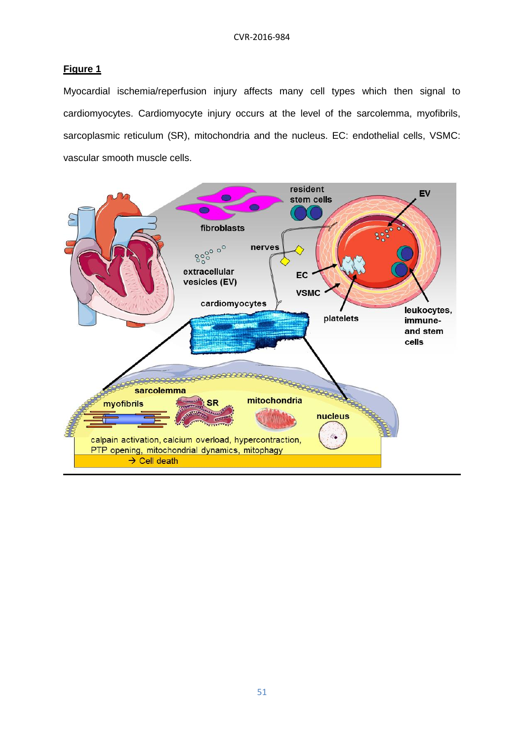## **Figure 1**

Myocardial ischemia/reperfusion injury affects many cell types which then signal to cardiomyocytes. Cardiomyocyte injury occurs at the level of the sarcolemma, myofibrils, sarcoplasmic reticulum (SR), mitochondria and the nucleus. EC: endothelial cells, VSMC: vascular smooth muscle cells.

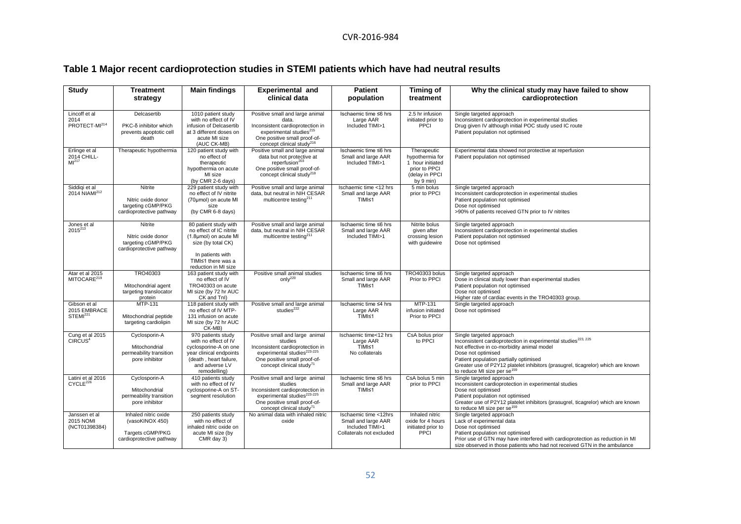# **Table 1 Major recent cardioprotection studies in STEMI patients which have had neutral results**

| <b>Study</b>                               | <b>Treatment</b>                         | <b>Main findings</b>                             | <b>Experimental and</b>                                                     | <b>Patient</b>                               | Timing of                               | Why the clinical study may have failed to show                                                                                                             |
|--------------------------------------------|------------------------------------------|--------------------------------------------------|-----------------------------------------------------------------------------|----------------------------------------------|-----------------------------------------|------------------------------------------------------------------------------------------------------------------------------------------------------------|
|                                            | strategy                                 |                                                  | clinical data                                                               | population                                   | treatment                               | cardioprotection                                                                                                                                           |
|                                            |                                          |                                                  |                                                                             |                                              |                                         |                                                                                                                                                            |
| Lincoff et al<br>2014                      | Delcasertib                              | 1010 patient study<br>with no effect of IV       | Positive small and large animal<br>data.                                    | Ischaemic time ≤6 hrs<br>Large AAR           | 2.5 hr infusion<br>initiated prior to   | Single targeted approach<br>Inconsistent cardioprotection in experimental studies                                                                          |
| PROTECT-MI <sup>214</sup>                  | PKC-δ inhibitor which                    | infusion of Delcasertib                          | Inconsistent cardioprotection in                                            | Included TIMI>1                              | <b>PPCI</b>                             | Drug given IV although initial POC study used IC route                                                                                                     |
|                                            | prevents apoptotic cell<br>death         | at 3 different doses on<br>acute MI size         | experimental studies <sup>215</sup><br>One positive small proof-of-         |                                              |                                         | Patient population not optimised                                                                                                                           |
|                                            |                                          | (AUC CK-MB)                                      | concept clinical study <sup>216</sup>                                       |                                              |                                         |                                                                                                                                                            |
| Erlinge et al<br>2014 CHILL-               | Therapeutic hypothermia                  | 120 patient study with<br>no effect of           | Positive small and large animal<br>data but not protective at               | Ischaemic time ≤6 hrs<br>Small and large AAR | Therapeutic<br>hypothermia for          | Experimental data showed not protective at reperfusion<br>Patient population not optimised                                                                 |
| $\overline{\mathrm{M}}$ <sup>217</sup>     |                                          | therapeutic                                      | reperfusion <sup>203</sup>                                                  | Included TIMI>1                              | 1 hour initiated                        |                                                                                                                                                            |
|                                            |                                          | hypothermia on acute                             | One positive small proof-of-                                                |                                              | prior to PPCI                           |                                                                                                                                                            |
|                                            |                                          | MI size<br>(by CMR 2-6 days)                     | concept clinical study <sup>218</sup>                                       |                                              | (delay in PPCI<br>by $9 \text{ min}$ )  |                                                                                                                                                            |
| Siddigi et al                              | <b>Nitrite</b>                           | 229 patient study with                           | Positive small and large animal                                             | Ischaemic time <12 hrs                       | 5 min bolus                             | Single targeted approach                                                                                                                                   |
| 2014 NIAMI <sup>212</sup>                  | Nitric oxide donor                       | no effect of IV nitrite<br>(70µmol) on acute MI  | data, but neutral in NIH CESAR<br>multicentre testing <sup>211</sup>        | Small and large AAR<br>TIME1                 | prior to PPCI                           | Inconsistent cardioprotection in experimental studies<br>Patient population not optimised                                                                  |
|                                            | targeting cGMP/PKG                       | size                                             |                                                                             |                                              |                                         | Dose not optimised                                                                                                                                         |
|                                            | cardioprotective pathway                 | (by CMR 6-8 days)                                |                                                                             |                                              |                                         | >90% of patients received GTN prior to IV nitrites                                                                                                         |
| Jones et al                                | Nitrite                                  | 80 patient study with                            | Positive small and large animal                                             | Ischaemic time ≤6 hrs                        | Nitrite bolus                           | Single targeted approach                                                                                                                                   |
| 2015 <sup>213</sup>                        | Nitric oxide donor                       | no effect of IC nitrite<br>(1.8µmol) on acute MI | data, but neutral in NIH CESAR<br>multicentre testing <sup>211</sup>        | Small and large AAR<br>Included TIMI>1       | given after<br>crossing lesion          | Inconsistent cardioprotection in experimental studies<br>Patient population not optimised                                                                  |
|                                            | targeting cGMP/PKG                       | size (by total CK)                               |                                                                             |                                              | with guidewire                          | Dose not optimised                                                                                                                                         |
|                                            | cardioprotective pathway                 | In patients with                                 |                                                                             |                                              |                                         |                                                                                                                                                            |
|                                            |                                          | TIMI≤1 there was a                               |                                                                             |                                              |                                         |                                                                                                                                                            |
|                                            |                                          | reduction in MI size                             |                                                                             |                                              |                                         |                                                                                                                                                            |
| Atar et al 2015<br>MITOCARE <sup>219</sup> | TRO40303                                 | 163 patient study with<br>no effect of IV        | Positive small animal studies<br>onl $v^{220}$                              | Ischaemic time ≤6 hrs<br>Small and large AAR | TRO40303 bolus<br>Prior to PPCI         | Single targeted approach<br>Dose in clinical study lower than experimental studies                                                                         |
|                                            | Mitochondrial agent                      | TRO40303 on acute                                |                                                                             | TIME1                                        |                                         | Patient population not optimised                                                                                                                           |
|                                            | targeting translocator<br>protein        | MI size (by 72 hr AUC<br>CK and TnI)             |                                                                             |                                              |                                         | Dose not optimised<br>Higher rate of cardiac events in the TRO40303 group.                                                                                 |
| Gibson et al                               | MTP-131                                  | 118 patient study with                           | Positive small and large animal                                             | Ischaemic time ≤4 hrs                        | <b>MTP-131</b>                          | Single targeted approach                                                                                                                                   |
| 2015 EMBRACE<br>STEMI <sup>221</sup>       | Mitochondrial peptide                    | no effect of IV MTP-<br>131 infusion on acute    | studies <sup>222</sup>                                                      | Large AAR<br>TIME1                           | infusion initiated<br>Prior to PPCI     | Dose not optimised                                                                                                                                         |
|                                            | targeting cardiolipin                    | MI size (by 72 hr AUC                            |                                                                             |                                              |                                         |                                                                                                                                                            |
| Cung et al 2015                            | Cyclosporin-A                            | CK-MB)<br>970 patients study                     | Positive small and large animal                                             | Ischaemic time<12 hrs                        | CsA bolus prior                         | Single targeted approach                                                                                                                                   |
| CIRCUS <sup>4</sup>                        |                                          | with no effect of IV                             | studies                                                                     | Large AAR                                    | to PPCI                                 | Inconsistent cardioprotection in experimental studies <sup>223, 225</sup>                                                                                  |
|                                            | Mitochondrial<br>permeability transition | cyclosporine-A on one<br>year clinical endpoints | Inconsistent cardioprotection in<br>experimental studies <sup>223-225</sup> | TIMI≤1<br>No collaterals                     |                                         | Not effective in co-morbidity animal model<br>Dose not optimised                                                                                           |
|                                            | pore inhibitor                           | (death, heart failure,                           | One positive small proof-of-                                                |                                              |                                         | Patient population partially optimised                                                                                                                     |
|                                            |                                          | and adverse LV<br>remodelling)                   | concept clinical study <sup>71</sup>                                        |                                              |                                         | Greater use of P2Y12 platelet inhibitors (prasugrel, ticagrelor) which are known<br>to reduce MI size per se <sup>159</sup>                                |
| Latini et al 2016                          | Cyclosporin-A                            | 410 patients study                               | Positive small and large animal                                             | Ischaemic time ≤6 hrs                        | CsA bolus 5 min                         | Single targeted approach                                                                                                                                   |
| CYCLE <sup>226</sup>                       | Mitochondrial                            | with no effect of IV<br>cyclosporine-A on ST-    | studies<br>Inconsistent cardioprotection in                                 | Small and large AAR<br>TIME1                 | prior to PPCI                           | Inconsistent cardioprotection in experimental studies<br>Dose not optimised                                                                                |
|                                            | permeability transition                  | segment resolution                               | experimental studies <sup>223-225</sup>                                     |                                              |                                         | Patient population not optimised                                                                                                                           |
|                                            | pore inhibitor                           |                                                  | One positive small proof-of-<br>concept clinical study <sup>71</sup>        |                                              |                                         | Greater use of P2Y12 platelet inhibitors (prasugrel, ticagrelor) which are known<br>to reduce MI size per se <sup>159</sup>                                |
| Janssen et al                              | Inhaled nitric oxide                     | 250 patients study                               | No animal data with inhaled nitric                                          | Ischaemic time <12hrs                        | Inhaled nitric                          | Single targeted approach                                                                                                                                   |
| <b>2015 NOMI</b><br>(NCT01398384)          | (vasoKINOX 450)                          | with no effect of<br>inhaled nitric oxide on     | oxide                                                                       | Small and large AAR<br>Included TIMI>1       | oxide for 4 hours<br>initiated prior to | Lack of experimental data<br>Dose not optimised                                                                                                            |
|                                            | Targets cGMP/PKG                         | acute MI size (by                                |                                                                             | Collaterals not excluded                     | PPCI                                    | Patient population not optimised                                                                                                                           |
|                                            | cardioprotective pathway                 | CMR day 3)                                       |                                                                             |                                              |                                         | Prior use of GTN may have interfered with cardioprotection as reduction in MI<br>size observed in those patients who had not received GTN in the ambulance |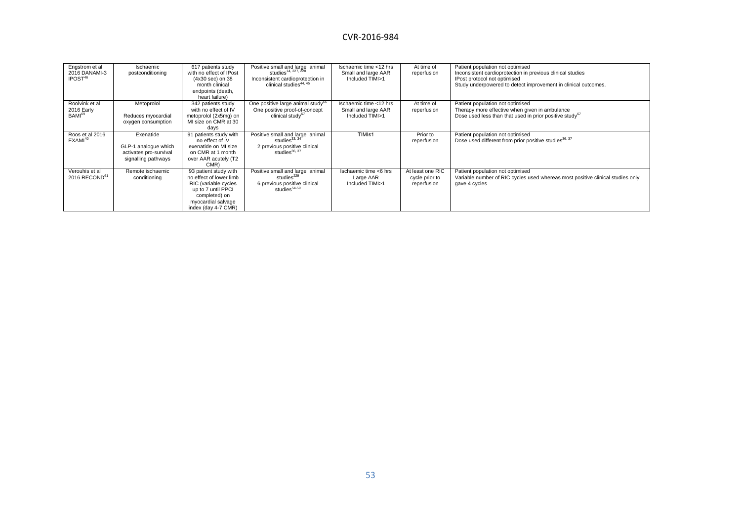## CVR-2016-984

| Engstrom et al<br>2016 DANAMI-3<br>IPOST <sup>46</sup> | Ischaemic<br>postconditioning                                                      | 617 patients study<br>with no effect of IPost<br>(4x30 sec) on 38<br>month clinical<br>endpoints (death,<br>heart failure)                                   | Positive small and large animal<br>studies <sup>14, 227, 228</sup><br>Inconsistent cardioprotection in<br>clinical studies <sup>44, 45</sup> | Ischaemic time <12 hrs<br>Small and large AAR<br>Included TIMI>1 | At time of<br>reperfusion                         | Patient population not optimised<br>Inconsistent cardioprotection in previous clinical studies<br>IPost protocol not optimised<br>Study underpowered to detect improvement in clinical outcomes. |
|--------------------------------------------------------|------------------------------------------------------------------------------------|--------------------------------------------------------------------------------------------------------------------------------------------------------------|----------------------------------------------------------------------------------------------------------------------------------------------|------------------------------------------------------------------|---------------------------------------------------|--------------------------------------------------------------------------------------------------------------------------------------------------------------------------------------------------|
| Roolvink et al<br>2016 Early<br>BAMI <sup>69</sup>     | Metoprolol<br>Reduces myocardial<br>oxygen consumption                             | 342 patients study<br>with no effect of IV<br>metoprolol (2x5mg) on<br>MI size on CMR at 30<br>days                                                          | One positive large animal study <sup>66</sup><br>One positive proof-of-concept<br>clinical study <sup>67</sup>                               | Ischaemic time <12 hrs<br>Small and large AAR<br>Included TIMI>1 | At time of<br>reperfusion                         | Patient population not optimised<br>Therapy more effective when given in ambulance<br>Dose used less than that used in prior positive study <sup>67</sup>                                        |
| Roos et al 2016<br>EXAMPLE XAMI <sup>40</sup>          | Exenatide<br>GLP-1 analogue which<br>activates pro-survival<br>signalling pathways | 91 patients study with<br>no effect of IV<br>exenatide on MI size<br>on CMR at 1 month<br>over AAR acutely (T2<br>CMR)                                       | Positive small and large animal<br>studies $^{33, 34}$<br>2 previous positive clinical<br>studies <sup>36, 37</sup>                          | TIME1                                                            | Prior to<br>reperfusion                           | Patient population not optimised<br>Dose used different from prior positive studies <sup>36, 37</sup>                                                                                            |
| Verouhis et al<br>2016 RECOND <sup>61</sup>            | Remote ischaemic<br>conditioning                                                   | 93 patient study with<br>no effect of lower limb<br>RIC (variable cycles<br>up to 7 until PPCI<br>completed) on<br>myocardial salvage<br>index (day 4-7 CMR) | Positive small and large animal<br>studies <sup>229</sup><br>6 previous positive clinical<br>studies <sup>54-59</sup>                        | Ischaemic time <6 hrs<br>Large AAR<br>Included TIMI>1            | At least one RIC<br>cycle prior to<br>reperfusion | Patient population not optimised<br>Variable number of RIC cycles used whereas most positive clinical studies only<br>gave 4 cycles                                                              |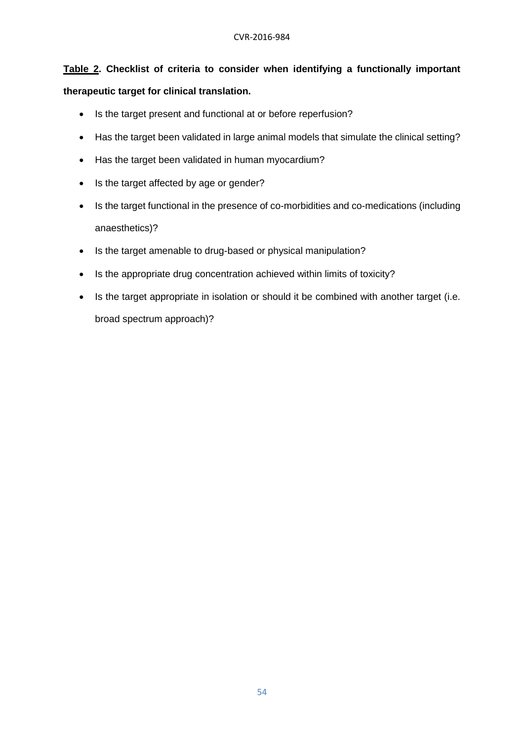# **Table 2. Checklist of criteria to consider when identifying a functionally important therapeutic target for clinical translation.**

- Is the target present and functional at or before reperfusion?
- Has the target been validated in large animal models that simulate the clinical setting?
- Has the target been validated in human myocardium?
- Is the target affected by age or gender?
- Is the target functional in the presence of co-morbidities and co-medications (including anaesthetics)?
- Is the target amenable to drug-based or physical manipulation?
- Is the appropriate drug concentration achieved within limits of toxicity?
- Is the target appropriate in isolation or should it be combined with another target (i.e. broad spectrum approach)?